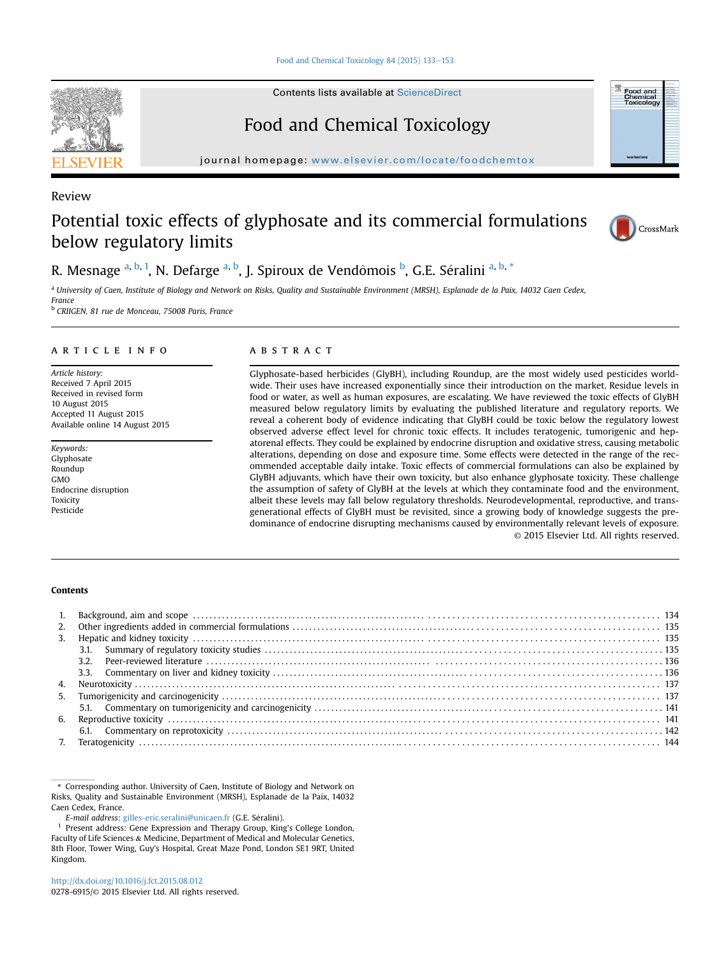[Food and Chemical Toxicology 84 \(2015\) 133](http://dx.doi.org/10.1016/j.fct.2015.08.012)-[153](http://dx.doi.org/10.1016/j.fct.2015.08.012)

Contents lists available at [ScienceDirect](www.sciencedirect.com/science/journal/02786915)

# Food and Chemical Toxicology

journal homepage: <www.elsevier.com/locate/foodchemtox>

# Review

# Potential toxic effects of glyphosate and its commercial formulations below regulatory limits



Food and<br>Chemical<br>Toxicology

R. Mesnage <sup>a, b, 1</sup>, N. Defarge <sup>a, b</sup>, J. Spiroux de Vendômois <sup>b</sup>, G.E. Séralini <sup>a, b, \*</sup>

<sup>a</sup> University of Caen, Institute of Biology and Network on Risks, Quality and Sustainable Environment (MRSH), Esplanade de la Paix, 14032 Caen Cedex, France <sup>b</sup> CRIIGEN, 81 rue de Monceau, 75008 Paris, France

#### article info

Article history: Received 7 April 2015 Received in revised form 10 August 2015 Accepted 11 August 2015 Available online 14 August 2015

Keywords: Glyphosate Roundup GMO Endocrine disruption Toxicity Pesticide

# **ABSTRACT**

Glyphosate-based herbicides (GlyBH), including Roundup, are the most widely used pesticides worldwide. Their uses have increased exponentially since their introduction on the market. Residue levels in food or water, as well as human exposures, are escalating. We have reviewed the toxic effects of GlyBH measured below regulatory limits by evaluating the published literature and regulatory reports. We reveal a coherent body of evidence indicating that GlyBH could be toxic below the regulatory lowest observed adverse effect level for chronic toxic effects. It includes teratogenic, tumorigenic and hepatorenal effects. They could be explained by endocrine disruption and oxidative stress, causing metabolic alterations, depending on dose and exposure time. Some effects were detected in the range of the recommended acceptable daily intake. Toxic effects of commercial formulations can also be explained by GlyBH adjuvants, which have their own toxicity, but also enhance glyphosate toxicity. These challenge the assumption of safety of GlyBH at the levels at which they contaminate food and the environment, albeit these levels may fall below regulatory thresholds. Neurodevelopmental, reproductive, and transgenerational effects of GlyBH must be revisited, since a growing body of knowledge suggests the predominance of endocrine disrupting mechanisms caused by environmentally relevant levels of exposure. © 2015 Elsevier Ltd. All rights reserved.

# Contents

| 2. |  |
|----|--|
| 3. |  |
|    |  |
|    |  |
|    |  |
|    |  |
|    |  |
|    |  |
|    |  |
|    |  |
|    |  |

\* Corresponding author. University of Caen, Institute of Biology and Network on Risks, Quality and Sustainable Environment (MRSH), Esplanade de la Paix, 14032 Caen Cedex, France.

E-mail address: [gilles-eric.seralini@unicaen.fr](mailto:gilles-eric.seralini@unicaen.fr) (G.E. Séralini).

Present address: Gene Expression and Therapy Group, King's College London, Faculty of Life Sciences & Medicine, Department of Medical and Molecular Genetics, 8th Floor, Tower Wing, Guy's Hospital, Great Maze Pond, London SE1 9RT, United Kingdom.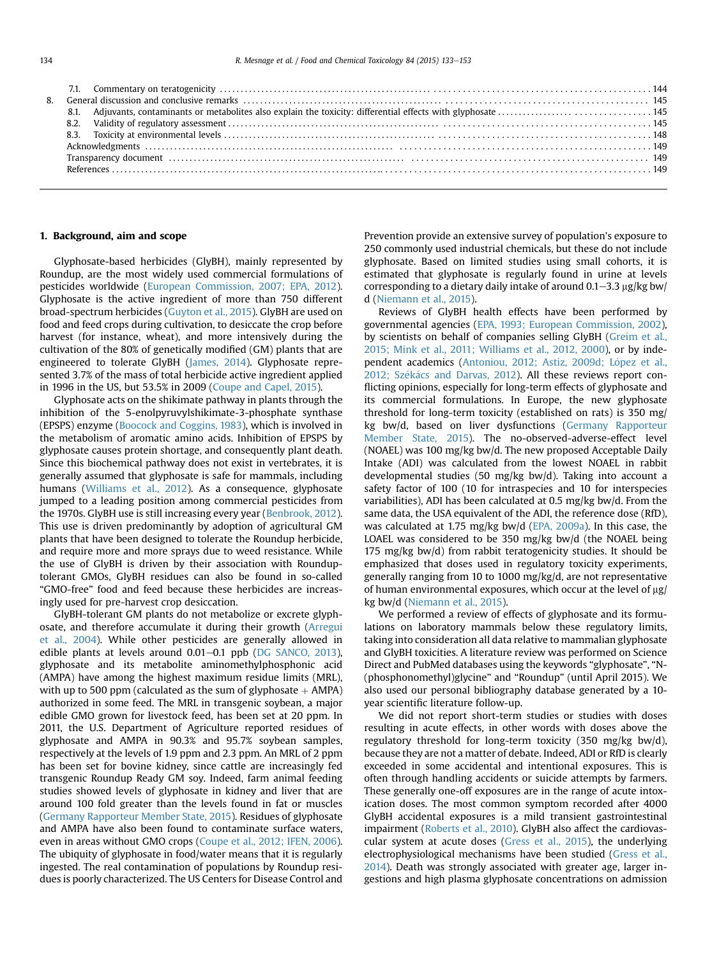# 1. Background, aim and scope

Glyphosate-based herbicides (GlyBH), mainly represented by Roundup, are the most widely used commercial formulations of pesticides worldwide [\(European Commission, 2007; EPA, 2012\)](#page-17-0). Glyphosate is the active ingredient of more than 750 different broad-spectrum herbicides [\(Guyton et al., 2015\)](#page-18-0). GlyBH are used on food and feed crops during cultivation, to desiccate the crop before harvest (for instance, wheat), and more intensively during the cultivation of the 80% of genetically modified (GM) plants that are engineered to tolerate GlyBH ([James, 2014\)](#page-18-0). Glyphosate represented 3.7% of the mass of total herbicide active ingredient applied in 1996 in the US, but 53.5% in 2009 [\(Coupe and Capel, 2015\)](#page-17-0).

Glyphosate acts on the shikimate pathway in plants through the inhibition of the 5-enolpyruvylshikimate-3-phosphate synthase (EPSPS) enzyme ([Boocock and Coggins, 1983](#page-16-0)), which is involved in the metabolism of aromatic amino acids. Inhibition of EPSPS by glyphosate causes protein shortage, and consequently plant death. Since this biochemical pathway does not exist in vertebrates, it is generally assumed that glyphosate is safe for mammals, including humans ([Williams et al., 2012](#page-20-0)). As a consequence, glyphosate jumped to a leading position among commercial pesticides from the 1970s. GlyBH use is still increasing every year ([Benbrook, 2012\)](#page-16-0). This use is driven predominantly by adoption of agricultural GM plants that have been designed to tolerate the Roundup herbicide, and require more and more sprays due to weed resistance. While the use of GlyBH is driven by their association with Rounduptolerant GMOs, GlyBH residues can also be found in so-called "GMO-free" food and feed because these herbicides are increasingly used for pre-harvest crop desiccation.

GlyBH-tolerant GM plants do not metabolize or excrete glyphosate, and therefore accumulate it during their growth ([Arregui](#page-16-0) [et al., 2004\)](#page-16-0). While other pesticides are generally allowed in edible plants at levels around  $0.01-0.1$  ppb ([DG SANCO, 2013\)](#page-17-0), glyphosate and its metabolite aminomethylphosphonic acid (AMPA) have among the highest maximum residue limits (MRL), with up to 500 ppm (calculated as the sum of glyphosate  $+$  AMPA) authorized in some feed. The MRL in transgenic soybean, a major edible GMO grown for livestock feed, has been set at 20 ppm. In 2011, the U.S. Department of Agriculture reported residues of glyphosate and AMPA in 90.3% and 95.7% soybean samples, respectively at the levels of 1.9 ppm and 2.3 ppm. An MRL of 2 ppm has been set for bovine kidney, since cattle are increasingly fed transgenic Roundup Ready GM soy. Indeed, farm animal feeding studies showed levels of glyphosate in kidney and liver that are around 100 fold greater than the levels found in fat or muscles ([Germany Rapporteur Member State, 2015\)](#page-17-0). Residues of glyphosate and AMPA have also been found to contaminate surface waters, even in areas without GMO crops [\(Coupe et al., 2012; IFEN, 2006\)](#page-17-0). The ubiquity of glyphosate in food/water means that it is regularly ingested. The real contamination of populations by Roundup residues is poorly characterized. The US Centers for Disease Control and

Prevention provide an extensive survey of population's exposure to 250 commonly used industrial chemicals, but these do not include glyphosate. Based on limited studies using small cohorts, it is estimated that glyphosate is regularly found in urine at levels corresponding to a dietary daily intake of around  $0.1-3.3$   $\mu$ g/kg bw/ d [\(Niemann et al., 2015](#page-19-0)).

Reviews of GlyBH health effects have been performed by governmental agencies ([EPA, 1993; European Commission, 2002\)](#page-17-0), by scientists on behalf of companies selling GlyBH ([Greim et al.,](#page-18-0) [2015; Mink et al., 2011; Williams et al., 2012, 2000](#page-18-0)), or by inde-pendent academics [\(Antoniou, 2012; Astiz, 2009d; L](#page-16-0)ó[pez et al.,](#page-16-0) [2012; Sz](#page-16-0)é[k](#page-16-0)ács and Darvas, 2012). All these reviews report conflicting opinions, especially for long-term effects of glyphosate and its commercial formulations. In Europe, the new glyphosate threshold for long-term toxicity (established on rats) is 350 mg/ kg bw/d, based on liver dysfunctions [\(Germany Rapporteur](#page-17-0) [Member State, 2015](#page-17-0)). The no-observed-adverse-effect level (NOAEL) was 100 mg/kg bw/d. The new proposed Acceptable Daily Intake (ADI) was calculated from the lowest NOAEL in rabbit developmental studies (50 mg/kg bw/d). Taking into account a safety factor of 100 (10 for intraspecies and 10 for interspecies variabilities), ADI has been calculated at 0.5 mg/kg bw/d. From the same data, the USA equivalent of the ADI, the reference dose (RfD), was calculated at 1.75 mg/kg bw/d ([EPA, 2009a](#page-17-0)). In this case, the LOAEL was considered to be 350 mg/kg bw/d (the NOAEL being 175 mg/kg bw/d) from rabbit teratogenicity studies. It should be emphasized that doses used in regulatory toxicity experiments, generally ranging from 10 to 1000 mg/kg/d, are not representative of human environmental exposures, which occur at the level of  $\mu$ g/ kg bw/d [\(Niemann et al., 2015](#page-19-0)).

We performed a review of effects of glyphosate and its formulations on laboratory mammals below these regulatory limits, taking into consideration all data relative to mammalian glyphosate and GlyBH toxicities. A literature review was performed on Science Direct and PubMed databases using the keywords "glyphosate", "N- (phosphonomethyl)glycine" and "Roundup" (until April 2015). We also used our personal bibliography database generated by a 10 year scientific literature follow-up.

We did not report short-term studies or studies with doses resulting in acute effects, in other words with doses above the regulatory threshold for long-term toxicity (350 mg/kg bw/d), because they are not a matter of debate. Indeed, ADI or RfD is clearly exceeded in some accidental and intentional exposures. This is often through handling accidents or suicide attempts by farmers. These generally one-off exposures are in the range of acute intoxication doses. The most common symptom recorded after 4000 GlyBH accidental exposures is a mild transient gastrointestinal impairment [\(Roberts et al., 2010\)](#page-19-0). GlyBH also affect the cardiovascular system at acute doses [\(Gress et al., 2015\)](#page-18-0), the underlying electrophysiological mechanisms have been studied ([Gress et al.,](#page-18-0) [2014\)](#page-18-0). Death was strongly associated with greater age, larger ingestions and high plasma glyphosate concentrations on admission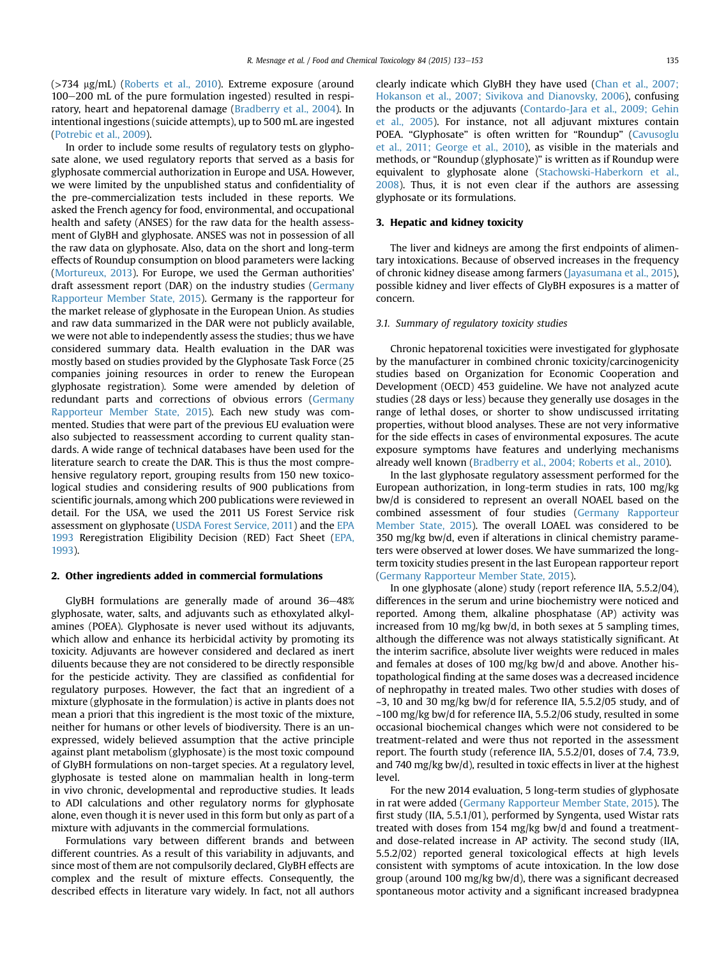$($ >734 µg/mL) [\(Roberts et al., 2010](#page-19-0)). Extreme exposure (around 100–200 mL of the pure formulation ingested) resulted in respiratory, heart and hepatorenal damage [\(Bradberry et al., 2004](#page-16-0)). In intentional ingestions (suicide attempts), up to 500 mL are ingested ([Potrebic et al., 2009\)](#page-19-0).

In order to include some results of regulatory tests on glyphosate alone, we used regulatory reports that served as a basis for glyphosate commercial authorization in Europe and USA. However, we were limited by the unpublished status and confidentiality of the pre-commercialization tests included in these reports. We asked the French agency for food, environmental, and occupational health and safety (ANSES) for the raw data for the health assessment of GlyBH and glyphosate. ANSES was not in possession of all the raw data on glyphosate. Also, data on the short and long-term effects of Roundup consumption on blood parameters were lacking ([Mortureux, 2013\)](#page-19-0). For Europe, we used the German authorities' draft assessment report (DAR) on the industry studies [\(Germany](#page-17-0) [Rapporteur Member State, 2015\)](#page-17-0). Germany is the rapporteur for the market release of glyphosate in the European Union. As studies and raw data summarized in the DAR were not publicly available, we were not able to independently assess the studies; thus we have considered summary data. Health evaluation in the DAR was mostly based on studies provided by the Glyphosate Task Force (25 companies joining resources in order to renew the European glyphosate registration). Some were amended by deletion of redundant parts and corrections of obvious errors [\(Germany](#page-17-0) [Rapporteur Member State, 2015](#page-17-0)). Each new study was commented. Studies that were part of the previous EU evaluation were also subjected to reassessment according to current quality standards. A wide range of technical databases have been used for the literature search to create the DAR. This is thus the most comprehensive regulatory report, grouping results from 150 new toxicological studies and considering results of 900 publications from scientific journals, among which 200 publications were reviewed in detail. For the USA, we used the 2011 US Forest Service risk assessment on glyphosate ([USDA Forest Service, 2011](#page-20-0)) and the [EPA](#page-17-0) [1993](#page-17-0) Reregistration Eligibility Decision (RED) Fact Sheet [\(EPA,](#page-17-0) [1993\)](#page-17-0).

### 2. Other ingredients added in commercial formulations

GlyBH formulations are generally made of around  $36-48%$ glyphosate, water, salts, and adjuvants such as ethoxylated alkylamines (POEA). Glyphosate is never used without its adjuvants, which allow and enhance its herbicidal activity by promoting its toxicity. Adjuvants are however considered and declared as inert diluents because they are not considered to be directly responsible for the pesticide activity. They are classified as confidential for regulatory purposes. However, the fact that an ingredient of a mixture (glyphosate in the formulation) is active in plants does not mean a priori that this ingredient is the most toxic of the mixture, neither for humans or other levels of biodiversity. There is an unexpressed, widely believed assumption that the active principle against plant metabolism (glyphosate) is the most toxic compound of GlyBH formulations on non-target species. At a regulatory level, glyphosate is tested alone on mammalian health in long-term in vivo chronic, developmental and reproductive studies. It leads to ADI calculations and other regulatory norms for glyphosate alone, even though it is never used in this form but only as part of a mixture with adjuvants in the commercial formulations.

Formulations vary between different brands and between different countries. As a result of this variability in adjuvants, and since most of them are not compulsorily declared, GlyBH effects are complex and the result of mixture effects. Consequently, the described effects in literature vary widely. In fact, not all authors clearly indicate which GlyBH they have used [\(Chan et al., 2007;](#page-17-0) [Hokanson et al., 2007; Sivikova and Dianovsky, 2006\)](#page-17-0), confusing the products or the adjuvants [\(Contardo-Jara et al., 2009; Gehin](#page-17-0) [et al., 2005\)](#page-17-0). For instance, not all adjuvant mixtures contain POEA. "Glyphosate" is often written for "Roundup" [\(Cavusoglu](#page-17-0) [et al., 2011; George et al., 2010\)](#page-17-0), as visible in the materials and methods, or "Roundup (glyphosate)" is written as if Roundup were equivalent to glyphosate alone ([Stachowski-Haberkorn et al.,](#page-20-0) [2008\)](#page-20-0). Thus, it is not even clear if the authors are assessing glyphosate or its formulations.

## 3. Hepatic and kidney toxicity

The liver and kidneys are among the first endpoints of alimentary intoxications. Because of observed increases in the frequency of chronic kidney disease among farmers ([Jayasumana et al., 2015\)](#page-18-0), possible kidney and liver effects of GlyBH exposures is a matter of concern.

## 3.1. Summary of regulatory toxicity studies

Chronic hepatorenal toxicities were investigated for glyphosate by the manufacturer in combined chronic toxicity/carcinogenicity studies based on Organization for Economic Cooperation and Development (OECD) 453 guideline. We have not analyzed acute studies (28 days or less) because they generally use dosages in the range of lethal doses, or shorter to show undiscussed irritating properties, without blood analyses. These are not very informative for the side effects in cases of environmental exposures. The acute exposure symptoms have features and underlying mechanisms already well known [\(Bradberry et al., 2004; Roberts et al., 2010\)](#page-16-0).

In the last glyphosate regulatory assessment performed for the European authorization, in long-term studies in rats, 100 mg/kg bw/d is considered to represent an overall NOAEL based on the combined assessment of four studies ([Germany Rapporteur](#page-17-0) [Member State, 2015](#page-17-0)). The overall LOAEL was considered to be 350 mg/kg bw/d, even if alterations in clinical chemistry parameters were observed at lower doses. We have summarized the longterm toxicity studies present in the last European rapporteur report ([Germany Rapporteur Member State, 2015](#page-17-0)).

In one glyphosate (alone) study (report reference IIA, 5.5.2/04), differences in the serum and urine biochemistry were noticed and reported. Among them, alkaline phosphatase (AP) activity was increased from 10 mg/kg bw/d, in both sexes at 5 sampling times, although the difference was not always statistically significant. At the interim sacrifice, absolute liver weights were reduced in males and females at doses of 100 mg/kg bw/d and above. Another histopathological finding at the same doses was a decreased incidence of nephropathy in treated males. Two other studies with doses of  $\sim$ 3, 10 and 30 mg/kg bw/d for reference IIA, 5.5.2/05 study, and of ~100 mg/kg bw/d for reference IIA, 5.5.2/06 study, resulted in some occasional biochemical changes which were not considered to be treatment-related and were thus not reported in the assessment report. The fourth study (reference IIA, 5.5.2/01, doses of 7.4, 73.9, and 740 mg/kg bw/d), resulted in toxic effects in liver at the highest level.

For the new 2014 evaluation, 5 long-term studies of glyphosate in rat were added [\(Germany Rapporteur Member State, 2015](#page-17-0)). The first study (IIA, 5.5.1/01), performed by Syngenta, used Wistar rats treated with doses from 154 mg/kg bw/d and found a treatmentand dose-related increase in AP activity. The second study (IIA, 5.5.2/02) reported general toxicological effects at high levels consistent with symptoms of acute intoxication. In the low dose group (around 100 mg/kg bw/d), there was a significant decreased spontaneous motor activity and a significant increased bradypnea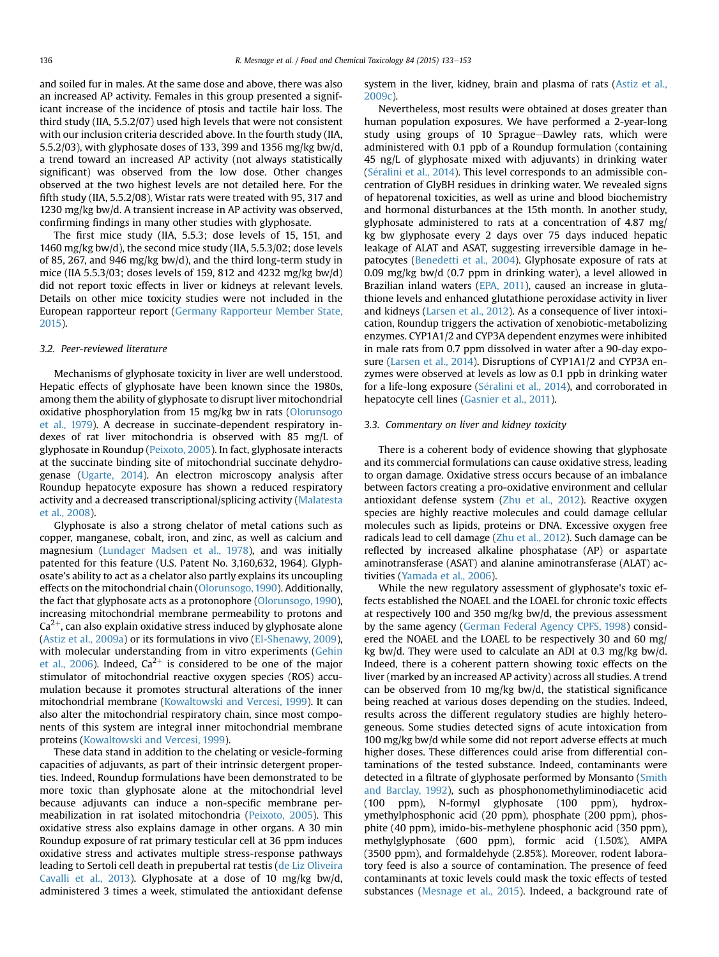and soiled fur in males. At the same dose and above, there was also an increased AP activity. Females in this group presented a significant increase of the incidence of ptosis and tactile hair loss. The third study (IIA, 5.5.2/07) used high levels that were not consistent with our inclusion criteria descrided above. In the fourth study (IIA, 5.5.2/03), with glyphosate doses of 133, 399 and 1356 mg/kg bw/d, a trend toward an increased AP activity (not always statistically significant) was observed from the low dose. Other changes observed at the two highest levels are not detailed here. For the fifth study (IIA, 5.5.2/08), Wistar rats were treated with 95, 317 and 1230 mg/kg bw/d. A transient increase in AP activity was observed, confirming findings in many other studies with glyphosate.

The first mice study (IIA, 5.5.3; dose levels of 15, 151, and 1460 mg/kg bw/d), the second mice study (IIA, 5.5.3/02; dose levels of 85, 267, and 946 mg/kg bw/d), and the third long-term study in mice (IIA 5.5.3/03; doses levels of 159, 812 and 4232 mg/kg bw/d) did not report toxic effects in liver or kidneys at relevant levels. Details on other mice toxicity studies were not included in the European rapporteur report [\(Germany Rapporteur Member State,](#page-17-0) [2015](#page-17-0)).

#### 3.2. Peer-reviewed literature

Mechanisms of glyphosate toxicity in liver are well understood. Hepatic effects of glyphosate have been known since the 1980s, among them the ability of glyphosate to disrupt liver mitochondrial oxidative phosphorylation from 15 mg/kg bw in rats [\(Olorunsogo](#page-19-0) [et al., 1979\)](#page-19-0). A decrease in succinate-dependent respiratory indexes of rat liver mitochondria is observed with 85 mg/L of glyphosate in Roundup ([Peixoto, 2005\)](#page-19-0). In fact, glyphosate interacts at the succinate binding site of mitochondrial succinate dehydrogenase [\(Ugarte, 2014](#page-20-0)). An electron microscopy analysis after Roundup hepatocyte exposure has shown a reduced respiratory activity and a decreased transcriptional/splicing activity [\(Malatesta](#page-18-0) [et al., 2008\)](#page-18-0).

Glyphosate is also a strong chelator of metal cations such as copper, manganese, cobalt, iron, and zinc, as well as calcium and magnesium [\(Lundager Madsen et al., 1978\)](#page-18-0), and was initially patented for this feature (U.S. Patent No. 3,160,632, 1964). Glyphosate's ability to act as a chelator also partly explains its uncoupling effects on the mitochondrial chain ([Olorunsogo, 1990\)](#page-19-0). Additionally, the fact that glyphosate acts as a protonophore ([Olorunsogo, 1990\)](#page-19-0), increasing mitochondrial membrane permeability to protons and  $Ca<sup>2+</sup>$ , can also explain oxidative stress induced by glyphosate alone ([Astiz et al., 2009a\)](#page-16-0) or its formulations in vivo [\(El-Shenawy, 2009\)](#page-17-0), with molecular understanding from in vitro experiments [\(Gehin](#page-17-0) [et al., 2006](#page-17-0)). Indeed,  $Ca^{2+}$  is considered to be one of the major stimulator of mitochondrial reactive oxygen species (ROS) accumulation because it promotes structural alterations of the inner mitochondrial membrane [\(Kowaltowski and Vercesi, 1999](#page-18-0)). It can also alter the mitochondrial respiratory chain, since most components of this system are integral inner mitochondrial membrane proteins [\(Kowaltowski and Vercesi, 1999](#page-18-0)).

These data stand in addition to the chelating or vesicle-forming capacities of adjuvants, as part of their intrinsic detergent properties. Indeed, Roundup formulations have been demonstrated to be more toxic than glyphosate alone at the mitochondrial level because adjuvants can induce a non-specific membrane permeabilization in rat isolated mitochondria [\(Peixoto, 2005](#page-19-0)). This oxidative stress also explains damage in other organs. A 30 min Roundup exposure of rat primary testicular cell at 36 ppm induces oxidative stress and activates multiple stress-response pathways leading to Sertoli cell death in prepubertal rat testis ([de Liz Oliveira](#page-17-0) [Cavalli et al., 2013\)](#page-17-0). Glyphosate at a dose of 10 mg/kg bw/d, administered 3 times a week, stimulated the antioxidant defense

system in the liver, kidney, brain and plasma of rats [\(Astiz et al.,](#page-16-0) [2009c\)](#page-16-0).

Nevertheless, most results were obtained at doses greater than human population exposures. We have performed a 2-year-long study using groups of 10 Sprague-Dawley rats, which were administered with 0.1 ppb of a Roundup formulation (containing 45 ng/L of glyphosate mixed with adjuvants) in drinking water (Séralini et al., 2014). This level corresponds to an admissible concentration of GlyBH residues in drinking water. We revealed signs of hepatorenal toxicities, as well as urine and blood biochemistry and hormonal disturbances at the 15th month. In another study, glyphosate administered to rats at a concentration of 4.87 mg/ kg bw glyphosate every 2 days over 75 days induced hepatic leakage of ALAT and ASAT, suggesting irreversible damage in hepatocytes ([Benedetti et al., 2004\)](#page-16-0). Glyphosate exposure of rats at 0.09 mg/kg bw/d (0.7 ppm in drinking water), a level allowed in Brazilian inland waters [\(EPA, 2011\)](#page-17-0), caused an increase in glutathione levels and enhanced glutathione peroxidase activity in liver and kidneys [\(Larsen et al., 2012\)](#page-18-0). As a consequence of liver intoxication, Roundup triggers the activation of xenobiotic-metabolizing enzymes. CYP1A1/2 and CYP3A dependent enzymes were inhibited in male rats from 0.7 ppm dissolved in water after a 90-day exposure ([Larsen et al., 2014](#page-18-0)). Disruptions of CYP1A1/2 and CYP3A enzymes were observed at levels as low as 0.1 ppb in drinking water for a life-long exposure (Séralini et al., 2014), and corroborated in hepatocyte cell lines ([Gasnier et al., 2011](#page-17-0)).

### 3.3. Commentary on liver and kidney toxicity

There is a coherent body of evidence showing that glyphosate and its commercial formulations can cause oxidative stress, leading to organ damage. Oxidative stress occurs because of an imbalance between factors creating a pro-oxidative environment and cellular antioxidant defense system ([Zhu et al., 2012\)](#page-20-0). Reactive oxygen species are highly reactive molecules and could damage cellular molecules such as lipids, proteins or DNA. Excessive oxygen free radicals lead to cell damage [\(Zhu et al., 2012\)](#page-20-0). Such damage can be reflected by increased alkaline phosphatase (AP) or aspartate aminotransferase (ASAT) and alanine aminotransferase (ALAT) activities ([Yamada et al., 2006](#page-20-0)).

While the new regulatory assessment of glyphosate's toxic effects established the NOAEL and the LOAEL for chronic toxic effects at respectively 100 and 350 mg/kg bw/d, the previous assessment by the same agency [\(German Federal Agency CPFS, 1998](#page-17-0)) considered the NOAEL and the LOAEL to be respectively 30 and 60 mg/ kg bw/d. They were used to calculate an ADI at 0.3 mg/kg bw/d. Indeed, there is a coherent pattern showing toxic effects on the liver (marked by an increased AP activity) across all studies. A trend can be observed from 10 mg/kg bw/d, the statistical significance being reached at various doses depending on the studies. Indeed, results across the different regulatory studies are highly heterogeneous. Some studies detected signs of acute intoxication from 100 mg/kg bw/d while some did not report adverse effects at much higher doses. These differences could arise from differential contaminations of the tested substance. Indeed, contaminants were detected in a filtrate of glyphosate performed by Monsanto ([Smith](#page-20-0) [and Barclay, 1992\)](#page-20-0), such as phosphonomethyliminodiacetic acid (100 ppm), N-formyl glyphosate (100 ppm), hydroxymethylphosphonic acid (20 ppm), phosphate (200 ppm), phosphite (40 ppm), imido-bis-methylene phosphonic acid (350 ppm), methylglyphosate (600 ppm), formic acid (1.50%), AMPA (3500 ppm), and formaldehyde (2.85%). Moreover, rodent laboratory feed is also a source of contamination. The presence of feed contaminants at toxic levels could mask the toxic effects of tested substances ([Mesnage et al., 2015](#page-19-0)). Indeed, a background rate of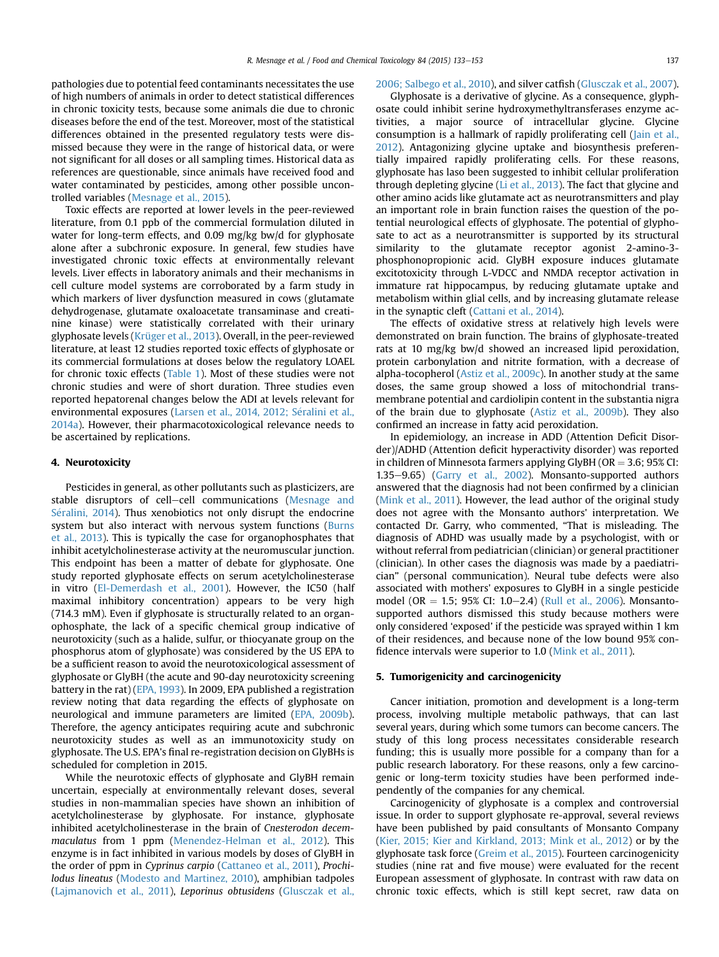pathologies due to potential feed contaminants necessitates the use of high numbers of animals in order to detect statistical differences in chronic toxicity tests, because some animals die due to chronic diseases before the end of the test. Moreover, most of the statistical differences obtained in the presented regulatory tests were dismissed because they were in the range of historical data, or were not significant for all doses or all sampling times. Historical data as references are questionable, since animals have received food and water contaminated by pesticides, among other possible uncontrolled variables [\(Mesnage et al., 2015](#page-19-0)).

Toxic effects are reported at lower levels in the peer-reviewed literature, from 0.1 ppb of the commercial formulation diluted in water for long-term effects, and 0.09 mg/kg bw/d for glyphosate alone after a subchronic exposure. In general, few studies have investigated chronic toxic effects at environmentally relevant levels. Liver effects in laboratory animals and their mechanisms in cell culture model systems are corroborated by a farm study in which markers of liver dysfunction measured in cows (glutamate dehydrogenase, glutamate oxaloacetate transaminase and creatinine kinase) were statistically correlated with their urinary glyphosate levels [\(Krüger et al., 2013](#page-18-0)). Overall, in the peer-reviewed literature, at least 12 studies reported toxic effects of glyphosate or its commercial formulations at doses below the regulatory LOAEL for chronic toxic effects ([Table 1](#page-5-0)). Most of these studies were not chronic studies and were of short duration. Three studies even reported hepatorenal changes below the ADI at levels relevant for environmental exposures ([Larsen et al., 2014, 2012; S](#page-18-0)é[ralini et al.,](#page-18-0) [2014a\)](#page-18-0). However, their pharmacotoxicological relevance needs to be ascertained by replications.

## 4. Neurotoxicity

Pesticides in general, as other pollutants such as plasticizers, are stable disruptors of cell-cell communications ([Mesnage and](#page-19-0) Séralini, 2014). Thus xenobiotics not only disrupt the endocrine system but also interact with nervous system functions ([Burns](#page-16-0) [et al., 2013\)](#page-16-0). This is typically the case for organophosphates that inhibit acetylcholinesterase activity at the neuromuscular junction. This endpoint has been a matter of debate for glyphosate. One study reported glyphosate effects on serum acetylcholinesterase in vitro ([El-Demerdash et al., 2001](#page-17-0)). However, the IC50 (half maximal inhibitory concentration) appears to be very high (714.3 mM). Even if glyphosate is structurally related to an organophosphate, the lack of a specific chemical group indicative of neurotoxicity (such as a halide, sulfur, or thiocyanate group on the phosphorus atom of glyphosate) was considered by the US EPA to be a sufficient reason to avoid the neurotoxicological assessment of glyphosate or GlyBH (the acute and 90-day neurotoxicity screening battery in the rat) [\(EPA, 1993](#page-17-0)). In 2009, EPA published a registration review noting that data regarding the effects of glyphosate on neurological and immune parameters are limited [\(EPA, 2009b\)](#page-17-0). Therefore, the agency anticipates requiring acute and subchronic neurotoxicity studes as well as an immunotoxicity study on glyphosate. The U.S. EPA's final re-registration decision on GlyBHs is scheduled for completion in 2015.

While the neurotoxic effects of glyphosate and GlyBH remain uncertain, especially at environmentally relevant doses, several studies in non-mammalian species have shown an inhibition of acetylcholinesterase by glyphosate. For instance, glyphosate inhibited acetylcholinesterase in the brain of Cnesterodon decemmaculatus from 1 ppm ([Menendez-Helman et al., 2012\)](#page-19-0). This enzyme is in fact inhibited in various models by doses of GlyBH in the order of ppm in Cyprinus carpio [\(Cattaneo et al., 2011](#page-16-0)), Prochilodus lineatus ([Modesto and Martinez, 2010\)](#page-19-0), amphibian tadpoles ([Lajmanovich et al., 2011\)](#page-18-0), Leporinus obtusidens [\(Glusczak et al.,](#page-18-0)

#### [2006; Salbego et al., 2010](#page-18-0)), and silver catfish [\(Glusczak et al., 2007\)](#page-18-0).

Glyphosate is a derivative of glycine. As a consequence, glyphosate could inhibit serine hydroxymethyltransferases enzyme activities, a major source of intracellular glycine. Glycine consumption is a hallmark of rapidly proliferating cell ([Jain et al.,](#page-18-0) [2012\)](#page-18-0). Antagonizing glycine uptake and biosynthesis preferentially impaired rapidly proliferating cells. For these reasons, glyphosate has laso been suggested to inhibit cellular proliferation through depleting glycine ([Li et al., 2013\)](#page-18-0). The fact that glycine and other amino acids like glutamate act as neurotransmitters and play an important role in brain function raises the question of the potential neurological effects of glyphosate. The potential of glyphosate to act as a neurotransmitter is supported by its structural similarity to the glutamate receptor agonist 2-amino-3 phosphonopropionic acid. GlyBH exposure induces glutamate excitotoxicity through L-VDCC and NMDA receptor activation in immature rat hippocampus, by reducing glutamate uptake and metabolism within glial cells, and by increasing glutamate release in the synaptic cleft [\(Cattani et al., 2014](#page-16-0)).

The effects of oxidative stress at relatively high levels were demonstrated on brain function. The brains of glyphosate-treated rats at 10 mg/kg bw/d showed an increased lipid peroxidation, protein carbonylation and nitrite formation, with a decrease of alpha-tocopherol ([Astiz et al., 2009c](#page-16-0)). In another study at the same doses, the same group showed a loss of mitochondrial transmembrane potential and cardiolipin content in the substantia nigra of the brain due to glyphosate ([Astiz et al., 2009b\)](#page-16-0). They also confirmed an increase in fatty acid peroxidation.

In epidemiology, an increase in ADD (Attention Deficit Disorder)/ADHD (Attention deficit hyperactivity disorder) was reported in children of Minnesota farmers applying GlyBH ( $OR = 3.6$ ; 95% CI: 1.35 $-9.65$ ) [\(Garry et al., 2002](#page-17-0)). Monsanto-supported authors answered that the diagnosis had not been confirmed by a clinician ([Mink et al., 2011\)](#page-19-0). However, the lead author of the original study does not agree with the Monsanto authors' interpretation. We contacted Dr. Garry, who commented, "That is misleading. The diagnosis of ADHD was usually made by a psychologist, with or without referral from pediatrician (clinician) or general practitioner (clinician). In other cases the diagnosis was made by a paediatrician" (personal communication). Neural tube defects were also associated with mothers' exposures to GlyBH in a single pesticide model (OR = 1.5; 95% CI: 1.0-2.4) ([Rull et al., 2006](#page-19-0)). Monsantosupported authors dismissed this study because mothers were only considered 'exposed' if the pesticide was sprayed within 1 km of their residences, and because none of the low bound 95% confidence intervals were superior to 1.0 [\(Mink et al., 2011](#page-19-0)).

# 5. Tumorigenicity and carcinogenicity

Cancer initiation, promotion and development is a long-term process, involving multiple metabolic pathways, that can last several years, during which some tumors can become cancers. The study of this long process necessitates considerable research funding; this is usually more possible for a company than for a public research laboratory. For these reasons, only a few carcinogenic or long-term toxicity studies have been performed independently of the companies for any chemical.

Carcinogenicity of glyphosate is a complex and controversial issue. In order to support glyphosate re-approval, several reviews have been published by paid consultants of Monsanto Company ([Kier, 2015; Kier and Kirkland, 2013; Mink et al., 2012\)](#page-18-0) or by the glyphosate task force [\(Greim et al., 2015](#page-18-0)). Fourteen carcinogenicity studies (nine rat and five mouse) were evaluated for the recent European assessment of glyphosate. In contrast with raw data on chronic toxic effects, which is still kept secret, raw data on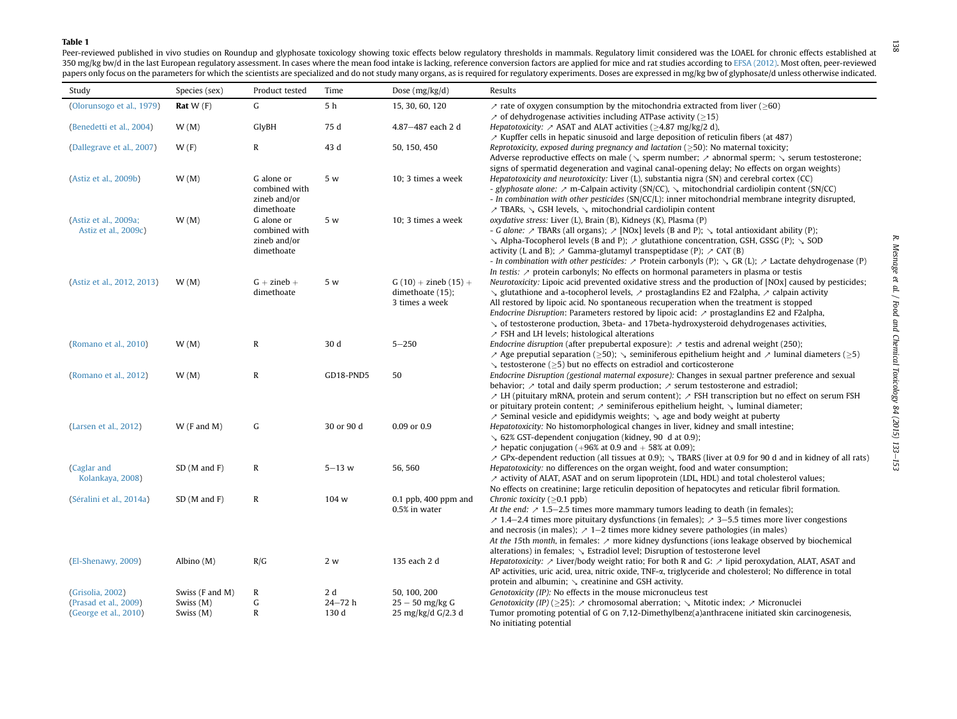#### <span id="page-5-0"></span>Table 1

Peer-reviewed published in vivo studies on Roundup and glyphosate toxicology showing toxic effects below regulatory thresholds in mammals. Regulatory limit considered was the LOAEL for chronic effects established at 350 mg/kg bw/d in the last European regulatory assessment. In cases where the mean food intake is lacking, reference conversion factors are applied for mice and rat studies according to EFSA [\(2012\)](#page-17-0). Most often, peer-review papers only focus on the parameters for which the scientists are specialized and do not study many organs, as is required for regulatory experiments. Doses are expressed in mg/kg bw of glyphosate/d unless otherwise indicat

| Study                      | Species (sex)   | Product tested             | Time           | Dose $(mg/kg/d)$         | Results                                                                                                                                                                                                             |
|----------------------------|-----------------|----------------------------|----------------|--------------------------|---------------------------------------------------------------------------------------------------------------------------------------------------------------------------------------------------------------------|
| (Olorunsogo et al., 1979)  | Rat $W(F)$      | G                          | 5 <sub>h</sub> | 15, 30, 60, 120          | $\lambda$ rate of oxygen consumption by the mitochondria extracted from liver ( $\geq 60$ )                                                                                                                         |
| (Benedetti et al., 2004)   | W(M)            | GlyBH                      | 75 d           | 4.87-487 each 2 d        | $\ge$ of dehydrogenase activities including ATPase activity ( $\ge$ 15)<br><i>Hepatotoxicity:</i> $\sim$ ASAT and ALAT activities ( $\geq$ 4.87 mg/kg/2 d),                                                         |
|                            |                 |                            |                |                          | $\lambda$ Kupffer cells in hepatic sinusoid and large deposition of reticulin fibers (at 487)                                                                                                                       |
| (Dallegrave et al., 2007)  | W(F)            | $\mathbb{R}$               | 43 d           | 50, 150, 450             | Reprotoxicity, exposed during pregnancy and lactation ( $\geq$ 50): No maternal toxicity;                                                                                                                           |
|                            |                 |                            |                |                          | Adverse reproductive effects on male ( $\sqrt{ }$ sperm number; $\rightarrow$ abnormal sperm; $\sqrt{ }$ serum testosterone;                                                                                        |
| (Astiz et al., 2009b)      | W(M)            | G alone or                 | 5 w            | 10; 3 times a week       | signs of spermatid degeneration and vaginal canal-opening delay; No effects on organ weights)<br>Hepatotoxicity and neurotoxicity: Liver $(L)$ , substantia nigra $(SN)$ and cerebral cortex $(CC)$                 |
|                            |                 | combined with              |                |                          | - glyphosate alone: $\geq$ m-Calpain activity (SN/CC), $\searrow$ mitochondrial cardiolipin content (SN/CC)                                                                                                         |
|                            |                 | zineb and/or               |                |                          | - In combination with other pesticides (SN/CC/L): inner mitochondrial membrane integrity disrupted,                                                                                                                 |
|                            |                 | dimethoate                 |                |                          | $\nearrow$ TBARs, $\searrow$ GSH levels, $\searrow$ mitochondrial cardiolipin content                                                                                                                               |
| (Astiz et al., 2009a;      | W(M)            | G alone or                 | 5 w            | 10; 3 times a week       | oxydative stress: Liver (L), Brain (B), Kidneys (K), Plasma (P)                                                                                                                                                     |
| Astiz et al., 2009c)       |                 | combined with              |                |                          | - G alone: $\nearrow$ TBARs (all organs); $\nearrow$ [NOx] levels (B and P); $\searrow$ total antioxidant ability (P);                                                                                              |
|                            |                 | zineb and/or<br>dimethoate |                |                          | $\setminus$ Alpha-Tocopherol levels (B and P); $\nearrow$ glutathione concentration, GSH, GSSG (P); $\searrow$ SOD<br>activity (L and B); $\land$ Gamma-glutamyl transpeptidase (P); $\land$ CAT (B)                |
|                            |                 |                            |                |                          | - In combination with other pesticides: $\geq$ Protein carbonyls (P); $\leq$ GR (L); $\geq$ Lactate dehydrogenase (P)                                                                                               |
|                            |                 |                            |                |                          | In testis: $\ge$ protein carbonyls; No effects on hormonal parameters in plasma or testis                                                                                                                           |
| (Astiz et al., 2012, 2013) | W(M)            | $G + zineb +$              | 5 w            | $G(10) +$ zineb $(15) +$ | Neurotoxicity: Lipoic acid prevented oxidative stress and the production of [NOx] caused by pesticides;                                                                                                             |
|                            |                 | dimethoate                 |                | dimethoate (15);         | $\searrow$ glutathione and a-tocopherol levels, $\nearrow$ prostaglandins E2 and F2alpha, $\nearrow$ calpain activity                                                                                               |
|                            |                 |                            |                | 3 times a week           | All restored by lipoic acid. No spontaneous recuperation when the treatment is stopped<br><i>Endocrine Disruption:</i> Parameters restored by lipoic acid: $\nearrow$ prostaglandins E2 and F2alpha,                |
|                            |                 |                            |                |                          | $\searrow$ of testosterone production, 3beta- and 17beta-hydroxysteroid dehydrogenases activities,                                                                                                                  |
|                            |                 |                            |                |                          | $\ge$ FSH and LH levels; histological alterations                                                                                                                                                                   |
| (Romano et al., 2010)      | W(M)            | $\mathbb{R}$               | 30 d           | $5 - 250$                | <i>Endocrine disruption</i> (after prepubertal exposure): $\ge$ testis and adrenal weight (250);                                                                                                                    |
|                            |                 |                            |                |                          | $\geq$ Age preputial separation ( $\geq$ 50); $\searrow$ seminiferous epithelium height and $\geq$ luminal diameters ( $\geq$ 5)                                                                                    |
| (Romano et al., 2012)      | W(M)            | ${\bf R}$                  | GD18-PND5      | 50                       | $\searrow$ testosterone ( $\geq$ 5) but no effects on estradiol and corticosterone<br>Endocrine Disruption (gestional maternal exposure): Changes in sexual partner preference and sexual                           |
|                            |                 |                            |                |                          | behavior; $\ge$ total and daily sperm production; $\ge$ serum testosterone and estradiol;                                                                                                                           |
|                            |                 |                            |                |                          | $\geq$ LH (pituitary mRNA, protein and serum content); $\geq$ FSH transcription but no effect on serum FSH                                                                                                          |
|                            |                 |                            |                |                          | or pituitary protein content; $\nearrow$ seminiferous epithelium height, $\searrow$ luminal diameter;                                                                                                               |
|                            |                 |                            |                |                          | $\lambda$ Seminal vesicle and epididymis weights; $\lambda$ age and body weight at puberty                                                                                                                          |
| (Larsen et al., 2012)      | $W$ (F and M)   | $\mathsf{G}$               | 30 or 90 d     | 0.09 or 0.9              | Hepatotoxicity: No histomorphological changes in liver, kidney and small intestine;<br>$\searrow$ 62% GST-dependent conjugation (kidney, 90 d at 0.9);                                                              |
|                            |                 |                            |                |                          | $\lambda$ hepatic conjugation (+96% at 0.9 and + 58% at 0.09);                                                                                                                                                      |
|                            |                 |                            |                |                          | $\ge$ GPx-dependent reduction (all tissues at 0.9); $\le$ TBARS (liver at 0.9 for 90 d and in kidney of all rats)                                                                                                   |
| (Caglar and                | $SD$ (M and F)  | $\mathbb{R}$               | $5 - 13 w$     | 56, 560                  | Hepatotoxicity: no differences on the organ weight, food and water consumption;                                                                                                                                     |
| Kolankaya, 2008)           |                 |                            |                |                          | $\lambda$ activity of ALAT, ASAT and on serum lipoprotein (LDL, HDL) and total cholesterol values;                                                                                                                  |
| (Séralini et al., 2014a)   | SD(M and F)     | $\mathbb{R}$               | 104 w          | $0.1$ ppb, $400$ ppm and | No effects on creatinine; large reticulin deposition of hepatocytes and reticular fibril formation.<br>Chronic toxicity ( $\geq$ 0.1 ppb)                                                                           |
|                            |                 |                            |                | 0.5% in water            | At the end: $\ge$ 1.5–2.5 times more mammary tumors leading to death (in females);                                                                                                                                  |
|                            |                 |                            |                |                          | $\ge$ 1.4–2.4 times more pituitary dysfunctions (in females); $\ge$ 3–5.5 times more liver congestions                                                                                                              |
|                            |                 |                            |                |                          | and necrosis (in males); $\ge 1-2$ times more kidney severe pathologies (in males)                                                                                                                                  |
|                            |                 |                            |                |                          | At the 15th month, in females: $\geq$ more kidney dysfunctions (ions leakage observed by biochemical                                                                                                                |
| (El-Shenawy, 2009)         | Albino $(M)$    | R/G                        | 2 w            | 135 each 2 d             | alterations) in females; $\searrow$ Estradiol level; Disruption of testosterone level<br><i>Hepatotoxicity:</i> $\nearrow$ Liver/body weight ratio; For both R and G: $\nearrow$ lipid peroxydation, ALAT, ASAT and |
|                            |                 |                            |                |                          | AP activities, uric acid, urea, nitric oxide, TNF- $\alpha$ , triglyceride and cholesterol; No difference in total                                                                                                  |
|                            |                 |                            |                |                          | protein and albumin; $\searrow$ creatinine and GSH activity.                                                                                                                                                        |
| (Grisolia, 2002)           | Swiss (F and M) | R                          | 2 d            | 50, 100, 200             | Genotoxicity (IP): No effects in the mouse micronucleus test                                                                                                                                                        |
| (Prasad et al., 2009)      | Swiss (M)       | G                          | $24 - 72h$     | $25 - 50$ mg/kg G        | <i>Genotoxicity (IP)</i> ( $\geq$ 25): $\geq$ chromosomal aberration; $\searrow$ Mitotic index; $\geq$ Micronuclei                                                                                                  |
| (George et al., 2010)      | Swiss (M)       | $\mathbb{R}$               | 130 d          | 25 mg/kg/d G/2.3 d       | Tumor promoting potential of G on 7,12-Dimethylbenz(a)anthracene initiated skin carcinogenesis,<br>No initiating potential                                                                                          |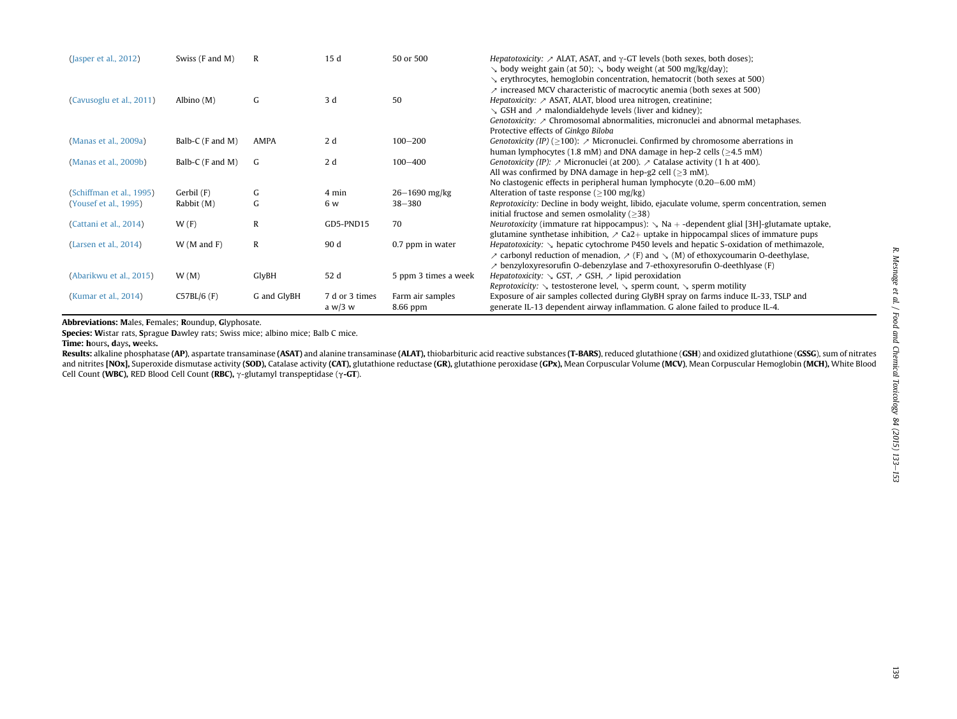| (Jasper et al., 2012)    | Swiss (F and M)  | $\mathbb{R}$ | 15d                         | 50 or 500                    | <i>Hepatotoxicity:</i> $\sim$ ALAT, ASAT, and $\gamma$ -GT levels (both sexes, both doses);<br>$\searrow$ body weight gain (at 50); $\searrow$ body weight (at 500 mg/kg/day);                                                                                                                                                                                                                                                                               |
|--------------------------|------------------|--------------|-----------------------------|------------------------------|--------------------------------------------------------------------------------------------------------------------------------------------------------------------------------------------------------------------------------------------------------------------------------------------------------------------------------------------------------------------------------------------------------------------------------------------------------------|
| (Cavusoglu et al., 2011) | Albino $(M)$     | G            | 3 d                         | 50                           | $\searrow$ erythrocytes, hemoglobin concentration, hematocrit (both sexes at 500)<br>$\lambda$ increased MCV characteristic of macrocytic anemia (both sexes at 500)<br><i>Hepatoxicity:</i> $\nearrow$ ASAT, ALAT, blood urea nitrogen, creatinine;<br>$\setminus$ GSH and $\geq$ malondialdehyde levels (liver and kidney);<br>Genotoxicity: $\geq$ Chromosomal abnormalities, micronuclei and abnormal metaphases.<br>Protective effects of Ginkgo Biloba |
| (Manas et al., 2009a)    | Balb-C (F and M) | AMPA         | 2d                          | $100 - 200$                  | <i>Genotoxicity (IP)</i> ( $\geq$ 100): $\geq$ Micronuclei. Confirmed by chromosome aberrations in<br>human lymphocytes (1.8 mM) and DNA damage in hep-2 cells ( $\geq$ 4.5 mM)                                                                                                                                                                                                                                                                              |
| (Manas et al., 2009b)    | Balb-C (F and M) | G            | 2d                          | $100 - 400$                  | <i>Genotoxicity (IP):</i> $\sim$ Micronuclei (at 200). $\sim$ Catalase activity (1 h at 400).<br>All was confirmed by DNA damage in hep-g2 cell ( $\geq$ 3 mM).<br>No clastogenic effects in peripheral human lymphocyte (0.20–6.00 mM)                                                                                                                                                                                                                      |
| (Schiffman et al., 1995) | Gerbil (F)       | G            | 4 min                       | $26 - 1690$ mg/kg            | Alteration of taste response ( $>100$ mg/kg)                                                                                                                                                                                                                                                                                                                                                                                                                 |
| (Yousef et al., 1995)    | Rabbit (M)       | G            | 6 w                         | $38 - 380$                   | Reprotoxicity: Decline in body weight, libido, ejaculate volume, sperm concentration, semen<br>initial fructose and semen osmolality $($ >38)                                                                                                                                                                                                                                                                                                                |
| (Cattani et al., 2014)   | W(F)             | R            | GD5-PND15                   | 70                           | <i>Neurotoxicity</i> (immature rat hippocampus): $\searrow$ Na + -dependent glial [3H]-glutamate uptake,<br>glutamine synthetase inhibition, $\geq$ Ca2+ uptake in hippocampal slices of immature pups                                                                                                                                                                                                                                                       |
| (Larsen et al., 2014)    | $W(M$ and $F)$   | R            | 90 d                        | 0.7 ppm in water             | <i>Hepatotoxicity:</i> $\sim$ hepatic cytochrome P450 levels and hepatic S-oxidation of methimazole,<br>$\ge$ carbonyl reduction of menadion, $\ge$ (F) and $\le$ (M) of ethoxycoumarin O-deethylase,<br>$\ge$ benzyloxyresorufin O-debenzylase and 7-ethoxyresorufin O-deethlyase (F)                                                                                                                                                                       |
| (Abarikwu et al., 2015)  | W(M)             | GlyBH        | 52 d                        | 5 ppm 3 times a week         | Hepatotoxicity: $\setminus$ GST, $\geq$ GSH, $\geq$ lipid peroxidation<br><i>Reprotoxicity:</i> $\searrow$ testosterone level, $\searrow$ sperm count, $\searrow$ sperm motility                                                                                                                                                                                                                                                                             |
| (Kumar et al., 2014)     | $C57BL/6$ (F)    | G and GlyBH  | 7 d or 3 times<br>a $w/3$ w | Farm air samples<br>8.66 ppm | Exposure of air samples collected during GlyBH spray on farms induce IL-33, TSLP and<br>generate IL-13 dependent airway inflammation. G alone failed to produce IL-4.                                                                                                                                                                                                                                                                                        |

Abbreviations: Males, Females; Roundup, Glyphosate.

Species: Wistar rats, Sprague Dawley rats; Swiss mice; albino mice; Balb C mice.

Time: hours, days, <sup>w</sup>eeks.

**Results:** alkaline phosphatase (**AP**), aspartate transaminase (**ASAT)** and alanine transaminase (**ALAT**), thiobarbituric acid reactive substances (**T-BARS**), reduced glutathione (**GSH**) and oxidized glutathione (**GSS**G), and nitrites [NOx], Superoxide dismutase activity (SOD), Catalase activity (CAT), glutathione reductase (GR), glutathione peroxidase (GPx), Mean Corpuscular Volume (MCV), Mean Corpuscular Hemoglobin (MCH), White Blood Cell Count (WBC), RED Blood Cell Count (RBC),  $\gamma$ -glutamyl transpeptidase ( $\gamma$ -GT).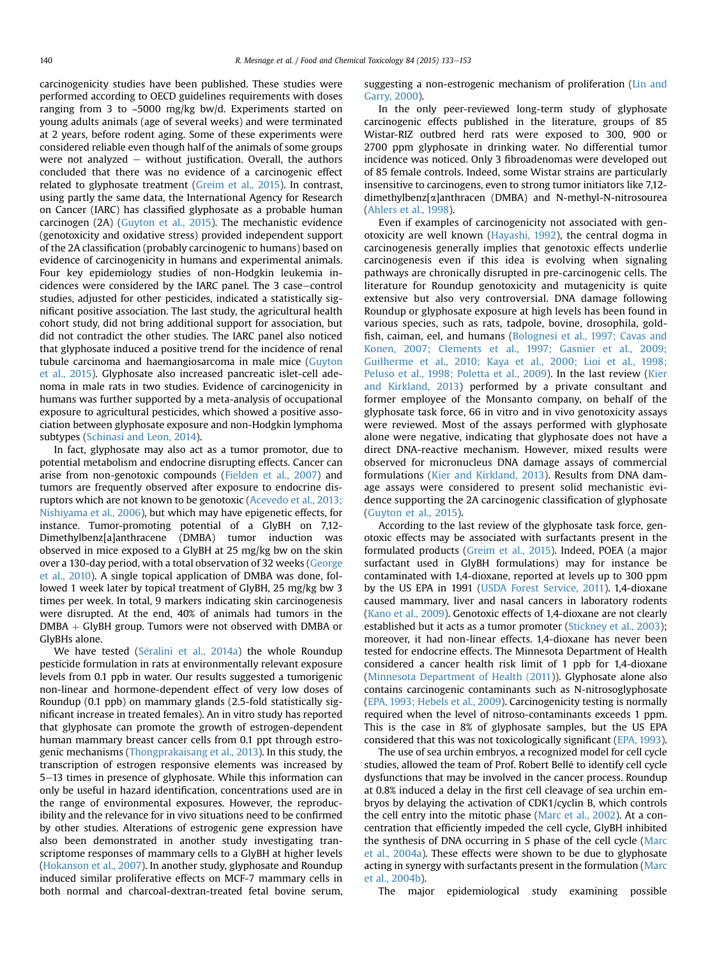carcinogenicity studies have been published. These studies were performed according to OECD guidelines requirements with doses ranging from 3 to ~5000 mg/kg bw/d. Experiments started on young adults animals (age of several weeks) and were terminated at 2 years, before rodent aging. Some of these experiments were considered reliable even though half of the animals of some groups were not analyzed  $-$  without justification. Overall, the authors concluded that there was no evidence of a carcinogenic effect related to glyphosate treatment [\(Greim et al., 2015\)](#page-18-0). In contrast, using partly the same data, the International Agency for Research on Cancer (IARC) has classified glyphosate as a probable human carcinogen (2A) [\(Guyton et al., 2015](#page-18-0)). The mechanistic evidence (genotoxicity and oxidative stress) provided independent support of the 2A classification (probably carcinogenic to humans) based on evidence of carcinogenicity in humans and experimental animals. Four key epidemiology studies of non-Hodgkin leukemia incidences were considered by the IARC panel. The 3 case-control studies, adjusted for other pesticides, indicated a statistically significant positive association. The last study, the agricultural health cohort study, did not bring additional support for association, but did not contradict the other studies. The IARC panel also noticed that glyphosate induced a positive trend for the incidence of renal tubule carcinoma and haemangiosarcoma in male mice [\(Guyton](#page-18-0) [et al., 2015](#page-18-0)). Glyphosate also increased pancreatic islet-cell adenoma in male rats in two studies. Evidence of carcinogenicity in humans was further supported by a meta-analysis of occupational exposure to agricultural pesticides, which showed a positive association between glyphosate exposure and non-Hodgkin lymphoma subtypes ([Schinasi and Leon, 2014\)](#page-19-0).

In fact, glyphosate may also act as a tumor promotor, due to potential metabolism and endocrine disrupting effects. Cancer can arise from non-genotoxic compounds ([Fielden et al., 2007\)](#page-17-0) and tumors are frequently observed after exposure to endocrine disruptors which are not known to be genotoxic [\(Acevedo et al., 2013;](#page-16-0) [Nishiyama et al., 2006\)](#page-16-0), but which may have epigenetic effects, for instance. Tumor-promoting potential of a GlyBH on 7,12- Dimethylbenz[a]anthracene (DMBA) tumor induction was observed in mice exposed to a GlyBH at 25 mg/kg bw on the skin over a 130-day period, with a total observation of 32 weeks [\(George](#page-17-0) [et al., 2010](#page-17-0)). A single topical application of DMBA was done, followed 1 week later by topical treatment of GlyBH, 25 mg/kg bw 3 times per week. In total, 9 markers indicating skin carcinogenesis were disrupted. At the end, 40% of animals had tumors in the  $DMBA + GlyBH$  group. Tumors were not observed with DMBA or GlyBHs alone.

We have tested ([S](#page-19-0)é[ralini et al., 2014a](#page-19-0)) the whole Roundup pesticide formulation in rats at environmentally relevant exposure levels from 0.1 ppb in water. Our results suggested a tumorigenic non-linear and hormone-dependent effect of very low doses of Roundup (0.1 ppb) on mammary glands (2.5-fold statistically significant increase in treated females). An in vitro study has reported that glyphosate can promote the growth of estrogen-dependent human mammary breast cancer cells from 0.1 ppt through estrogenic mechanisms [\(Thongprakaisang et al., 2013](#page-20-0)). In this study, the transcription of estrogen responsive elements was increased by 5–13 times in presence of glyphosate. While this information can only be useful in hazard identification, concentrations used are in the range of environmental exposures. However, the reproducibility and the relevance for in vivo situations need to be confirmed by other studies. Alterations of estrogenic gene expression have also been demonstrated in another study investigating transcriptome responses of mammary cells to a GlyBH at higher levels ([Hokanson et al., 2007](#page-18-0)). In another study, glyphosate and Roundup induced similar proliferative effects on MCF-7 mammary cells in both normal and charcoal-dextran-treated fetal bovine serum, suggesting a non-estrogenic mechanism of proliferation ([Lin and](#page-18-0) [Garry, 2000\)](#page-18-0).

In the only peer-reviewed long-term study of glyphosate carcinogenic effects published in the literature, groups of 85 Wistar-RIZ outbred herd rats were exposed to 300, 900 or 2700 ppm glyphosate in drinking water. No differential tumor incidence was noticed. Only 3 fibroadenomas were developed out of 85 female controls. Indeed, some Wistar strains are particularly insensitive to carcinogens, even to strong tumor initiators like 7,12 dimethylbenz[a]anthracen (DMBA) and N-methyl-N-nitrosourea ([Ahlers et al., 1998](#page-16-0)).

Even if examples of carcinogenicity not associated with genotoxicity are well known ([Hayashi, 1992\)](#page-18-0), the central dogma in carcinogenesis generally implies that genotoxic effects underlie carcinogenesis even if this idea is evolving when signaling pathways are chronically disrupted in pre-carcinogenic cells. The literature for Roundup genotoxicity and mutagenicity is quite extensive but also very controversial. DNA damage following Roundup or glyphosate exposure at high levels has been found in various species, such as rats, tadpole, bovine, drosophila, goldfish, caiman, eel, and humans ([Bolognesi et al., 1997; Cavas and](#page-16-0) [Konen, 2007; Clements et al., 1997; Gasnier et al., 2009;](#page-16-0) [Guilherme et al., 2010; Kaya et al., 2000; Lioi et al., 1998;](#page-16-0) [Peluso et al., 1998; Poletta et al., 2009](#page-16-0)). In the last review [\(Kier](#page-18-0) [and Kirkland, 2013\)](#page-18-0) performed by a private consultant and former employee of the Monsanto company, on behalf of the glyphosate task force, 66 in vitro and in vivo genotoxicity assays were reviewed. Most of the assays performed with glyphosate alone were negative, indicating that glyphosate does not have a direct DNA-reactive mechanism. However, mixed results were observed for micronucleus DNA damage assays of commercial formulations ([Kier and Kirkland, 2013](#page-18-0)). Results from DNA damage assays were considered to present solid mechanistic evidence supporting the 2A carcinogenic classification of glyphosate ([Guyton et al., 2015](#page-18-0)).

According to the last review of the glyphosate task force, genotoxic effects may be associated with surfactants present in the formulated products ([Greim et al., 2015](#page-18-0)). Indeed, POEA (a major surfactant used in GlyBH formulations) may for instance be contaminated with 1,4-dioxane, reported at levels up to 300 ppm by the US EPA in 1991 ([USDA Forest Service, 2011\)](#page-20-0). 1,4-dioxane caused mammary, liver and nasal cancers in laboratory rodents ([Kano et al., 2009](#page-18-0)). Genotoxic effects of 1,4-dioxane are not clearly established but it acts as a tumor promoter [\(Stickney et al., 2003](#page-20-0)); moreover, it had non-linear effects. 1,4-dioxane has never been tested for endocrine effects. The Minnesota Department of Health considered a cancer health risk limit of 1 ppb for 1,4-dioxane ([Minnesota Department of Health \(2011](#page-19-0))). Glyphosate alone also contains carcinogenic contaminants such as N-nitrosoglyphosate ([EPA, 1993; Hebels et al., 2009](#page-17-0)). Carcinogenicity testing is normally required when the level of nitroso-contaminants exceeds 1 ppm. This is the case in 8% of glyphosate samples, but the US EPA considered that this was not toxicologically significant ([EPA, 1993\)](#page-17-0).

The use of sea urchin embryos, a recognized model for cell cycle studies, allowed the team of Prof. Robert Bellé to identify cell cycle dysfunctions that may be involved in the cancer process. Roundup at 0.8% induced a delay in the first cell cleavage of sea urchin embryos by delaying the activation of CDK1/cyclin B, which controls the cell entry into the mitotic phase ([Marc et al., 2002](#page-19-0)). At a concentration that efficiently impeded the cell cycle, GlyBH inhibited the synthesis of DNA occurring in S phase of the cell cycle ([Marc](#page-18-0) [et al., 2004a\)](#page-18-0). These effects were shown to be due to glyphosate acting in synergy with surfactants present in the formulation ([Marc](#page-18-0) [et al., 2004b\)](#page-18-0).

The major epidemiological study examining possible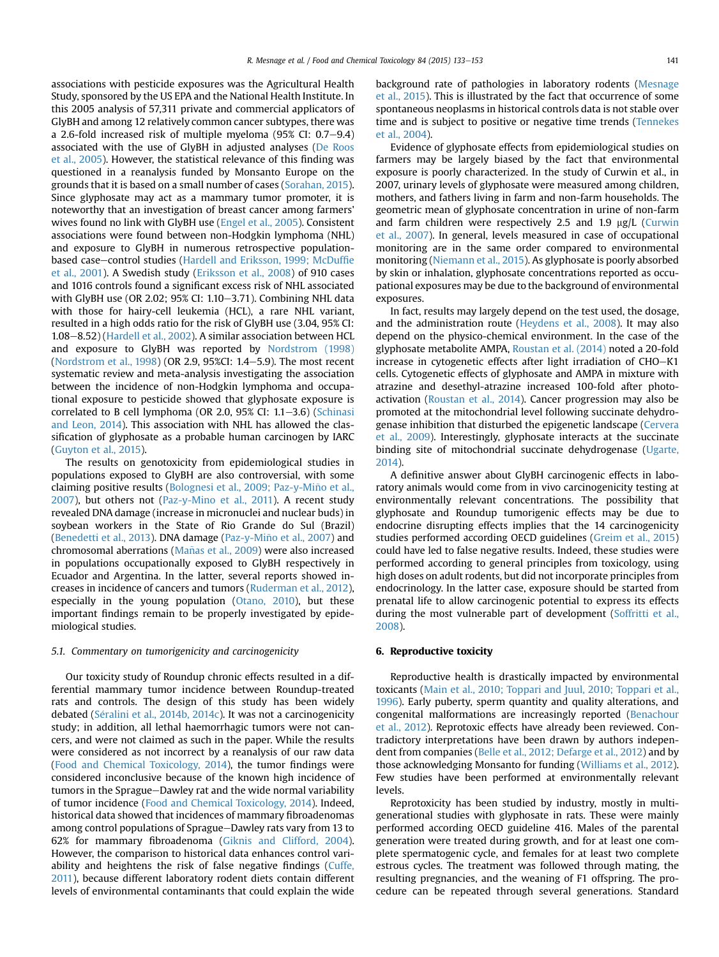associations with pesticide exposures was the Agricultural Health Study, sponsored by the US EPA and the National Health Institute. In this 2005 analysis of 57,311 private and commercial applicators of GlyBH and among 12 relatively common cancer subtypes, there was a 2.6-fold increased risk of multiple myeloma (95% CI:  $0.7-9.4$ ) associated with the use of GlyBH in adjusted analyses ([De Roos](#page-17-0) [et al., 2005\)](#page-17-0). However, the statistical relevance of this finding was questioned in a reanalysis funded by Monsanto Europe on the grounds that it is based on a small number of cases [\(Sorahan, 2015\)](#page-20-0). Since glyphosate may act as a mammary tumor promoter, it is noteworthy that an investigation of breast cancer among farmers' wives found no link with GlyBH use ([Engel et al., 2005](#page-17-0)). Consistent associations were found between non-Hodgkin lymphoma (NHL) and exposure to GlyBH in numerous retrospective population-based case-control studies ([Hardell and Eriksson, 1999; McDuf](#page-18-0)fie [et al., 2001](#page-18-0)). A Swedish study [\(Eriksson et al., 2008](#page-17-0)) of 910 cases and 1016 controls found a significant excess risk of NHL associated with GlyBH use (OR 2.02; 95% CI: 1.10-3.71). Combining NHL data with those for hairy-cell leukemia (HCL), a rare NHL variant, resulted in a high odds ratio for the risk of GlyBH use (3.04, 95% CI: 1.08-8.52) [\(Hardell et al., 2002](#page-18-0)). A similar association between HCL and exposure to GlyBH was reported by [Nordstrom \(1998\)](#page-19-0) ([Nordstrom et al., 1998](#page-19-0)) (OR 2.9, 95%CI: 1.4-5.9). The most recent systematic review and meta-analysis investigating the association between the incidence of non-Hodgkin lymphoma and occupational exposure to pesticide showed that glyphosate exposure is correlated to B cell lymphoma (OR 2.0, 95% CI: 1.1-3.6) ([Schinasi](#page-19-0) [and Leon, 2014\)](#page-19-0). This association with NHL has allowed the classification of glyphosate as a probable human carcinogen by IARC ([Guyton et al., 2015\)](#page-18-0).

The results on genotoxicity from epidemiological studies in populations exposed to GlyBH are also controversial, with some claiming positive results (Bolognesi et al., 2009; Paz-y-Miño et al., [2007\)](#page-16-0), but others not ([Paz-y-Mino et al., 2011](#page-19-0)). A recent study revealed DNA damage (increase in micronuclei and nuclear buds) in soybean workers in the State of Rio Grande do Sul (Brazil) ([Benedetti et al., 2013\)](#page-16-0). DNA damage (Paz-y-Miño et al., 2007) and chromosomal aberrations (Mañas et al., 2009) were also increased in populations occupationally exposed to GlyBH respectively in Ecuador and Argentina. In the latter, several reports showed increases in incidence of cancers and tumors [\(Ruderman et al., 2012\)](#page-19-0), especially in the young population ([Otano, 2010](#page-19-0)), but these important findings remain to be properly investigated by epidemiological studies.

# 5.1. Commentary on tumorigenicity and carcinogenicity

Our toxicity study of Roundup chronic effects resulted in a differential mammary tumor incidence between Roundup-treated rats and controls. The design of this study has been widely debated (Séralini et al., 2014b, 2014c). It was not a carcinogenicity study; in addition, all lethal haemorrhagic tumors were not cancers, and were not claimed as such in the paper. While the results were considered as not incorrect by a reanalysis of our raw data ([Food and Chemical Toxicology, 2014\)](#page-17-0), the tumor findings were considered inconclusive because of the known high incidence of tumors in the Sprague-Dawley rat and the wide normal variability of tumor incidence ([Food and Chemical Toxicology, 2014](#page-17-0)). Indeed, historical data showed that incidences of mammary fibroadenomas among control populations of Sprague-Dawley rats vary from 13 to 62% for mammary fibroadenoma ([Giknis and Clifford, 2004\)](#page-17-0). However, the comparison to historical data enhances control variability and heightens the risk of false negative findings [\(Cuffe,](#page-17-0) [2011](#page-17-0)), because different laboratory rodent diets contain different levels of environmental contaminants that could explain the wide

background rate of pathologies in laboratory rodents [\(Mesnage](#page-19-0) [et al., 2015\)](#page-19-0). This is illustrated by the fact that occurrence of some spontaneous neoplasms in historical controls data is not stable over time and is subject to positive or negative time trends [\(Tennekes](#page-20-0) [et al., 2004\)](#page-20-0).

Evidence of glyphosate effects from epidemiological studies on farmers may be largely biased by the fact that environmental exposure is poorly characterized. In the study of Curwin et al., in 2007, urinary levels of glyphosate were measured among children, mothers, and fathers living in farm and non-farm households. The geometric mean of glyphosate concentration in urine of non-farm and farm children were respectively 2.5 and 1.9 µg/L ([Curwin](#page-17-0) [et al., 2007](#page-17-0)). In general, levels measured in case of occupational monitoring are in the same order compared to environmental monitoring ([Niemann et al., 2015](#page-19-0)). As glyphosate is poorly absorbed by skin or inhalation, glyphosate concentrations reported as occupational exposures may be due to the background of environmental exposures.

In fact, results may largely depend on the test used, the dosage, and the administration route ([Heydens et al., 2008\)](#page-18-0). It may also depend on the physico-chemical environment. In the case of the glyphosate metabolite AMPA, [Roustan et al. \(2014\)](#page-19-0) noted a 20-fold increase in cytogenetic effects after light irradiation of CHO-K1 cells. Cytogenetic effects of glyphosate and AMPA in mixture with atrazine and desethyl-atrazine increased 100-fold after photoactivation ([Roustan et al., 2014](#page-19-0)). Cancer progression may also be promoted at the mitochondrial level following succinate dehydrogenase inhibition that disturbed the epigenetic landscape ([Cervera](#page-17-0) [et al., 2009](#page-17-0)). Interestingly, glyphosate interacts at the succinate binding site of mitochondrial succinate dehydrogenase ([Ugarte,](#page-20-0) [2014\)](#page-20-0).

A definitive answer about GlyBH carcinogenic effects in laboratory animals would come from in vivo carcinogenicity testing at environmentally relevant concentrations. The possibility that glyphosate and Roundup tumorigenic effects may be due to endocrine disrupting effects implies that the 14 carcinogenicity studies performed according OECD guidelines ([Greim et al., 2015\)](#page-18-0) could have led to false negative results. Indeed, these studies were performed according to general principles from toxicology, using high doses on adult rodents, but did not incorporate principles from endocrinology. In the latter case, exposure should be started from prenatal life to allow carcinogenic potential to express its effects during the most vulnerable part of development ([Soffritti et al.,](#page-20-0) [2008\)](#page-20-0).

# 6. Reproductive toxicity

Reproductive health is drastically impacted by environmental toxicants [\(Main et al., 2010; Toppari and Juul, 2010; Toppari et al.,](#page-18-0) [1996\)](#page-18-0). Early puberty, sperm quantity and quality alterations, and congenital malformations are increasingly reported [\(Benachour](#page-16-0) [et al., 2012\)](#page-16-0). Reprotoxic effects have already been reviewed. Contradictory interpretations have been drawn by authors independent from companies [\(Belle et al., 2012; Defarge et al., 2012](#page-16-0)) and by those acknowledging Monsanto for funding [\(Williams et al., 2012\)](#page-20-0). Few studies have been performed at environmentally relevant levels.

Reprotoxicity has been studied by industry, mostly in multigenerational studies with glyphosate in rats. These were mainly performed according OECD guideline 416. Males of the parental generation were treated during growth, and for at least one complete spermatogenic cycle, and females for at least two complete estrous cycles. The treatment was followed through mating, the resulting pregnancies, and the weaning of F1 offspring. The procedure can be repeated through several generations. Standard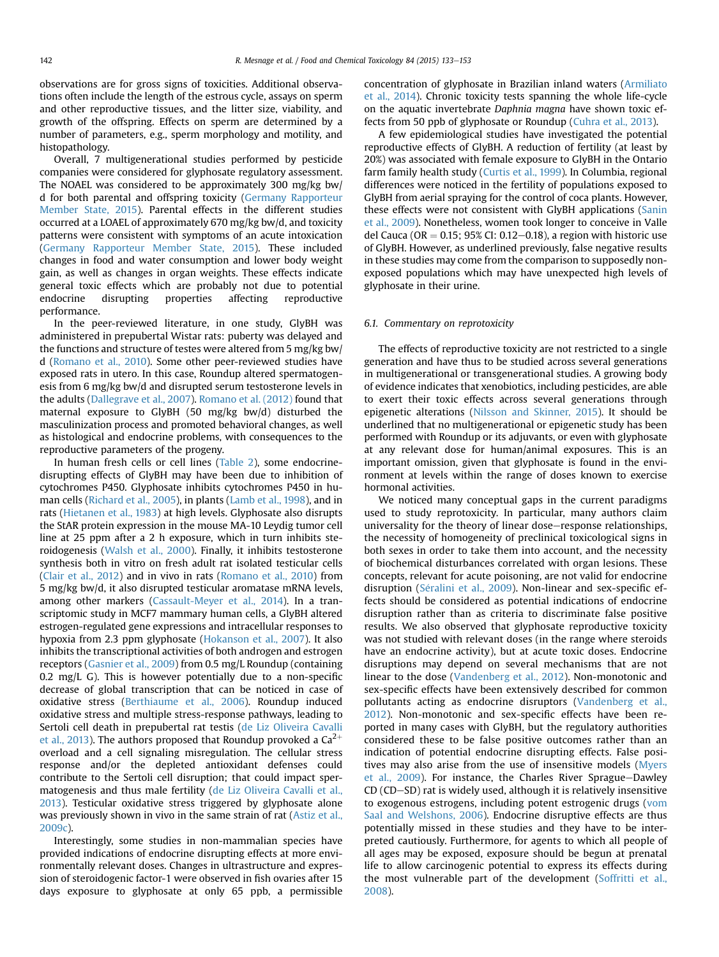observations are for gross signs of toxicities. Additional observations often include the length of the estrous cycle, assays on sperm and other reproductive tissues, and the litter size, viability, and growth of the offspring. Effects on sperm are determined by a number of parameters, e.g., sperm morphology and motility, and histopathology.

Overall, 7 multigenerational studies performed by pesticide companies were considered for glyphosate regulatory assessment. The NOAEL was considered to be approximately 300 mg/kg bw/ d for both parental and offspring toxicity ([Germany Rapporteur](#page-17-0) [Member State, 2015\)](#page-17-0). Parental effects in the different studies occurred at a LOAEL of approximately 670 mg/kg bw/d, and toxicity patterns were consistent with symptoms of an acute intoxication ([Germany Rapporteur Member State, 2015\)](#page-17-0). These included changes in food and water consumption and lower body weight gain, as well as changes in organ weights. These effects indicate general toxic effects which are probably not due to potential endocrine disrupting properties affecting reproductive performance.

In the peer-reviewed literature, in one study, GlyBH was administered in prepubertal Wistar rats: puberty was delayed and the functions and structure of testes were altered from 5 mg/kg bw/ d [\(Romano et al., 2010](#page-19-0)). Some other peer-reviewed studies have exposed rats in utero. In this case, Roundup altered spermatogenesis from 6 mg/kg bw/d and disrupted serum testosterone levels in the adults [\(Dallegrave et al., 2007](#page-17-0)). [Romano et al. \(2012\)](#page-19-0) found that maternal exposure to GlyBH (50 mg/kg bw/d) disturbed the masculinization process and promoted behavioral changes, as well as histological and endocrine problems, with consequences to the reproductive parameters of the progeny.

In human fresh cells or cell lines ([Table 2](#page-10-0)), some endocrinedisrupting effects of GlyBH may have been due to inhibition of cytochromes P450. Glyphosate inhibits cytochromes P450 in human cells ([Richard et al., 2005\)](#page-19-0), in plants ([Lamb et al., 1998](#page-18-0)), and in rats [\(Hietanen et al., 1983](#page-18-0)) at high levels. Glyphosate also disrupts the StAR protein expression in the mouse MA-10 Leydig tumor cell line at 25 ppm after a 2 h exposure, which in turn inhibits steroidogenesis ([Walsh et al., 2000](#page-20-0)). Finally, it inhibits testosterone synthesis both in vitro on fresh adult rat isolated testicular cells ([Clair et al., 2012\)](#page-17-0) and in vivo in rats ([Romano et al., 2010](#page-19-0)) from 5 mg/kg bw/d, it also disrupted testicular aromatase mRNA levels, among other markers ([Cassault-Meyer et al., 2014\)](#page-16-0). In a transcriptomic study in MCF7 mammary human cells, a GlyBH altered estrogen-regulated gene expressions and intracellular responses to hypoxia from 2.3 ppm glyphosate ([Hokanson et al., 2007\)](#page-18-0). It also inhibits the transcriptional activities of both androgen and estrogen receptors [\(Gasnier et al., 2009\)](#page-17-0) from 0.5 mg/L Roundup (containing 0.2 mg/L G). This is however potentially due to a non-specific decrease of global transcription that can be noticed in case of oxidative stress ([Berthiaume et al., 2006\)](#page-16-0). Roundup induced oxidative stress and multiple stress-response pathways, leading to Sertoli cell death in prepubertal rat testis [\(de Liz Oliveira Cavalli](#page-17-0) [et al., 2013\)](#page-17-0). The authors proposed that Roundup provoked a  $Ca^{2+}$ overload and a cell signaling misregulation. The cellular stress response and/or the depleted antioxidant defenses could contribute to the Sertoli cell disruption; that could impact spermatogenesis and thus male fertility [\(de Liz Oliveira Cavalli et al.,](#page-17-0) [2013](#page-17-0)). Testicular oxidative stress triggered by glyphosate alone was previously shown in vivo in the same strain of rat ([Astiz et al.,](#page-16-0) [2009c\)](#page-16-0).

Interestingly, some studies in non-mammalian species have provided indications of endocrine disrupting effects at more environmentally relevant doses. Changes in ultrastructure and expression of steroidogenic factor-1 were observed in fish ovaries after 15 days exposure to glyphosate at only 65 ppb, a permissible concentration of glyphosate in Brazilian inland waters [\(Armiliato](#page-16-0) [et al., 2014\)](#page-16-0). Chronic toxicity tests spanning the whole life-cycle on the aquatic invertebrate Daphnia magna have shown toxic effects from 50 ppb of glyphosate or Roundup ([Cuhra et al., 2013\)](#page-17-0).

A few epidemiological studies have investigated the potential reproductive effects of GlyBH. A reduction of fertility (at least by 20%) was associated with female exposure to GlyBH in the Ontario farm family health study [\(Curtis et al., 1999](#page-17-0)). In Columbia, regional differences were noticed in the fertility of populations exposed to GlyBH from aerial spraying for the control of coca plants. However, these effects were not consistent with GlyBH applications ([Sanin](#page-19-0) [et al., 2009\)](#page-19-0). Nonetheless, women took longer to conceive in Valle del Cauca (OR = 0.15; 95% CI: 0.12-0.18), a region with historic use of GlyBH. However, as underlined previously, false negative results in these studies may come from the comparison to supposedly nonexposed populations which may have unexpected high levels of glyphosate in their urine.

#### 6.1. Commentary on reprotoxicity

The effects of reproductive toxicity are not restricted to a single generation and have thus to be studied across several generations in multigenerational or transgenerational studies. A growing body of evidence indicates that xenobiotics, including pesticides, are able to exert their toxic effects across several generations through epigenetic alterations [\(Nilsson and Skinner, 2015](#page-19-0)). It should be underlined that no multigenerational or epigenetic study has been performed with Roundup or its adjuvants, or even with glyphosate at any relevant dose for human/animal exposures. This is an important omission, given that glyphosate is found in the environment at levels within the range of doses known to exercise hormonal activities.

We noticed many conceptual gaps in the current paradigms used to study reprotoxicity. In particular, many authors claim universality for the theory of linear dose–response relationships, the necessity of homogeneity of preclinical toxicological signs in both sexes in order to take them into account, and the necessity of biochemical disturbances correlated with organ lesions. These concepts, relevant for acute poisoning, are not valid for endocrine disruption ([S](#page-20-0)é[ralini et al., 2009](#page-20-0)). Non-linear and sex-specific effects should be considered as potential indications of endocrine disruption rather than as criteria to discriminate false positive results. We also observed that glyphosate reproductive toxicity was not studied with relevant doses (in the range where steroids have an endocrine activity), but at acute toxic doses. Endocrine disruptions may depend on several mechanisms that are not linear to the dose ([Vandenberg et al., 2012](#page-20-0)). Non-monotonic and sex-specific effects have been extensively described for common pollutants acting as endocrine disruptors [\(Vandenberg et al.,](#page-20-0) [2012](#page-20-0)). Non-monotonic and sex-specific effects have been reported in many cases with GlyBH, but the regulatory authorities considered these to be false positive outcomes rather than an indication of potential endocrine disrupting effects. False posi-tives may also arise from the use of insensitive models [\(Myers](#page-19-0) [et al., 2009](#page-19-0)). For instance, the Charles River Sprague-Dawley  $CD (CD–SD)$  rat is widely used, although it is relatively insensitive to exogenous estrogens, including potent estrogenic drugs [\(vom](#page-20-0) [Saal and Welshons, 2006](#page-20-0)). Endocrine disruptive effects are thus potentially missed in these studies and they have to be interpreted cautiously. Furthermore, for agents to which all people of all ages may be exposed, exposure should be begun at prenatal life to allow carcinogenic potential to express its effects during the most vulnerable part of the development [\(Soffritti et al.,](#page-20-0) [2008](#page-20-0)).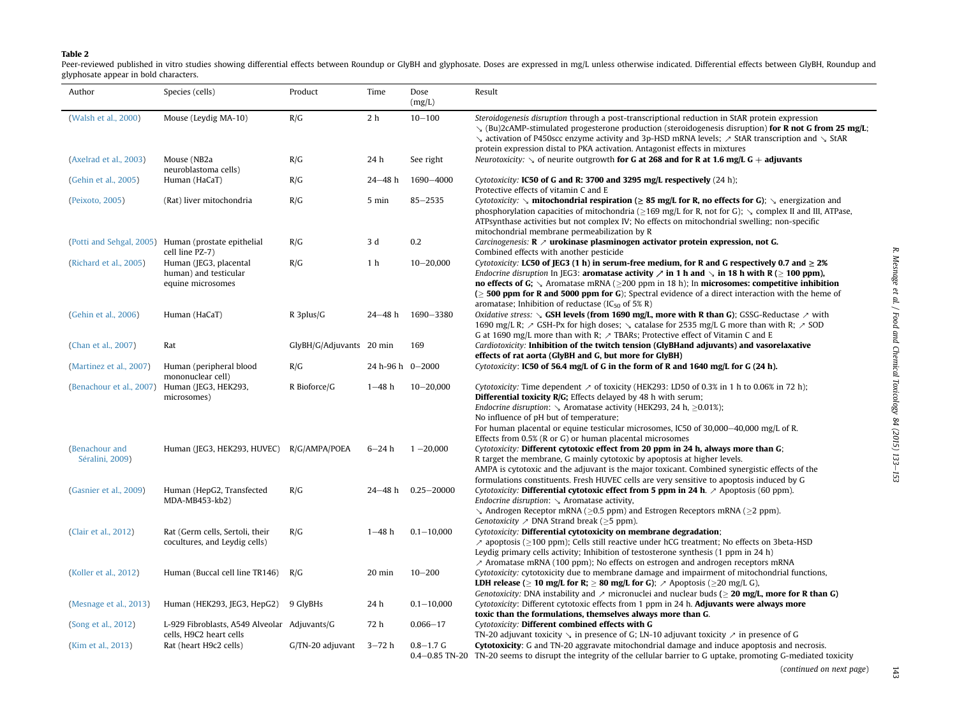#### <span id="page-10-0"></span>Table 2

Peer-reviewed published in vitro studies showing differential effects between Roundup or GlyBH and glyphosate. Doses are expressed in mg/L unless otherwise indicated. Differential effects between GlyBH, Roundup and glyphosate appear in bold characters.

| Author                            | Species (cells)                                                         | Product                     | Time             | Dose<br>(mg/L)     | Result                                                                                                                                                                                                                                                                                                                                                                                                                                                                                                                                                              |
|-----------------------------------|-------------------------------------------------------------------------|-----------------------------|------------------|--------------------|---------------------------------------------------------------------------------------------------------------------------------------------------------------------------------------------------------------------------------------------------------------------------------------------------------------------------------------------------------------------------------------------------------------------------------------------------------------------------------------------------------------------------------------------------------------------|
| (Walsh et al., 2000)              | Mouse (Leydig MA-10)                                                    | R/G                         | 2 <sub>h</sub>   | $10 - 100$         | Steroidogenesis disruption through a post-transcriptional reduction in StAR protein expression<br>$\setminus$ (Bu)2cAMP-stimulated progesterone production (steroidogenesis disruption) for R not G from 25 mg/L;<br>$\sim$ activation of P450scc enzyme activity and 3p-HSD mRNA levels; $\geq$ StAR transcription and $\sim$ StAR                                                                                                                                                                                                                                 |
| (Axelrad et al., 2003)            | Mouse (NB2a                                                             | R/G                         | 24 h             | See right          | protein expression distal to PKA activation. Antagonist effects in mixtures<br><i>Neurotoxicity:</i> $\sim$ of neurite outgrowth <b>for G at 268 and for R at 1.6 mg/L G</b> + <b>adjuvants</b>                                                                                                                                                                                                                                                                                                                                                                     |
| (Gehin et al., 2005)              | neuroblastoma cells)<br>Human (HaCaT)                                   | R/G                         | $24 - 48$ h      | 1690-4000          | Cytotoxicity: IC50 of G and R: 3700 and 3295 mg/L respectively (24 h);                                                                                                                                                                                                                                                                                                                                                                                                                                                                                              |
| (Peixoto, 2005)                   | (Rat) liver mitochondria                                                | R/G                         | 5 min            | $85 - 2535$        | Protective effects of vitamin C and E<br>Cytotoxicity: $\searrow$ mitochondrial respiration ( $\geq 85$ mg/L for R, no effects for G); $\searrow$ energization and<br>phosphorylation capacities of mitochondria ( $\geq$ 169 mg/L for R, not for G); $\searrow$ complex II and III, ATPase,<br>ATPsynthase activities but not complex IV; No effects on mitochondrial swelling; non-specific<br>mitochondrial membrane permeabilization by R                                                                                                                       |
|                                   | (Potti and Sehgal, 2005) Human (prostate epithelial<br>cell line PZ-7)  | R/G                         | 3 d              | 0.2                | <i>Carcinogenesis:</i> $\mathbb{R}$ $\geq$ <b>urokinase plasminogen activator protein expression, not G.</b><br>Combined effects with another pesticide                                                                                                                                                                                                                                                                                                                                                                                                             |
| (Richard et al., 2005)            | Human (JEG3, placental<br>human) and testicular<br>equine microsomes    | R/G                         | 1 <sub>h</sub>   | $10 - 20,000$      | <i>Cytotoxicity:</i> LC50 of JEG3 (1 h) in serum-free medium, for R and G respectively 0.7 and $\geq$ 2%<br><i>Endocrine disruption</i> In [EG3: <b>aromatase activity</b> $\nearrow$ <b>in 1 h and</b> $\searrow$ <b>in 18 h with R</b> ( $\geq$ <b>100 ppm)</b> ,<br><b>no effects of G;</b> $\searrow$ Aromatase mRNA ( $\geq$ 200 ppm in 18 h); In <b>microsomes: competitive inhibition</b><br>$\geq$ 500 ppm for R and 5000 ppm for G); Spectral evidence of a direct interaction with the heme of<br>aromatase; Inhibition of reductase (IC $_{50}$ of 5% R) |
| (Gehin et al., 2006)              | Human (HaCaT)                                                           | $R$ 3plus/ $G$              | 24–48 h          | 1690-3380          | <i>Oxidative stress:</i> $\sim$ <b>GSH levels (from 1690 mg/L, more with R than G)</b> ; GSSG-Reductase $\sim$ with<br>1690 mg/L R; $\ge$ GSH-Px for high doses; $\le$ catalase for 2535 mg/L G more than with R; $\ge$ SOD<br>G at 1690 mg/L more than with R; $\land$ TBARs; Protective effect of Vitamin C and E                                                                                                                                                                                                                                                 |
| (Chan et al., 2007)               | Rat                                                                     | GlyBH/G/Adjuvants 20 min    |                  | 169                | Cardiotoxicity: Inhibition of the twitch tension (GlyBHand adjuvants) and vasorelaxative<br>effects of rat aorta (GlyBH and G, but more for GlyBH)                                                                                                                                                                                                                                                                                                                                                                                                                  |
| (Martinez et al., 2007)           | Human (peripheral blood<br>mononuclear cell)                            | R/G                         | 24 h-96 h 0-2000 |                    | Cytotoxicity: IC50 of 56.4 mg/L of G in the form of R and 1640 mg/L for G $(24 h)$ .                                                                                                                                                                                                                                                                                                                                                                                                                                                                                |
| (Benachour et al., 2007)          | Human (JEG3, HEK293,<br>microsomes)                                     | R Bioforce/G                | $1 - 48$ h       | $10 - 20,000$      | Cytotoxicity: Time dependent $\geq$ of toxicity (HEK293: LD50 of 0.3% in 1 h to 0.06% in 72 h);<br><b>Differential toxicity R/G;</b> Effects delayed by 48 h with serum;<br>Endocrine disruption: $\backslash$ Aromatase activity (HEK293, 24 h, $\geq$ 0.01%);<br>No influence of pH but of temperature;<br>For human placental or equine testicular microsomes, IC50 of 30,000-40,000 mg/L of R.<br>Effects from 0.5% (R or G) or human placental microsomes                                                                                                      |
| (Benachour and<br>Séralini, 2009) | Human (JEG3, HEK293, HUVEC) R/G/AMPA/POEA                               |                             | $6 - 24 h$       | $1 - 20,000$       | Cytotoxicity: Different cytotoxic effect from 20 ppm in 24 h, always more than G;<br>R target the membrane, G mainly cytotoxic by apoptosis at higher levels.<br>AMPA is cytotoxic and the adjuvant is the major toxicant. Combined synergistic effects of the                                                                                                                                                                                                                                                                                                      |
| (Gasnier et al., 2009)            | Human (HepG2, Transfected<br>MDA-MB453-kb2)                             | R/G                         |                  | 24-48 h 0.25-20000 | formulations constituents. Fresh HUVEC cells are very sensitive to apoptosis induced by G<br><i>Cytotoxicity:</i> Differential cytotoxic effect from 5 ppm in 24 h. $\geq$ Apoptosis (60 ppm).<br>Endocrine disruption: $\searrow$ Aromatase activity,<br>$\searrow$ Androgen Receptor mRNA ( $\geq$ 0.5 ppm) and Estrogen Receptors mRNA ( $\geq$ 2 ppm).<br><i>Genotoxicity</i> $\nearrow$ DNA Strand break ( $\geq$ 5 ppm).                                                                                                                                      |
| (Clair et al., 2012)              | Rat (Germ cells, Sertoli, their<br>cocultures, and Leydig cells)        | R/G                         | $1 - 48$ h       | $0.1 - 10,000$     | Cytotoxicity: Differential cytotoxicity on membrane degradation;<br>$\ge$ apoptosis ( $\ge$ 100 ppm); Cells still reactive under hCG treatment; No effects on 3beta-HSD<br>Leydig primary cells activity; Inhibition of testosterone synthesis $(1$ ppm in 24 h)<br>$\lambda$ Aromatase mRNA (100 ppm); No effects on estrogen and androgen receptors mRNA                                                                                                                                                                                                          |
| (Koller et al., 2012)             | Human (Buccal cell line TR146) R/G                                      |                             | 20 min           | $10 - 200$         | Cytotoxicity: cytotoxicity due to membrane damage and impairment of mitochondrial functions,<br><b>LDH release</b> ( $\geq 10$ mg/L for R; $\geq 80$ mg/L for G); $\geq$ Apoptosis ( $\geq 20$ mg/L G),<br><i>Genotoxicity:</i> DNA instability and $\lambda$ micronuclei and nuclear buds ( $\geq$ <b>20 mg/L, more for R than G)</b>                                                                                                                                                                                                                              |
| (Mesnage et al., 2013)            | Human (HEK293, JEG3, HepG2) 9 GlyBHs                                    |                             | 24 h             | $0.1 - 10,000$     | Cytotoxicity: Different cytotoxic effects from 1 ppm in 24 h. Adjuvants were always more<br>toxic than the formulations, themselves always more than G.                                                                                                                                                                                                                                                                                                                                                                                                             |
| (Song et al., 2012)               | L-929 Fibroblasts, A549 Alveolar Adjuvants/G<br>cells, H9C2 heart cells |                             | 72 h             | $0.066 - 17$       | Cytotoxicity: Different combined effects with G<br>TN-20 adjuvant toxicity $\searrow$ in presence of G; LN-10 adjuvant toxicity $\nearrow$ in presence of G                                                                                                                                                                                                                                                                                                                                                                                                         |
| (Kim et al., 2013)                | Rat (heart H9c2 cells)                                                  | $G/TN-20$ adjuvant $3-72$ h |                  | $0.8 - 1.7$ G      | Cytotoxicity: G and TN-20 aggravate mitochondrial damage and induce apoptosis and necrosis.<br>0.4–0.85 TN-20 TN-20 seems to disrupt the integrity of the cellular barrier to G uptake, promoting G-mediated toxicity                                                                                                                                                                                                                                                                                                                                               |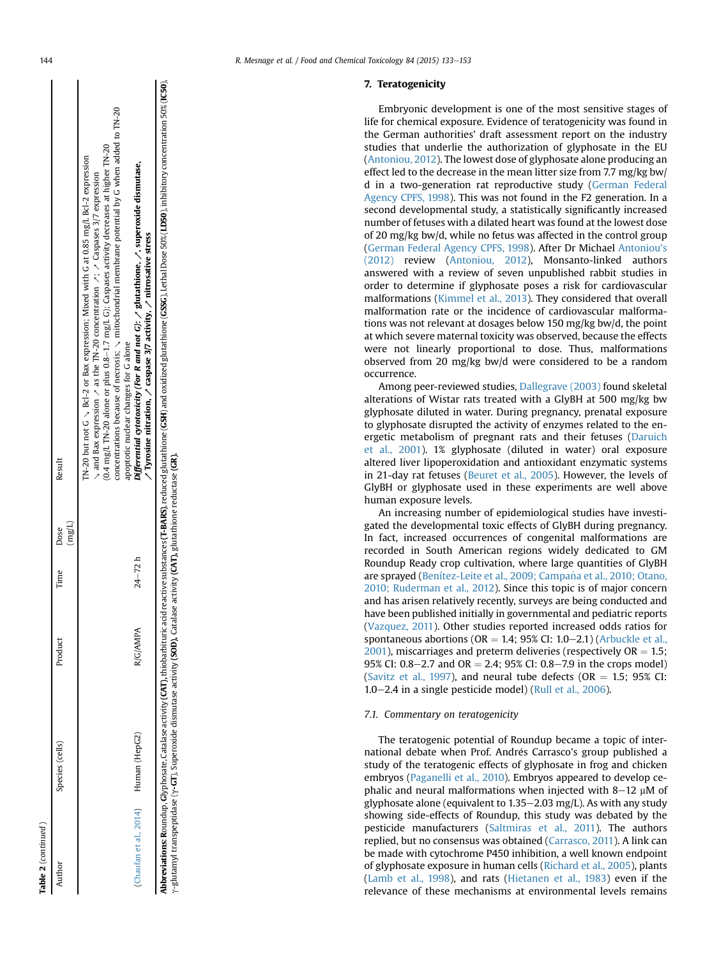| г |
|---|
|   |
|   |

| <b>Table 2</b> (continued)          |                 |          |            |                 |                                                                                                                                                                                                                                                                                                                                                                                                                                                                                                                                                                                                                                                                     |
|-------------------------------------|-----------------|----------|------------|-----------------|---------------------------------------------------------------------------------------------------------------------------------------------------------------------------------------------------------------------------------------------------------------------------------------------------------------------------------------------------------------------------------------------------------------------------------------------------------------------------------------------------------------------------------------------------------------------------------------------------------------------------------------------------------------------|
| Author                              | Species (cells) | Product  | lime Dose  | $(\text{mg/L})$ | Result                                                                                                                                                                                                                                                                                                                                                                                                                                                                                                                                                                                                                                                              |
| Chaufan et al., 2014) Human (HepG2) |                 | R/G/AMPA | $24 - 72h$ |                 | concentrations because of necrosis; $\scriptstyle\searrow$ mitochondrial membrane potential by G when added to TN-20<br>0.4 mg/L TN-20 alone or plus 0.8-1.7 mg/L G); Caspases activity decreases at higher TN-20<br>N-20 but not G $\sim$ Bcl-2 or Bax expression; Mixed with G at 0.85 mg/L Bcl-2 expression<br>Differential cytotoxicity (For R and not G): $\nearrow$ glutathione, $\nearrow$ , superoxide dismutase,<br>and Bax expression $\sim$ as the TN-20 concentration $\sim$ ; $\sim$ Caspases 3/7 expression<br>$\sqrt{2}$ Tyrosine nitration, $\sqrt{2}$ caspase 3/7 activity, $\sqrt{2}$ nitrosative stress<br>apoptotic nuclear changes for G alone |

**Abbreviations: R**oundup, Glyphosate, Catalase activity (C**AT)**, thiobarbituric acid reactive substances (T-**BARS**), reduced glutathione (**CSH**) and oxidized glutathione (**GSS**G), Lethal Dose 50% (LD50), inhibitory concent Abbreviations: Roundup, Glyphosate, Catalase activity (CAT), thiobarbituric acid reactive substances (T-BARS), reduced glutathione (CSH) and oxidized glutathione (CSSG), Lethal Dose 50% (LD50), inhibitory concentration 50% g-glutamyl transpeptidase (g-GT), Superoxide dismutase activity (SOD), Catalase activity (CAT), glutathione reductase (GR).

# 7. Teratogenicity

Embryonic development is one of the most sensitive stages of life for chemical exposure. Evidence of teratogenicity was found in the German authorities' draft assessment report on the industry studies that underlie the authorization of glyphosate in the EU ([Antoniou, 2012\)](#page-16-0). The lowest dose of glyphosate alone producing an effect led to the decrease in the mean litter size from 7.7 mg/kg bw/ d in a two-generation rat reproductive study ([German Federal](#page-17-0) [Agency CPFS, 1998\)](#page-17-0). This was not found in the F2 generation. In a second developmental study, a statistically significantly increased number of fetuses with a dilated heart was found at the lowest dose of 20 mg/kg bw/d, while no fetus was affected in the control group ([German Federal Agency CPFS, 1998\)](#page-17-0). After Dr Michael [Antoniou's](#page-16-0) [\(2012\)](#page-16-0) review ([Antoniou, 2012\)](#page-16-0), Monsanto-linked authors answered with a review of seven unpublished rabbit studies in order to determine if glyphosate poses a risk for cardiovascular malformations [\(Kimmel et al., 2013\)](#page-18-0). They considered that overall malformation rate or the incidence of cardiovascular malformations was not relevant at dosages below 150 mg/kg bw/d, the point at which severe maternal toxicity was observed, because the effects were not linearly proportional to dose. Thus, malformations observed from 20 mg/kg bw/d were considered to be a random occurrence.

Among peer-reviewed studies, [Dallegrave \(2003\)](#page-17-0) found skeletal alterations of Wistar rats treated with a GlyBH at 500 mg/kg bw glyphosate diluted in water. During pregnancy, prenatal exposure to glyphosate disrupted the activity of enzymes related to the energetic metabolism of pregnant rats and their fetuses [\(Daruich](#page-17-0) [et al., 2001](#page-17-0)). 1% glyphosate (diluted in water) oral exposure altered liver lipoperoxidation and antioxidant enzymatic systems in 21-day rat fetuses ([Beuret et al., 2005\)](#page-16-0). However, the levels of GlyBH or glyphosate used in these experiments are well above human exposure levels.

An increasing number of epidemiological studies have investigated the developmental toxic effects of GlyBH during pregnancy. In fact, increased occurrences of congenital malformations are recorded in South American regions widely dedicated to GM Roundup Ready crop cultivation, where large quantities of GlyBH are sprayed (Benítez-Leite et al., 2009; Campaña et al., 2010; Otano, [2010; Ruderman et al., 2012\)](#page-16-0). Since this topic is of major concern and has arisen relatively recently, surveys are being conducted and have been published initially in governmental and pediatric reports ([Vazquez, 2011](#page-20-0)). Other studies reported increased odds ratios for spontaneous abortions ( $OR = 1.4$ ; 95% CI: 1.0-2.1) ([Arbuckle et al.,](#page-16-0)  $2001$ ), miscarriages and preterm deliveries (respectively OR = 1.5; 95% CI: 0.8–2.7 and OR = 2.4; 95% CI: 0.8–7.9 in the crops model) ([Savitz et al., 1997\)](#page-19-0), and neural tube defects ( $OR = 1.5$ ; 95% CI:  $1.0-2.4$  in a single pesticide model) ([Rull et al., 2006\)](#page-19-0).

## 7.1. Commentary on teratogenicity

The teratogenic potential of Roundup became a topic of international debate when Prof. Andrés Carrasco's group published a study of the teratogenic effects of glyphosate in frog and chicken embryos [\(Paganelli et al., 2010\)](#page-19-0). Embryos appeared to develop cephalic and neural malformations when injected with  $8-12 \mu M$  of glyphosate alone (equivalent to  $1.35-2.03$  mg/L). As with any study showing side-effects of Roundup, this study was debated by the pesticide manufacturers [\(Saltmiras et al., 2011\)](#page-19-0). The authors replied, but no consensus was obtained ([Carrasco, 2011\)](#page-16-0). A link can be made with cytochrome P450 inhibition, a well known endpoint of glyphosate exposure in human cells ([Richard et al., 2005\)](#page-19-0), plants ([Lamb et al., 1998\)](#page-18-0), and rats ([Hietanen et al., 1983\)](#page-18-0) even if the relevance of these mechanisms at environmental levels remains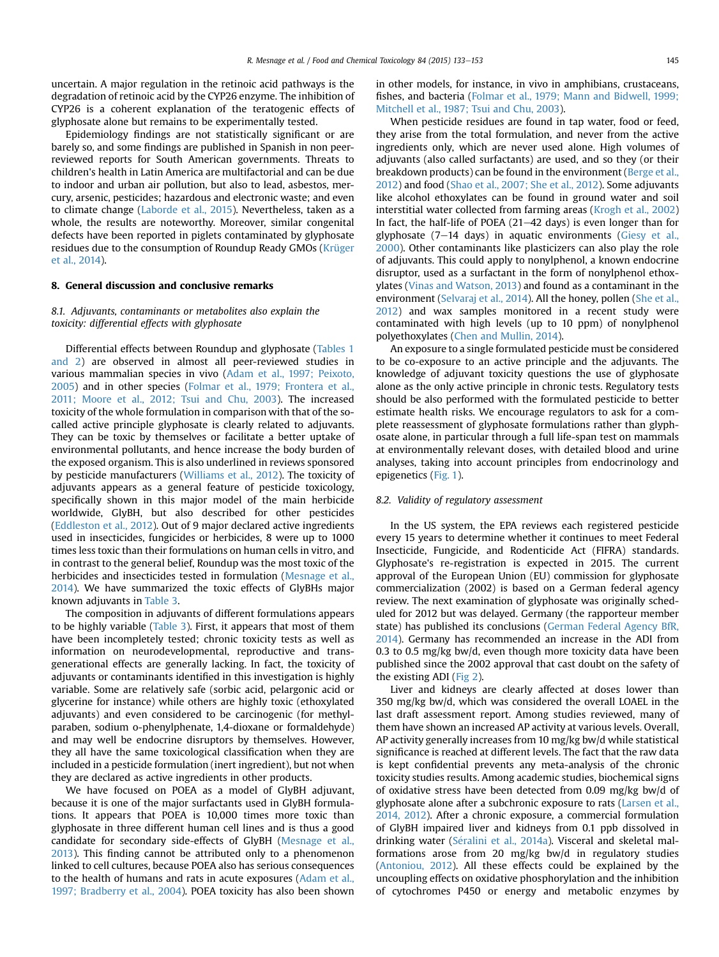uncertain. A major regulation in the retinoic acid pathways is the degradation of retinoic acid by the CYP26 enzyme. The inhibition of CYP26 is a coherent explanation of the teratogenic effects of glyphosate alone but remains to be experimentally tested.

Epidemiology findings are not statistically significant or are barely so, and some findings are published in Spanish in non peerreviewed reports for South American governments. Threats to children's health in Latin America are multifactorial and can be due to indoor and urban air pollution, but also to lead, asbestos, mercury, arsenic, pesticides; hazardous and electronic waste; and even to climate change [\(Laborde et al., 2015](#page-18-0)). Nevertheless, taken as a whole, the results are noteworthy. Moreover, similar congenital defects have been reported in piglets contaminated by glyphosate residues due to the consumption of Roundup Ready GMOs ([Krüger](#page-18-0) [et al., 2014](#page-18-0)).

## 8. General discussion and conclusive remarks

# 8.1. Adjuvants, contaminants or metabolites also explain the toxicity: differential effects with glyphosate

Differential effects between Roundup and glyphosate ([Tables 1](#page-5-0) [and 2](#page-5-0)) are observed in almost all peer-reviewed studies in various mammalian species in vivo ([Adam et al., 1997; Peixoto,](#page-16-0) [2005\)](#page-16-0) and in other species [\(Folmar et al., 1979; Frontera et al.,](#page-17-0) [2011; Moore et al., 2012; Tsui and Chu, 2003](#page-17-0)). The increased toxicity of the whole formulation in comparison with that of the socalled active principle glyphosate is clearly related to adjuvants. They can be toxic by themselves or facilitate a better uptake of environmental pollutants, and hence increase the body burden of the exposed organism. This is also underlined in reviews sponsored by pesticide manufacturers [\(Williams et al., 2012\)](#page-20-0). The toxicity of adjuvants appears as a general feature of pesticide toxicology, specifically shown in this major model of the main herbicide worldwide, GlyBH, but also described for other pesticides ([Eddleston et al., 2012](#page-17-0)). Out of 9 major declared active ingredients used in insecticides, fungicides or herbicides, 8 were up to 1000 times less toxic than their formulations on human cells in vitro, and in contrast to the general belief, Roundup was the most toxic of the herbicides and insecticides tested in formulation [\(Mesnage et al.,](#page-19-0) [2014\)](#page-19-0). We have summarized the toxic effects of GlyBHs major known adjuvants in [Table 3](#page-13-0).

The composition in adjuvants of different formulations appears to be highly variable [\(Table 3](#page-13-0)). First, it appears that most of them have been incompletely tested; chronic toxicity tests as well as information on neurodevelopmental, reproductive and transgenerational effects are generally lacking. In fact, the toxicity of adjuvants or contaminants identified in this investigation is highly variable. Some are relatively safe (sorbic acid, pelargonic acid or glycerine for instance) while others are highly toxic (ethoxylated adjuvants) and even considered to be carcinogenic (for methylparaben, sodium o-phenylphenate, 1,4-dioxane or formaldehyde) and may well be endocrine disruptors by themselves. However, they all have the same toxicological classification when they are included in a pesticide formulation (inert ingredient), but not when they are declared as active ingredients in other products.

We have focused on POEA as a model of GlyBH adjuvant, because it is one of the major surfactants used in GlyBH formulations. It appears that POEA is 10,000 times more toxic than glyphosate in three different human cell lines and is thus a good candidate for secondary side-effects of GlyBH [\(Mesnage et al.,](#page-19-0) [2013\)](#page-19-0). This finding cannot be attributed only to a phenomenon linked to cell cultures, because POEA also has serious consequences to the health of humans and rats in acute exposures [\(Adam et al.,](#page-16-0) [1997; Bradberry et al., 2004](#page-16-0)). POEA toxicity has also been shown in other models, for instance, in vivo in amphibians, crustaceans, fishes, and bacteria ([Folmar et al., 1979; Mann and Bidwell, 1999;](#page-17-0) [Mitchell et al., 1987; Tsui and Chu, 2003\)](#page-17-0).

When pesticide residues are found in tap water, food or feed, they arise from the total formulation, and never from the active ingredients only, which are never used alone. High volumes of adjuvants (also called surfactants) are used, and so they (or their breakdown products) can be found in the environment [\(Berge et al.,](#page-16-0) [2012\)](#page-16-0) and food [\(Shao et al., 2007; She et al., 2012\)](#page-20-0). Some adjuvants like alcohol ethoxylates can be found in ground water and soil interstitial water collected from farming areas [\(Krogh et al., 2002\)](#page-18-0) In fact, the half-life of POEA  $(21-42$  days) is even longer than for glyphosate  $(7-14$  days) in aquatic environments ([Giesy et al.,](#page-17-0) [2000\)](#page-17-0). Other contaminants like plasticizers can also play the role of adjuvants. This could apply to nonylphenol, a known endocrine disruptor, used as a surfactant in the form of nonylphenol ethoxylates ([Vinas and Watson, 2013\)](#page-20-0) and found as a contaminant in the environment ([Selvaraj et al., 2014](#page-19-0)). All the honey, pollen ([She et al.,](#page-20-0) [2012\)](#page-20-0) and wax samples monitored in a recent study were contaminated with high levels (up to 10 ppm) of nonylphenol polyethoxylates [\(Chen and Mullin, 2014](#page-17-0)).

An exposure to a single formulated pesticide must be considered to be co-exposure to an active principle and the adjuvants. The knowledge of adjuvant toxicity questions the use of glyphosate alone as the only active principle in chronic tests. Regulatory tests should be also performed with the formulated pesticide to better estimate health risks. We encourage regulators to ask for a complete reassessment of glyphosate formulations rather than glyphosate alone, in particular through a full life-span test on mammals at environmentally relevant doses, with detailed blood and urine analyses, taking into account principles from endocrinology and epigenetics ([Fig. 1](#page-15-0)).

#### 8.2. Validity of regulatory assessment

In the US system, the EPA reviews each registered pesticide every 15 years to determine whether it continues to meet Federal Insecticide, Fungicide, and Rodenticide Act (FIFRA) standards. Glyphosate's re-registration is expected in 2015. The current approval of the European Union (EU) commission for glyphosate commercialization (2002) is based on a German federal agency review. The next examination of glyphosate was originally scheduled for 2012 but was delayed. Germany (the rapporteur member state) has published its conclusions ([German Federal Agency BfR,](#page-17-0) [2014\)](#page-17-0). Germany has recommended an increase in the ADI from 0.3 to 0.5 mg/kg bw/d, even though more toxicity data have been published since the 2002 approval that cast doubt on the safety of the existing ADI ([Fig 2](#page-15-0)).

Liver and kidneys are clearly affected at doses lower than 350 mg/kg bw/d, which was considered the overall LOAEL in the last draft assessment report. Among studies reviewed, many of them have shown an increased AP activity at various levels. Overall, AP activity generally increases from 10 mg/kg bw/d while statistical significance is reached at different levels. The fact that the raw data is kept confidential prevents any meta-analysis of the chronic toxicity studies results. Among academic studies, biochemical signs of oxidative stress have been detected from 0.09 mg/kg bw/d of glyphosate alone after a subchronic exposure to rats [\(Larsen et al.,](#page-18-0) [2014, 2012](#page-18-0)). After a chronic exposure, a commercial formulation of GlyBH impaired liver and kidneys from 0.1 ppb dissolved in drinking water (Séralini et al., 2014a). Visceral and skeletal malformations arose from 20 mg/kg bw/d in regulatory studies ([Antoniou, 2012\)](#page-16-0). All these effects could be explained by the uncoupling effects on oxidative phosphorylation and the inhibition of cytochromes P450 or energy and metabolic enzymes by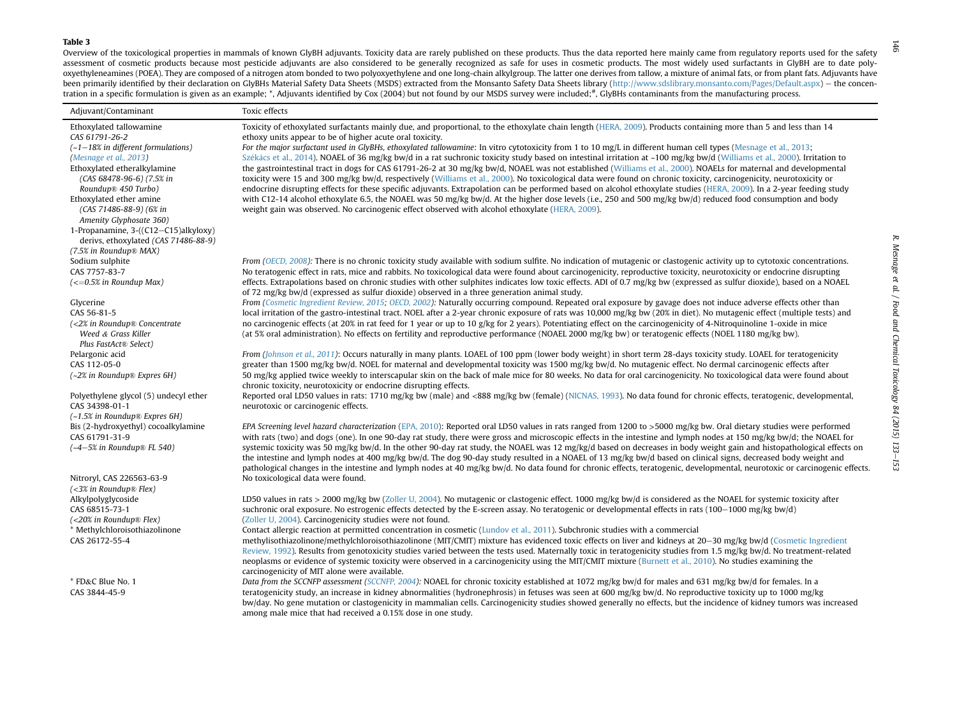#### <span id="page-13-0"></span>Table 3

Overview of the toxicological properties in mammals of known GlyBH adjuvants. Toxicity data are rarely published on these products. Thus the data reported here mainly came from regulatory reports used for the safety assessment of cosmetic products because most pesticide adjuvants are also considered to be generally recognized as safe for uses in cosmetic products. The most widely used surfactants in GlyBH are to date polyoxyethyleneamines (POEA). They are composed of <sup>a</sup> nitrogen atom bonded to two polyoxyethylene and one long-chain alkylgroup. The latter one derives from tallow, <sup>a</sup> mixture of animal fats, or from plant fats. Adjuvants have been primarily identified by their declaration on GlyBHs Material Safety Data Sheets (MSDS) extracted from the Monsanto Safety Data Sheets library (<http://www.sdslibrary.monsanto.com/Pages/Default.aspx>) - the concentration in a specific formulation is given as an example; \*, Adjuvants identified by Cox (2004) but not found by our MSDS survey were included; #, GlyBHs contaminants from the manufacturing process.

| Adjuvant/Contaminant                                     | Toxic effects                                                                                                                                                                                                                                                                                                                              |
|----------------------------------------------------------|--------------------------------------------------------------------------------------------------------------------------------------------------------------------------------------------------------------------------------------------------------------------------------------------------------------------------------------------|
| Ethoxylated tallowamine                                  | Toxicity of ethoxylated surfactants mainly due, and proportional, to the ethoxylate chain length (HERA, 2009). Products containing more than 5 and less than 14                                                                                                                                                                            |
| CAS 61791-26-2                                           | ethoxy units appear to be of higher acute oral toxicity.                                                                                                                                                                                                                                                                                   |
| $(-1-18\%)$ in different formulations)                   | For the major surfactant used in GlyBHs, ethoxylated tallowamine: In vitro cytotoxicity from 1 to 10 mg/L in different human cell types (Mesnage et al., 2013;                                                                                                                                                                             |
| <i>(Mesnage et al., 2013)</i>                            | Székács et al., 2014). NOAEL of 36 mg/kg bw/d in a rat suchronic toxicity study based on intestinal irritation at ~100 mg/kg bw/d (Williams et al., 2000). Irritation to                                                                                                                                                                   |
| Ethoxylated etheralkylamine                              | the gastrointestinal tract in dogs for CAS 61791-26-2 at 30 mg/kg bw/d, NOAEL was not established (Williams et al., 2000). NOAELs for maternal and developmental                                                                                                                                                                           |
| $(CAS 68478-96-6)$ $(7.5% in$                            | toxicity were 15 and 300 mg/kg bw/d, respectively (Williams et al., 2000). No toxicological data were found on chronic toxicity, carcinogenicity, neurotoxicity or                                                                                                                                                                         |
| Roundup® 450 Turbo)                                      | endocrine disrupting effects for these specific adjuvants. Extrapolation can be performed based on alcohol ethoxylate studies (HERA, 2009). In a 2-year feeding study                                                                                                                                                                      |
| Ethoxylated ether amine<br>(CAS 71486-88-9) (6% in       | with C12-14 alcohol ethoxylate 6.5, the NOAEL was 50 mg/kg bw/d. At the higher dose levels (i.e., 250 and 500 mg/kg bw/d) reduced food consumption and body<br>weight gain was observed. No carcinogenic effect observed with alcohol ethoxylate (HERA, 2009).                                                                             |
| Amenity Glyphosate 360)                                  |                                                                                                                                                                                                                                                                                                                                            |
| 1-Propanamine, 3-((C12-C15)alkyloxy)                     |                                                                                                                                                                                                                                                                                                                                            |
| derivs, ethoxylated (CAS 71486-88-9)                     |                                                                                                                                                                                                                                                                                                                                            |
| (7.5% in Roundup® MAX)                                   |                                                                                                                                                                                                                                                                                                                                            |
| Sodium sulphite                                          | From (OECD, 2008): There is no chronic toxicity study available with sodium sulfite. No indication of mutagenic or clastogenic activity up to cytotoxic concentrations.                                                                                                                                                                    |
| CAS 7757-83-7                                            | No teratogenic effect in rats, mice and rabbits. No toxicological data were found about carcinogenicity, reproductive toxicity, neurotoxicity or endocrine disrupting                                                                                                                                                                      |
| $\left(<=0.5\%$ in Roundup Max)                          | effects. Extrapolations based on chronic studies with other sulphites indicates low toxic effects. ADI of 0.7 mg/kg bw (expressed as sulfur dioxide), based on a NOAEL                                                                                                                                                                     |
|                                                          | of 72 mg/kg bw/d (expressed as sulfur dioxide) observed in a three generation animal study.                                                                                                                                                                                                                                                |
| Glycerine                                                | From (Cosmetic Ingredient Review, 2015; OECD, 2002): Naturally occurring compound. Repeated oral exposure by gavage does not induce adverse effects other than                                                                                                                                                                             |
| CAS 56-81-5                                              | local irritation of the gastro-intestinal tract. NOEL after a 2-year chronic exposure of rats was 10,000 mg/kg bw (20% in diet). No mutagenic effect (multiple tests) and                                                                                                                                                                  |
| (<2% in Roundup® Concentrate                             | no carcinogenic effects (at 20% in rat feed for 1 year or up to 10 g/kg for 2 years). Potentiating effect on the carcinogenicity of 4-Nitroquinoline 1-oxide in mice                                                                                                                                                                       |
| Weed & Grass Killer<br>Plus FastAct <sup>®</sup> Select) | (at 5% oral administration). No effects on fertility and reproductive performance (NOAEL 2000 mg/kg bw) or teratogenic effects (NOEL 1180 mg/kg bw).                                                                                                                                                                                       |
| Pelargonic acid                                          | From (Johnson et al., 2011): Occurs naturally in many plants. LOAEL of 100 ppm (lower body weight) in short term 28-days toxicity study. LOAEL for teratogenicity                                                                                                                                                                          |
| CAS 112-05-0                                             | greater than 1500 mg/kg bw/d. NOEL for maternal and developmental toxicity was 1500 mg/kg bw/d. No mutagenic effect. No dermal carcinogenic effects after                                                                                                                                                                                  |
| (~2% in Roundup® Expres 6H)                              | 50 mg/kg applied twice weekly to interscapular skin on the back of male mice for 80 weeks. No data for oral carcinogenicity. No toxicological data were found about                                                                                                                                                                        |
|                                                          | chronic toxicity, neurotoxicity or endocrine disrupting effects.                                                                                                                                                                                                                                                                           |
| Polyethylene glycol (5) undecyl ether                    | Reported oral LD50 values in rats: 1710 mg/kg bw (male) and <888 mg/kg bw (female) (NICNAS, 1993). No data found for chronic effects, teratogenic, developmental,                                                                                                                                                                          |
| CAS 34398-01-1                                           | neurotoxic or carcinogenic effects.                                                                                                                                                                                                                                                                                                        |
| (~1.5% in Roundup® Expres 6H)                            |                                                                                                                                                                                                                                                                                                                                            |
| Bis (2-hydroxyethyl) cocoalkylamine                      | EPA Screening level hazard characterization (EPA, 2010): Reported oral LD50 values in rats ranged from 1200 to >5000 mg/kg bw. Oral dietary studies were performed                                                                                                                                                                         |
| CAS 61791-31-9                                           | with rats (two) and dogs (one). In one 90-day rat study, there were gross and microscopic effects in the intestine and lymph nodes at 150 mg/kg bw/d; the NOAEL for                                                                                                                                                                        |
| $(-4-5\%$ in Roundup® FL 540)                            | systemic toxicity was 50 mg/kg bw/d. In the other 90-day rat study, the NOAEL was 12 mg/kg/d based on decreases in body weight gain and histopathological effects on                                                                                                                                                                       |
|                                                          | the intestine and lymph nodes at 400 mg/kg bw/d. The dog 90-day study resulted in a NOAEL of 13 mg/kg bw/d based on clinical signs, decreased body weight and<br>pathological changes in the intestine and lymph nodes at 40 mg/kg bw/d. No data found for chronic effects, teratogenic, developmental, neurotoxic or carcinogenic effects |
| Nitroryl, CAS 226563-63-9                                | No toxicological data were found.                                                                                                                                                                                                                                                                                                          |
| $(<$ 3% in Roundup® Flex)                                |                                                                                                                                                                                                                                                                                                                                            |
| Alkylpolyglycoside                                       | LD50 values in rats > 2000 mg/kg bw (Zoller U, 2004). No mutagenic or clastogenic effect. 1000 mg/kg bw/d is considered as the NOAEL for systemic toxicity after                                                                                                                                                                           |
| CAS 68515-73-1                                           | suchronic oral exposure. No estrogenic effects detected by the E-screen assay. No teratogenic or developmental effects in rats (100-1000 mg/kg bw/d)                                                                                                                                                                                       |
| $(<20\%$ in Roundup® Flex)                               | (Zoller U, 2004). Carcinogenicity studies were not found.                                                                                                                                                                                                                                                                                  |
| * Methylchloroisothiazolinone                            | Contact allergic reaction at permitted concentration in cosmetic (Lundov et al., 2011). Subchronic studies with a commercial                                                                                                                                                                                                               |
| CAS 26172-55-4                                           | methylisothiazolinone/methylchloroisothiazolinone (MIT/CMIT) mixture has evidenced toxic effects on liver and kidneys at 20–30 mg/kg bw/d (Cosmetic Ingredient                                                                                                                                                                             |
|                                                          | Review, 1992). Results from genotoxicity studies varied between the tests used. Maternally toxic in teratogenicity studies from 1.5 mg/kg bw/d. No treatment-related                                                                                                                                                                       |
|                                                          | neoplasms or evidence of systemic toxicity were observed in a carcinogenicity using the MIT/CMIT mixture (Burnett et al., 2010). No studies examining the                                                                                                                                                                                  |
|                                                          | carcinogenicity of MIT alone were available.                                                                                                                                                                                                                                                                                               |
| * FD&C Blue No. 1                                        | Data from the SCCNFP assessment (SCCNFP, 2004): NOAEL for chronic toxicity established at 1072 mg/kg bw/d for males and 631 mg/kg bw/d for females. In a                                                                                                                                                                                   |
| CAS 3844-45-9                                            | teratogenicity study, an increase in kidney abnormalities (hydronephrosis) in fetuses was seen at 600 mg/kg bw/d. No reproductive toxicity up to 1000 mg/kg                                                                                                                                                                                |
|                                                          | bw/day. No gene mutation or clastogenicity in mammalian cells. Carcinogenicity studies showed generally no effects, but the incidence of kidney tumors was increased<br>among male mice that had received a 0.15% dose in one study.                                                                                                       |
|                                                          |                                                                                                                                                                                                                                                                                                                                            |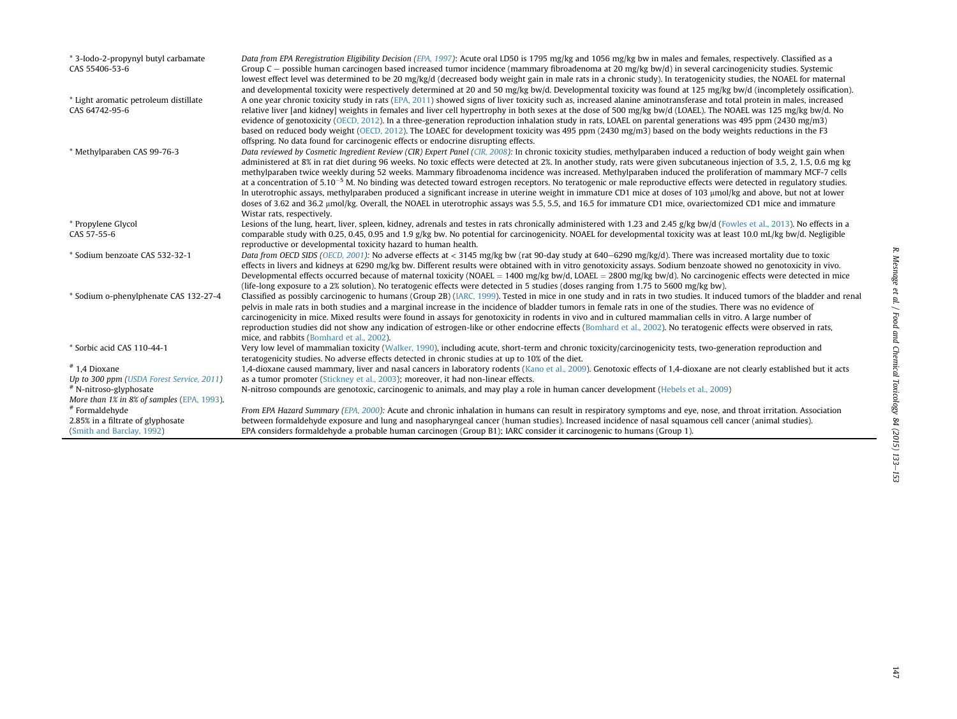| * 3-Iodo-2-propynyl butyl carbamate<br>CAS 55406-53-6   | Data from EPA Reregistration Eligibility Decision (EPA, 1997): Acute oral LD50 is 1795 mg/kg and 1056 mg/kg bw in males and females, respectively. Classified as a<br>Group $C$ – possible human carcinogen based increased tumor incidence (mammary fibroadenoma at 20 mg/kg bw/d) in several carcinogenicity studies. Systemic<br>lowest effect level was determined to be 20 mg/kg/d (decreased body weight gain in male rats in a chronic study). In teratogenicity studies, the NOAEL for maternal<br>and developmental toxicity were respectively determined at 20 and 50 mg/kg bw/d. Developmental toxicity was found at 125 mg/kg bw/d (incompletely ossification).                                                                                                                                                                                                                                                                                                                                                                                                                                                                     |
|---------------------------------------------------------|-------------------------------------------------------------------------------------------------------------------------------------------------------------------------------------------------------------------------------------------------------------------------------------------------------------------------------------------------------------------------------------------------------------------------------------------------------------------------------------------------------------------------------------------------------------------------------------------------------------------------------------------------------------------------------------------------------------------------------------------------------------------------------------------------------------------------------------------------------------------------------------------------------------------------------------------------------------------------------------------------------------------------------------------------------------------------------------------------------------------------------------------------|
| * Light aromatic petroleum distillate<br>CAS 64742-95-6 | A one year chronic toxicity study in rats (EPA, 2011) showed signs of liver toxicity such as, increased alanine aminotransferase and total protein in males, increased<br>relative liver [and kidney] weights in females and liver cell hypertrophy in both sexes at the dose of 500 mg/kg bw/d (LOAEL). The NOAEL was 125 mg/kg bw/d. No<br>evidence of genotoxicity (OECD, 2012). In a three-generation reproduction inhalation study in rats, LOAEL on parental generations was 495 ppm (2430 mg/m3)<br>based on reduced body weight (OECD, 2012). The LOAEC for development toxicity was 495 ppm (2430 mg/m3) based on the body weights reductions in the F3                                                                                                                                                                                                                                                                                                                                                                                                                                                                                |
| * Methylparaben CAS 99-76-3                             | offspring. No data found for carcinogenic effects or endocrine disrupting effects.<br>Data reviewed by Cosmetic Ingredient Review (CIR) Expert Panel (CIR, 2008): In chronic toxicity studies, methylparaben induced a reduction of body weight gain when<br>administered at 8% in rat diet during 96 weeks. No toxic effects were detected at 2%. In another study, rats were given subcutaneous injection of 3.5, 2, 1.5, 0.6 mg kg<br>methylparaben twice weekly during 52 weeks. Mammary fibroadenoma incidence was increased. Methylparaben induced the proliferation of mammary MCF-7 cells<br>at a concentration of $5.10^{-5}$ M. No binding was detected toward estrogen receptors. No teratogenic or male reproductive effects were detected in regulatory studies.<br>In uterotrophic assays, methylparaben produced a significant increase in uterine weight in immature CD1 mice at doses of 103 µmol/kg and above, but not at lower<br>doses of 3.62 and 36.2 µmol/kg. Overall, the NOAEL in uterotrophic assays was 5.5, 5.5, and 16.5 for immature CD1 mice, ovariectomized CD1 mice and immature<br>Wistar rats, respectively. |
| * Propylene Glycol                                      | Lesions of the lung, heart, liver, spleen, kidney, adrenals and testes in rats chronically administered with 1.23 and 2.45 g/kg bw/d (Fowles et al., 2013). No effects in a                                                                                                                                                                                                                                                                                                                                                                                                                                                                                                                                                                                                                                                                                                                                                                                                                                                                                                                                                                     |
| CAS 57-55-6                                             | comparable study with 0.25, 0.45, 0.95 and 1.9 g/kg bw. No potential for carcinogenicity. NOAEL for developmental toxicity was at least 10.0 mL/kg bw/d. Negligible<br>reproductive or developmental toxicity hazard to human health.                                                                                                                                                                                                                                                                                                                                                                                                                                                                                                                                                                                                                                                                                                                                                                                                                                                                                                           |
| * Sodium benzoate CAS 532-32-1                          | Data from OECD SIDS (OECD, 2001): No adverse effects at < 3145 mg/kg bw (rat 90-day study at 640-6290 mg/kg/d). There was increased mortality due to toxic<br>effects in livers and kidneys at 6290 mg/kg bw. Different results were obtained with in vitro genotoxicity assays. Sodium benzoate showed no genotoxicity in vivo.<br>Developmental effects occurred because of maternal toxicity (NOAEL = 1400 mg/kg bw/d, LOAEL = 2800 mg/kg bw/d). No carcinogenic effects were detected in mice<br>(life-long exposure to a 2% solution). No teratogenic effects were detected in 5 studies (doses ranging from 1.75 to 5600 mg/kg bw).                                                                                                                                                                                                                                                                                                                                                                                                                                                                                                       |
| * Sodium o-phenylphenate CAS 132-27-4                   | Classified as possibly carcinogenic to humans (Group 2B) (IARC, 1999). Tested in mice in one study and in rats in two studies. It induced tumors of the bladder and renal<br>pelvis in male rats in both studies and a marginal increase in the incidence of bladder tumors in female rats in one of the studies. There was no evidence of<br>carcinogenicity in mice. Mixed results were found in assays for genotoxicity in rodents in vivo and in cultured mammalian cells in vitro. A large number of<br>reproduction studies did not show any indication of estrogen-like or other endocrine effects (Bomhard et al., 2002). No teratogenic effects were observed in rats,<br>mice, and rabbits (Bomhard et al., 2002).                                                                                                                                                                                                                                                                                                                                                                                                                    |
| * Sorbic acid CAS 110-44-1                              | Very low level of mammalian toxicity (Walker, 1990), including acute, short-term and chronic toxicity/carcinogenicity tests, two-generation reproduction and<br>teratogenicity studies. No adverse effects detected in chronic studies at up to 10% of the diet.                                                                                                                                                                                                                                                                                                                                                                                                                                                                                                                                                                                                                                                                                                                                                                                                                                                                                |
| $*$ 1,4 Dioxane                                         | 1,4-dioxane caused mammary, liver and nasal cancers in laboratory rodents (Kano et al., 2009). Genotoxic effects of 1,4-dioxane are not clearly established but it acts                                                                                                                                                                                                                                                                                                                                                                                                                                                                                                                                                                                                                                                                                                                                                                                                                                                                                                                                                                         |
| Up to 300 ppm (USDA Forest Service, 2011)               | as a tumor promoter (Stickney et al., 2003); moreover, it had non-linear effects.                                                                                                                                                                                                                                                                                                                                                                                                                                                                                                                                                                                                                                                                                                                                                                                                                                                                                                                                                                                                                                                               |
| # N-nitroso-glyphosate                                  | N-nitroso compounds are genotoxic, carcinogenic to animals, and may play a role in human cancer development (Hebels et al., 2009)                                                                                                                                                                                                                                                                                                                                                                                                                                                                                                                                                                                                                                                                                                                                                                                                                                                                                                                                                                                                               |
| More than 1% in 8% of samples (EPA, 1993).              |                                                                                                                                                                                                                                                                                                                                                                                                                                                                                                                                                                                                                                                                                                                                                                                                                                                                                                                                                                                                                                                                                                                                                 |
| #Formaldehyde                                           | From EPA Hazard Summary (EPA, 2000): Acute and chronic inhalation in humans can result in respiratory symptoms and eye, nose, and throat irritation. Association                                                                                                                                                                                                                                                                                                                                                                                                                                                                                                                                                                                                                                                                                                                                                                                                                                                                                                                                                                                |
| 2.85% in a filtrate of glyphosate                       | between formaldehyde exposure and lung and nasopharyngeal cancer (human studies). Increased incidence of nasal squamous cell cancer (animal studies).                                                                                                                                                                                                                                                                                                                                                                                                                                                                                                                                                                                                                                                                                                                                                                                                                                                                                                                                                                                           |
| (Smith and Barclay, 1992)                               | EPA considers formaldehyde a probable human carcinogen (Group B1); IARC consider it carcinogenic to humans (Group 1).                                                                                                                                                                                                                                                                                                                                                                                                                                                                                                                                                                                                                                                                                                                                                                                                                                                                                                                                                                                                                           |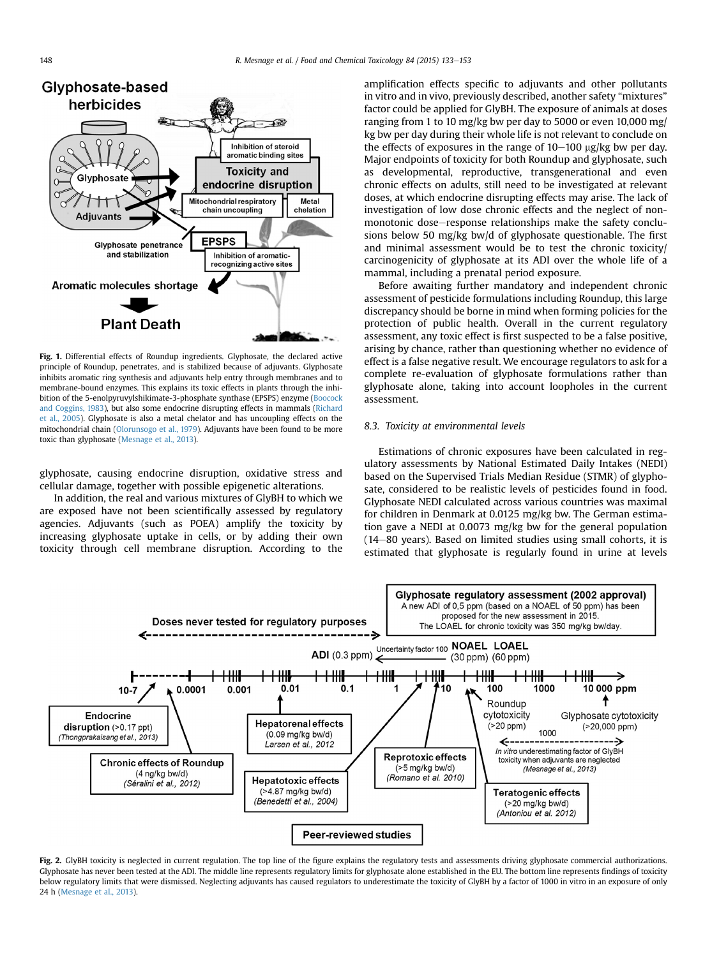<span id="page-15-0"></span>

Fig. 1. Differential effects of Roundup ingredients. Glyphosate, the declared active principle of Roundup, penetrates, and is stabilized because of adjuvants. Glyphosate inhibits aromatic ring synthesis and adjuvants help entry through membranes and to membrane-bound enzymes. This explains its toxic effects in plants through the inhibition of the 5-enolpyruvylshikimate-3-phosphate synthase (EPSPS) enzyme ([Boocock](#page-16-0) [and Coggins, 1983](#page-16-0)), but also some endocrine disrupting effects in mammals ([Richard](#page-19-0) [et al., 2005\)](#page-19-0). Glyphosate is also a metal chelator and has uncoupling effects on the mitochondrial chain [\(Olorunsogo et al., 1979](#page-19-0)). Adjuvants have been found to be more toxic than glyphosate [\(Mesnage et al., 2013](#page-19-0)).

glyphosate, causing endocrine disruption, oxidative stress and cellular damage, together with possible epigenetic alterations.

In addition, the real and various mixtures of GlyBH to which we are exposed have not been scientifically assessed by regulatory agencies. Adjuvants (such as POEA) amplify the toxicity by increasing glyphosate uptake in cells, or by adding their own toxicity through cell membrane disruption. According to the

amplification effects specific to adjuvants and other pollutants in vitro and in vivo, previously described, another safety "mixtures" factor could be applied for GlyBH. The exposure of animals at doses ranging from 1 to 10 mg/kg bw per day to 5000 or even 10,000 mg/ kg bw per day during their whole life is not relevant to conclude on the effects of exposures in the range of  $10-100 \mu$ g/kg bw per day. Major endpoints of toxicity for both Roundup and glyphosate, such as developmental, reproductive, transgenerational and even chronic effects on adults, still need to be investigated at relevant doses, at which endocrine disrupting effects may arise. The lack of investigation of low dose chronic effects and the neglect of nonmonotonic dose-response relationships make the safety conclusions below 50 mg/kg bw/d of glyphosate questionable. The first and minimal assessment would be to test the chronic toxicity/ carcinogenicity of glyphosate at its ADI over the whole life of a mammal, including a prenatal period exposure.

Before awaiting further mandatory and independent chronic assessment of pesticide formulations including Roundup, this large discrepancy should be borne in mind when forming policies for the protection of public health. Overall in the current regulatory assessment, any toxic effect is first suspected to be a false positive, arising by chance, rather than questioning whether no evidence of effect is a false negative result. We encourage regulators to ask for a complete re-evaluation of glyphosate formulations rather than glyphosate alone, taking into account loopholes in the current assessment.

### 8.3. Toxicity at environmental levels

Estimations of chronic exposures have been calculated in regulatory assessments by National Estimated Daily Intakes (NEDI) based on the Supervised Trials Median Residue (STMR) of glyphosate, considered to be realistic levels of pesticides found in food. Glyphosate NEDI calculated across various countries was maximal for children in Denmark at 0.0125 mg/kg bw. The German estimation gave a NEDI at 0.0073 mg/kg bw for the general population  $(14-80$  years). Based on limited studies using small cohorts, it is estimated that glyphosate is regularly found in urine at levels



Fig. 2. GlyBH toxicity is neglected in current regulation. The top line of the figure explains the regulatory tests and assessments driving glyphosate commercial authorizations. Glyphosate has never been tested at the ADI. The middle line represents regulatory limits for glyphosate alone established in the EU. The bottom line represents findings of toxicity below regulatory limits that were dismissed. Neglecting adjuvants has caused regulators to underestimate the toxicity of GlyBH by a factor of 1000 in vitro in an exposure of only 24 h ([Mesnage et al., 2013](#page-19-0)).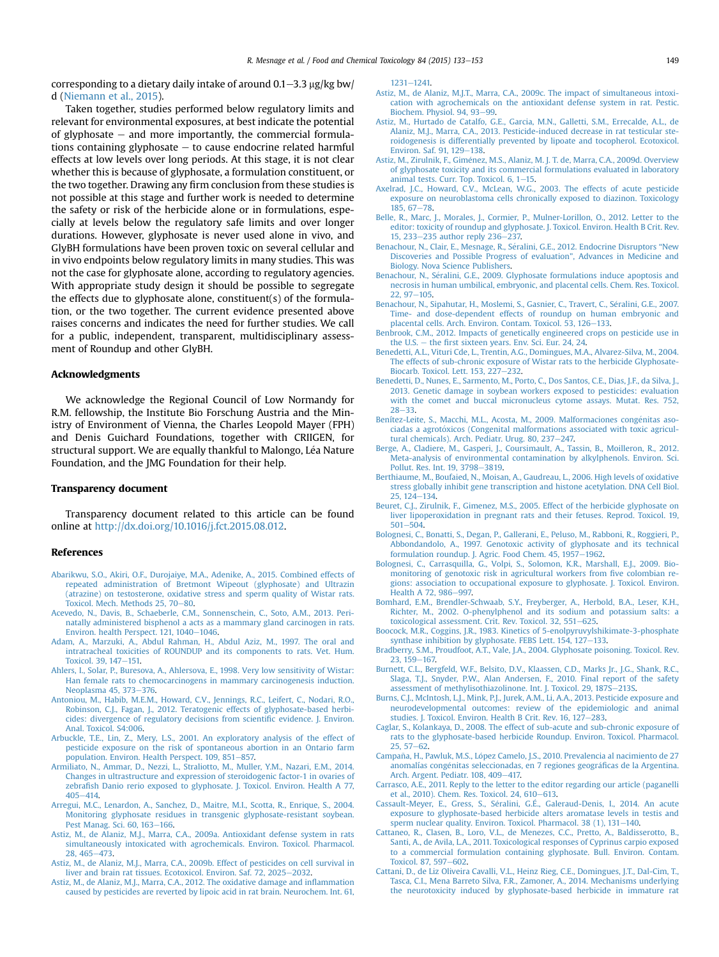<span id="page-16-0"></span>corresponding to a dietary daily intake of around  $0.1-3.3$   $\mu$ g/kg bw/ d ([Niemann et al., 2015\)](#page-19-0).

Taken together, studies performed below regulatory limits and relevant for environmental exposures, at best indicate the potential of glyphosate  $-$  and more importantly, the commercial formulations containing glyphosate  $-$  to cause endocrine related harmful effects at low levels over long periods. At this stage, it is not clear whether this is because of glyphosate, a formulation constituent, or the two together. Drawing any firm conclusion from these studies is not possible at this stage and further work is needed to determine the safety or risk of the herbicide alone or in formulations, especially at levels below the regulatory safe limits and over longer durations. However, glyphosate is never used alone in vivo, and GlyBH formulations have been proven toxic on several cellular and in vivo endpoints below regulatory limits in many studies. This was not the case for glyphosate alone, according to regulatory agencies. With appropriate study design it should be possible to segregate the effects due to glyphosate alone, constituent(s) of the formulation, or the two together. The current evidence presented above raises concerns and indicates the need for further studies. We call for a public, independent, transparent, multidisciplinary assessment of Roundup and other GlyBH.

#### Acknowledgments

We acknowledge the Regional Council of Low Normandy for R.M. fellowship, the Institute Bio Forschung Austria and the Ministry of Environment of Vienna, the Charles Leopold Mayer (FPH) and Denis Guichard Foundations, together with CRIIGEN, for structural support. We are equally thankful to Malongo, Léa Nature Foundation, and the JMG Foundation for their help.

#### Transparency document

Transparency document related to this article can be found online at <http://dx.doi.org/10.1016/j.fct.2015.08.012>.

#### References

- [Abarikwu, S.O., Akiri, O.F., Durojaiye, M.A., Adenike, A., 2015. Combined effects of](http://refhub.elsevier.com/S0278-6915(15)30034-X/sref1) [repeated administration of Bretmont Wipeout \(glyphosate\) and Ultrazin](http://refhub.elsevier.com/S0278-6915(15)30034-X/sref1) [\(atrazine\) on testosterone, oxidative stress and sperm quality of Wistar rats.](http://refhub.elsevier.com/S0278-6915(15)30034-X/sref1) [Toxicol. Mech. Methods 25, 70](http://refhub.elsevier.com/S0278-6915(15)30034-X/sref1)–[80](http://refhub.elsevier.com/S0278-6915(15)30034-X/sref1).
- [Acevedo, N., Davis, B., Schaeberle, C.M., Sonnenschein, C., Soto, A.M., 2013. Peri](http://refhub.elsevier.com/S0278-6915(15)30034-X/sref2)[natally administered bisphenol a acts as a mammary gland carcinogen in rats.](http://refhub.elsevier.com/S0278-6915(15)30034-X/sref2) [Environ. health Perspect. 121, 1040](http://refhub.elsevier.com/S0278-6915(15)30034-X/sref2)-[1046](http://refhub.elsevier.com/S0278-6915(15)30034-X/sref2).
- [Adam, A., Marzuki, A., Abdul Rahman, H., Abdul Aziz, M., 1997. The oral and](http://refhub.elsevier.com/S0278-6915(15)30034-X/sref3) [intratracheal toxicities of ROUNDUP and its components to rats. Vet. Hum.](http://refhub.elsevier.com/S0278-6915(15)30034-X/sref3) [Toxicol. 39, 147](http://refhub.elsevier.com/S0278-6915(15)30034-X/sref3)-[151.](http://refhub.elsevier.com/S0278-6915(15)30034-X/sref3)
- [Ahlers, I., Solar, P., Buresova, A., Ahlersova, E., 1998. Very low sensitivity of Wistar:](http://refhub.elsevier.com/S0278-6915(15)30034-X/sref4) [Han female rats to chemocarcinogens in mammary carcinogenesis induction.](http://refhub.elsevier.com/S0278-6915(15)30034-X/sref4) [Neoplasma 45, 373](http://refhub.elsevier.com/S0278-6915(15)30034-X/sref4)-[376](http://refhub.elsevier.com/S0278-6915(15)30034-X/sref4).
- [Antoniou, M., Habib, M.E.M., Howard, C.V., Jennings, R.C., Leifert, C., Nodari, R.O.,](http://refhub.elsevier.com/S0278-6915(15)30034-X/sref5) [Robinson, C.J., Fagan, J., 2012. Teratogenic effects of glyphosate-based herbi](http://refhub.elsevier.com/S0278-6915(15)30034-X/sref5)[cides: divergence of regulatory decisions from scienti](http://refhub.elsevier.com/S0278-6915(15)30034-X/sref5)fic evidence. J. Environ. [Anal. Toxicol. S4:006](http://refhub.elsevier.com/S0278-6915(15)30034-X/sref5).
- [Arbuckle, T.E., Lin, Z., Mery, L.S., 2001. An exploratory analysis of the effect of](http://refhub.elsevier.com/S0278-6915(15)30034-X/sref6) [pesticide exposure on the risk of spontaneous abortion in an Ontario farm](http://refhub.elsevier.com/S0278-6915(15)30034-X/sref6) population. Environ. Health Perspect. 109. 851-[857.](http://refhub.elsevier.com/S0278-6915(15)30034-X/sref6)
- [Armiliato, N., Ammar, D., Nezzi, L., Straliotto, M., Muller, Y.M., Nazari, E.M., 2014.](http://refhub.elsevier.com/S0278-6915(15)30034-X/sref7) [Changes in ultrastructure and expression of steroidogenic factor-1 in ovaries of](http://refhub.elsevier.com/S0278-6915(15)30034-X/sref7) zebrafi[sh Danio rerio exposed to glyphosate. J. Toxicol. Environ. Health A 77,](http://refhub.elsevier.com/S0278-6915(15)30034-X/sref7)  $405 - 414$  $405 - 414$  $405 - 414$
- [Arregui, M.C., Lenardon, A., Sanchez, D., Maitre, M.I., Scotta, R., Enrique, S., 2004.](http://refhub.elsevier.com/S0278-6915(15)30034-X/sref8) [Monitoring glyphosate residues in transgenic glyphosate-resistant soybean.](http://refhub.elsevier.com/S0278-6915(15)30034-X/sref8) [Pest Manag. Sci. 60, 163](http://refhub.elsevier.com/S0278-6915(15)30034-X/sref8)-[166](http://refhub.elsevier.com/S0278-6915(15)30034-X/sref8).
- [Astiz, M., de Alaniz, M.J., Marra, C.A., 2009a. Antioxidant defense system in rats](http://refhub.elsevier.com/S0278-6915(15)30034-X/sref9) [simultaneously intoxicated with agrochemicals. Environ. Toxicol. Pharmacol.](http://refhub.elsevier.com/S0278-6915(15)30034-X/sref9) [28, 465](http://refhub.elsevier.com/S0278-6915(15)30034-X/sref9)-[473](http://refhub.elsevier.com/S0278-6915(15)30034-X/sref9).
- [Astiz, M., de Alaniz, M.J., Marra, C.A., 2009b. Effect of pesticides on cell survival in](http://refhub.elsevier.com/S0278-6915(15)30034-X/sref10) [liver and brain rat tissues. Ecotoxicol. Environ. Saf. 72, 2025](http://refhub.elsevier.com/S0278-6915(15)30034-X/sref10)-[2032](http://refhub.elsevier.com/S0278-6915(15)30034-X/sref10).
- [Astiz, M., de Alaniz, M.J., Marra, C.A., 2012. The oxidative damage and in](http://refhub.elsevier.com/S0278-6915(15)30034-X/sref11)flammation [caused by pesticides are reverted by lipoic acid in rat brain. Neurochem. Int. 61,](http://refhub.elsevier.com/S0278-6915(15)30034-X/sref11)

[1231](http://refhub.elsevier.com/S0278-6915(15)30034-X/sref11)-1241

- [Astiz, M., de Alaniz, M.J.T., Marra, C.A., 2009c. The impact of simultaneous intoxi](http://refhub.elsevier.com/S0278-6915(15)30034-X/sref12)[cation with agrochemicals on the antioxidant defense system in rat. Pestic.](http://refhub.elsevier.com/S0278-6915(15)30034-X/sref12) [Biochem. Physiol. 94, 93](http://refhub.elsevier.com/S0278-6915(15)30034-X/sref12)-[99](http://refhub.elsevier.com/S0278-6915(15)30034-X/sref12).
- [Astiz, M., Hurtado de Catalfo, G.E., Garcia, M.N., Galletti, S.M., Errecalde, A.L., de](http://refhub.elsevier.com/S0278-6915(15)30034-X/sref13) [Alaniz, M.J., Marra, C.A., 2013. Pesticide-induced decrease in rat testicular ste](http://refhub.elsevier.com/S0278-6915(15)30034-X/sref13)[roidogenesis is differentially prevented by lipoate and tocopherol. Ecotoxicol.](http://refhub.elsevier.com/S0278-6915(15)30034-X/sref13) [Environ. Saf. 91, 129](http://refhub.elsevier.com/S0278-6915(15)30034-X/sref13)-[138](http://refhub.elsevier.com/S0278-6915(15)30034-X/sref13).
- Astiz, M., Zirulnik, F., Giménez, M.S., Alaniz, M. J. T. de, Marra, C.A., 2009d. Overview [of glyphosate toxicity and its commercial formulations evaluated in laboratory](http://refhub.elsevier.com/S0278-6915(15)30034-X/sref14) animal tests. Curr. Top. Toxicol.  $6.1-15$ .
- [Axelrad, J.C., Howard, C.V., McLean, W.G., 2003. The effects of acute pesticide](http://refhub.elsevier.com/S0278-6915(15)30034-X/sref15) [exposure on neuroblastoma cells chronically exposed to diazinon. Toxicology](http://refhub.elsevier.com/S0278-6915(15)30034-X/sref15)  $185, 67-78.$  $185, 67-78.$  $185, 67-78.$  $185, 67-78.$
- [Belle, R., Marc, J., Morales, J., Cormier, P., Mulner-Lorillon, O., 2012. Letter to the](http://refhub.elsevier.com/S0278-6915(15)30034-X/sref16) [editor: toxicity of roundup and glyphosate. J. Toxicol. Environ. Health B Crit. Rev.](http://refhub.elsevier.com/S0278-6915(15)30034-X/sref16) [15, 233](http://refhub.elsevier.com/S0278-6915(15)30034-X/sref16)-[235 author reply 236](http://refhub.elsevier.com/S0278-6915(15)30034-X/sref16)-[237.](http://refhub.elsevier.com/S0278-6915(15)30034-X/sref16)
- Benachour, N., Clair, E., Mesnage, R., Séralini, G.E., 2012. Endocrine Disruptors "New [Discoveries and Possible Progress of evaluation](http://refhub.elsevier.com/S0278-6915(15)30034-X/sref17)", Advances in Medicine and [Biology. Nova Science Publishers.](http://refhub.elsevier.com/S0278-6915(15)30034-X/sref17)
- [Benachour, N., S](http://refhub.elsevier.com/S0278-6915(15)30034-X/sref18)é[ralini, G.E., 2009. Glyphosate formulations induce apoptosis and](http://refhub.elsevier.com/S0278-6915(15)30034-X/sref18) [necrosis in human umbilical, embryonic, and placental cells. Chem. Res. Toxicol.](http://refhub.elsevier.com/S0278-6915(15)30034-X/sref18)  $22.97 - 105.$  $22.97 - 105.$
- Benachour, N., Sipahutar, H., Moslemi, S., Gasnier, C., Travert, C., Séralini, G.E., 2007. [Time- and dose-dependent effects of roundup on human embryonic and](http://refhub.elsevier.com/S0278-6915(15)30034-X/sref19)<br>[placental cells. Arch. Environ. Contam. Toxicol. 53, 126](http://refhub.elsevier.com/S0278-6915(15)30034-X/sref19)–[133](http://refhub.elsevier.com/S0278-6915(15)30034-X/sref19).
- [Benbrook, C.M., 2012. Impacts of genetically engineered crops on pesticide use in](http://refhub.elsevier.com/S0278-6915(15)30034-X/sref20) [the U.S.](http://refhub.elsevier.com/S0278-6915(15)30034-X/sref20)  $-$  the fi[rst sixteen years. Env. Sci. Eur. 24, 24](http://refhub.elsevier.com/S0278-6915(15)30034-X/sref20).
- [Benedetti, A.L., Vituri Cde, L., Trentin, A.G., Domingues, M.A., Alvarez-Silva, M., 2004.](http://refhub.elsevier.com/S0278-6915(15)30034-X/sref21) [The effects of sub-chronic exposure of Wistar rats to the herbicide Glyphosate-](http://refhub.elsevier.com/S0278-6915(15)30034-X/sref21)[Biocarb. Toxicol. Lett. 153, 227](http://refhub.elsevier.com/S0278-6915(15)30034-X/sref21)-[232.](http://refhub.elsevier.com/S0278-6915(15)30034-X/sref21)
- [Benedetti, D., Nunes, E., Sarmento, M., Porto, C., Dos Santos, C.E., Dias, J.F., da Silva, J.,](http://refhub.elsevier.com/S0278-6915(15)30034-X/sref22) [2013. Genetic damage in soybean workers exposed to pesticides: evaluation](http://refhub.elsevier.com/S0278-6915(15)30034-X/sref22) [with the comet and buccal micronucleus cytome assays. Mutat. Res. 752,](http://refhub.elsevier.com/S0278-6915(15)30034-X/sref22)  $28 - 33$  $28 - 33$
- Benítez-Leite, S., Macchi, M.L., Acosta, M., 2009. Malformaciones congénitas aso[ciadas a agrot](http://refhub.elsevier.com/S0278-6915(15)30034-X/sref23)ó[xicos \(Congenital malformations associated with toxic agricul](http://refhub.elsevier.com/S0278-6915(15)30034-X/sref23) [tural chemicals\). Arch. Pediatr. Urug. 80, 237](http://refhub.elsevier.com/S0278-6915(15)30034-X/sref23)-[247.](http://refhub.elsevier.com/S0278-6915(15)30034-X/sref23)
- [Berge, A., Cladiere, M., Gasperi, J., Coursimault, A., Tassin, B., Moilleron, R., 2012.](http://refhub.elsevier.com/S0278-6915(15)30034-X/sref24) [Meta-analysis of environmental contamination by alkylphenols. Environ. Sci.](http://refhub.elsevier.com/S0278-6915(15)30034-X/sref24) [Pollut. Res. Int. 19, 3798](http://refhub.elsevier.com/S0278-6915(15)30034-X/sref24)-[3819](http://refhub.elsevier.com/S0278-6915(15)30034-X/sref24).
- [Berthiaume, M., Boufaied, N., Moisan, A., Gaudreau, L., 2006. High levels of oxidative](http://refhub.elsevier.com/S0278-6915(15)30034-X/sref25) [stress globally inhibit gene transcription and histone acetylation. DNA Cell Biol.](http://refhub.elsevier.com/S0278-6915(15)30034-X/sref25) [25, 124](http://refhub.elsevier.com/S0278-6915(15)30034-X/sref25)-[134.](http://refhub.elsevier.com/S0278-6915(15)30034-X/sref25)
- [Beuret, C.J., Zirulnik, F., Gimenez, M.S., 2005. Effect of the herbicide glyphosate on](http://refhub.elsevier.com/S0278-6915(15)30034-X/sref26) [liver lipoperoxidation in pregnant rats and their fetuses. Reprod. Toxicol. 19,](http://refhub.elsevier.com/S0278-6915(15)30034-X/sref26)  $501 - 504$  $501 - 504$
- [Bolognesi, C., Bonatti, S., Degan, P., Gallerani, E., Peluso, M., Rabboni, R., Roggieri, P.,](http://refhub.elsevier.com/S0278-6915(15)30034-X/sref27) [Abbondandolo, A., 1997. Genotoxic activity of glyphosate and its technical](http://refhub.elsevier.com/S0278-6915(15)30034-X/sref27) [formulation roundup. J. Agric. Food Chem. 45, 1957](http://refhub.elsevier.com/S0278-6915(15)30034-X/sref27)-[1962.](http://refhub.elsevier.com/S0278-6915(15)30034-X/sref27)
- [Bolognesi, C., Carrasquilla, G., Volpi, S., Solomon, K.R., Marshall, E.J., 2009. Bio](http://refhub.elsevier.com/S0278-6915(15)30034-X/sref28)[monitoring of genotoxic risk in agricultural workers from](http://refhub.elsevier.com/S0278-6915(15)30034-X/sref28) five colombian re[gions: association to occupational exposure to glyphosate. J. Toxicol. Environ.](http://refhub.elsevier.com/S0278-6915(15)30034-X/sref28) [Health A 72, 986](http://refhub.elsevier.com/S0278-6915(15)30034-X/sref28)-[997.](http://refhub.elsevier.com/S0278-6915(15)30034-X/sref28)
- [Bomhard, E.M., Brendler-Schwaab, S.Y., Freyberger, A., Herbold, B.A., Leser, K.H.,](http://refhub.elsevier.com/S0278-6915(15)30034-X/sref29) [Richter, M., 2002. O-phenylphenol and its sodium and potassium salts: a](http://refhub.elsevier.com/S0278-6915(15)30034-X/sref29) [toxicological assessment. Crit. Rev. Toxicol. 32, 551](http://refhub.elsevier.com/S0278-6915(15)30034-X/sref29)-[625](http://refhub.elsevier.com/S0278-6915(15)30034-X/sref29).
- [Boocock, M.R., Coggins, J.R., 1983. Kinetics of 5-enolpyruvylshikimate-3-phosphate](http://refhub.elsevier.com/S0278-6915(15)30034-X/sref30) [synthase inhibition by glyphosate. FEBS Lett. 154, 127](http://refhub.elsevier.com/S0278-6915(15)30034-X/sref30)-[133](http://refhub.elsevier.com/S0278-6915(15)30034-X/sref30).
- [Bradberry, S.M., Proudfoot, A.T., Vale, J.A., 2004. Glyphosate poisoning. Toxicol. Rev.](http://refhub.elsevier.com/S0278-6915(15)30034-X/sref31) [23, 159](http://refhub.elsevier.com/S0278-6915(15)30034-X/sref31)-[167.](http://refhub.elsevier.com/S0278-6915(15)30034-X/sref31)
- [Burnett, C.L., Bergfeld, W.F., Belsito, D.V., Klaassen, C.D., Marks Jr., J.G., Shank, R.C.,](http://refhub.elsevier.com/S0278-6915(15)30034-X/sref32) [Slaga, T.J., Snyder, P.W., Alan Andersen, F., 2010. Final report of the safety](http://refhub.elsevier.com/S0278-6915(15)30034-X/sref32) [assessment of methylisothiazolinone. Int. J. Toxicol. 29, 187S](http://refhub.elsevier.com/S0278-6915(15)30034-X/sref32)-[213S](http://refhub.elsevier.com/S0278-6915(15)30034-X/sref32).
- [Burns, C.J., McIntosh, L.J., Mink, P.J., Jurek, A.M., Li, A.A., 2013. Pesticide exposure and](http://refhub.elsevier.com/S0278-6915(15)30034-X/sref33) [neurodevelopmental outcomes: review of the epidemiologic and animal](http://refhub.elsevier.com/S0278-6915(15)30034-X/sref33) [studies. J. Toxicol. Environ. Health B Crit. Rev. 16, 127](http://refhub.elsevier.com/S0278-6915(15)30034-X/sref33)-[283](http://refhub.elsevier.com/S0278-6915(15)30034-X/sref33).
- [Caglar, S., Kolankaya, D., 2008. The effect of sub-acute and sub-chronic exposure of](http://refhub.elsevier.com/S0278-6915(15)30034-X/sref34) [rats to the glyphosate-based herbicide Roundup. Environ. Toxicol. Pharmacol.](http://refhub.elsevier.com/S0278-6915(15)30034-X/sref34)  $25.57 - 62$  $25.57 - 62$
- Campaña, H., Pawluk, M.S., López Camelo, J.S., 2010. Prevalencia al nacimiento de 27 anomalías congénitas seleccionadas, en 7 regiones geográfi[cas de la Argentina.](http://refhub.elsevier.com/S0278-6915(15)30034-X/sref35) [Arch. Argent. Pediatr. 108, 409](http://refhub.elsevier.com/S0278-6915(15)30034-X/sref35)-[417.](http://refhub.elsevier.com/S0278-6915(15)30034-X/sref35)
- [Carrasco, A.E., 2011. Reply to the letter to the editor regarding our article \(paganelli](http://refhub.elsevier.com/S0278-6915(15)30034-X/sref36) [et al., 2010\). Chem. Res. Toxicol. 24, 610](http://refhub.elsevier.com/S0278-6915(15)30034-X/sref36)-[613.](http://refhub.elsevier.com/S0278-6915(15)30034-X/sref36)
- [Cassault-Meyer, E., Gress, S., S](http://refhub.elsevier.com/S0278-6915(15)30034-X/sref37)é[ralini, G.](http://refhub.elsevier.com/S0278-6915(15)30034-X/sref37)É., Galeraud-Denis, I., 2014. An acute [exposure to glyphosate-based herbicide alters aromatase levels in testis and](http://refhub.elsevier.com/S0278-6915(15)30034-X/sref37) [sperm nuclear quality. Environ. Toxicol. Pharmacol. 38 \(1\), 131](http://refhub.elsevier.com/S0278-6915(15)30034-X/sref37)-[140](http://refhub.elsevier.com/S0278-6915(15)30034-X/sref37).
- [Cattaneo, R., Clasen, B., Loro, V.L., de Menezes, C.C., Pretto, A., Baldisserotto, B.,](http://refhub.elsevier.com/S0278-6915(15)30034-X/sref38) [Santi, A., de Avila, L.A., 2011. Toxicological responses of Cyprinus carpio exposed](http://refhub.elsevier.com/S0278-6915(15)30034-X/sref38) [to a commercial formulation containing glyphosate. Bull. Environ. Contam.](http://refhub.elsevier.com/S0278-6915(15)30034-X/sref38) [Toxicol. 87, 597](http://refhub.elsevier.com/S0278-6915(15)30034-X/sref38)-[602.](http://refhub.elsevier.com/S0278-6915(15)30034-X/sref38)
- [Cattani, D., de Liz Oliveira Cavalli, V.L., Heinz Rieg, C.E., Domingues, J.T., Dal-Cim, T.,](http://refhub.elsevier.com/S0278-6915(15)30034-X/sref39) [Tasca, C.I., Mena Barreto Silva, F.R., Zamoner, A., 2014. Mechanisms underlying](http://refhub.elsevier.com/S0278-6915(15)30034-X/sref39) [the neurotoxicity induced by glyphosate-based herbicide in immature rat](http://refhub.elsevier.com/S0278-6915(15)30034-X/sref39)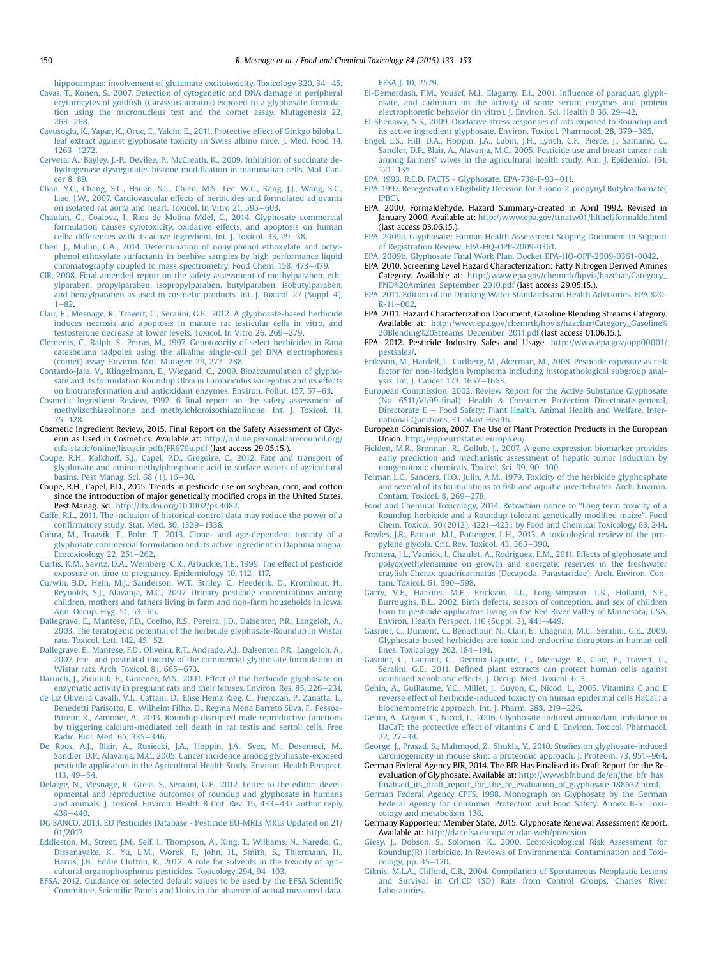- <span id="page-17-0"></span>[hippocampus: involvement of glutamate excitotoxicity. Toxicology 320, 34](http://refhub.elsevier.com/S0278-6915(15)30034-X/sref39)-[45](http://refhub.elsevier.com/S0278-6915(15)30034-X/sref39). [Cavas, T., Konen, S., 2007. Detection of cytogenetic and DNA damage in peripheral](http://refhub.elsevier.com/S0278-6915(15)30034-X/sref40) erythrocytes of goldfi[sh \(Carassius auratus\) exposed to a glyphosate formula](http://refhub.elsevier.com/S0278-6915(15)30034-X/sref40)[tion using the micronucleus test and the comet assay. Mutagenesis 22,](http://refhub.elsevier.com/S0278-6915(15)30034-X/sref40)
- [263](http://refhub.elsevier.com/S0278-6915(15)30034-X/sref40)-268 [Cavusoglu, K., Yapar, K., Oruc, E., Yalcin, E., 2011. Protective effect of Ginkgo biloba L.](http://refhub.elsevier.com/S0278-6915(15)30034-X/sref41) [leaf extract against glyphosate toxicity in Swiss albino mice. J. Med. Food 14,](http://refhub.elsevier.com/S0278-6915(15)30034-X/sref41) [1263](http://refhub.elsevier.com/S0278-6915(15)30034-X/sref41)-[1272](http://refhub.elsevier.com/S0278-6915(15)30034-X/sref41).
- [Cervera, A., Bayley, J.-P., Devilee, P., McCreath, K., 2009. Inhibition of succinate de](http://refhub.elsevier.com/S0278-6915(15)30034-X/sref42)[hydrogenase dysregulates histone modi](http://refhub.elsevier.com/S0278-6915(15)30034-X/sref42)fication in mammalian cells. Mol. Can[cer 8, 89](http://refhub.elsevier.com/S0278-6915(15)30034-X/sref42).
- [Chan, Y.C., Chang, S.C., Hsuan, S.L., Chien, M.S., Lee, W.C., Kang, J.J., Wang, S.C.,](http://refhub.elsevier.com/S0278-6915(15)30034-X/sref43) [Liao, J.W., 2007. Cardiovascular effects of herbicides and formulated adjuvants](http://refhub.elsevier.com/S0278-6915(15)30034-X/sref43) [on isolated rat aorta and heart. Toxicol. In Vitro 21, 595](http://refhub.elsevier.com/S0278-6915(15)30034-X/sref43)-[603.](http://refhub.elsevier.com/S0278-6915(15)30034-X/sref43)
- [Chaufan, G., Coalova, I., Rios de Molina Mdel, C., 2014. Glyphosate commercial](http://refhub.elsevier.com/S0278-6915(15)30034-X/sref44) [formulation causes cytotoxicity, oxidative effects, and apoptosis on human](http://refhub.elsevier.com/S0278-6915(15)30034-X/sref44) cells: differences with its active ingredient. Int. J. Toxicol.  $33, 29-38$ .
- [Chen, J., Mullin, C.A., 2014. Determination of nonylphenol ethoxylate and octyl](http://refhub.elsevier.com/S0278-6915(15)30034-X/sref45)[phenol ethoxylate surfactants in beehive samples by high performance liquid](http://refhub.elsevier.com/S0278-6915(15)30034-X/sref45)<br>[chromatography coupled to mass spectrometry. Food Chem. 158, 473](http://refhub.elsevier.com/S0278-6915(15)30034-X/sref45)–[479.](http://refhub.elsevier.com/S0278-6915(15)30034-X/sref45)
- [CIR, 2008. Final amended report on the safety assessment of methylparaben, eth](http://refhub.elsevier.com/S0278-6915(15)30034-X/sref46)[ylparaben, propylparaben, isopropylparaben, butylparaben, isobutylparaben,](http://refhub.elsevier.com/S0278-6915(15)30034-X/sref46) [and benzylparaben as used in cosmetic products. Int. J. Toxicol. 27 \(Suppl. 4\),](http://refhub.elsevier.com/S0278-6915(15)30034-X/sref46)  $1 - 82$  $1 - 82$
- [Clair, E., Mesnage, R., Travert, C., S](http://refhub.elsevier.com/S0278-6915(15)30034-X/sref47)e[ralini, G.E., 2012. A glyphosate-based herbicide](http://refhub.elsevier.com/S0278-6915(15)30034-X/sref47) [induces necrosis and apoptosis in mature rat testicular cells in vitro, and](http://refhub.elsevier.com/S0278-6915(15)30034-X/sref47)
- [testosterone decrease at lower levels. Toxicol. In Vitro 26, 269](http://refhub.elsevier.com/S0278-6915(15)30034-X/sref47)–[279.](http://refhub.elsevier.com/S0278-6915(15)30034-X/sref47)<br>[Clements, C., Ralph, S., Petras, M., 1997. Genotoxicity of select herbicides in Rana](http://refhub.elsevier.com/S0278-6915(15)30034-X/sref48) [catesbeiana tadpoles using the alkaline single-cell gel DNA electrophoresis](http://refhub.elsevier.com/S0278-6915(15)30034-X/sref48) [\(comet\) assay. Environ. Mol. Mutagen 29, 277](http://refhub.elsevier.com/S0278-6915(15)30034-X/sref48)-[288.](http://refhub.elsevier.com/S0278-6915(15)30034-X/sref48)
- [Contardo-Jara, V., Klingelmann, E., Wiegand, C., 2009. Bioaccumulation of glypho](http://refhub.elsevier.com/S0278-6915(15)30034-X/sref49)[sate and its formulation Roundup Ultra in Lumbriculus variegatus and its effects](http://refhub.elsevier.com/S0278-6915(15)30034-X/sref49) [on biotransformation and antioxidant enzymes. Environ. Pollut. 157, 57](http://refhub.elsevier.com/S0278-6915(15)30034-X/sref49)-[63](http://refhub.elsevier.com/S0278-6915(15)30034-X/sref49).
- Cosmetic Ingredient Review, 1992. 6 fi[nal report on the safety assessment of](http://refhub.elsevier.com/S0278-6915(15)30034-X/sref50) [methylisothiazolinone and methylchloroisothiazolinone. Int. J. Toxicol. 11,](http://refhub.elsevier.com/S0278-6915(15)30034-X/sref50)  $75 - 128$  $75 - 128$  $75 - 128$ .
- Cosmetic Ingredient Review, 2015. Final Report on the Safety Assessment of Glycerin as Used in Cosmetics. Available at: [http://online.personalcarecouncil.org/](http://online.personalcarecouncil.org/ctfa-static/online/lists/cir-pdfs/FR679u.pdf) [ctfa-static/online/lists/cir-pdfs/FR679u.pdf](http://online.personalcarecouncil.org/ctfa-static/online/lists/cir-pdfs/FR679u.pdf) (last access 29.05.15.).
- [Coupe, R.H., Kalkhoff, S.J., Capel, P.D., Gregoire, C., 2012. Fate and transport of](http://refhub.elsevier.com/S0278-6915(15)30034-X/sref52) [glyphosate and aminomethylphosphonic acid in surface waters of agricultural](http://refhub.elsevier.com/S0278-6915(15)30034-X/sref52) [basins. Pest Manag. Sci. 68 \(1\), 16](http://refhub.elsevier.com/S0278-6915(15)30034-X/sref52)-[30](http://refhub.elsevier.com/S0278-6915(15)30034-X/sref52).
- Coupe, R.H., Capel, P.D., 2015. Trends in pesticide use on soybean, corn, and cotton since the introduction of major genetically modified crops in the United States. Pest Manag. Sci. <http://dx.doi.org/10.1002/ps.4082>.
- [Cuffe, R.L., 2011. The inclusion of historical control data may reduce the power of a](http://refhub.elsevier.com/S0278-6915(15)30034-X/sref54) confi[rmatory study. Stat. Med. 30, 1329](http://refhub.elsevier.com/S0278-6915(15)30034-X/sref54)-[1338](http://refhub.elsevier.com/S0278-6915(15)30034-X/sref54).
- [Cuhra, M., Traavik, T., Bohn, T., 2013. Clone- and age-dependent toxicity of a](http://refhub.elsevier.com/S0278-6915(15)30034-X/sref55) [glyphosate commercial formulation and its active ingredient in Daphnia magna.](http://refhub.elsevier.com/S0278-6915(15)30034-X/sref55) [Ecotoxicology 22, 251](http://refhub.elsevier.com/S0278-6915(15)30034-X/sref55)-[262](http://refhub.elsevier.com/S0278-6915(15)30034-X/sref55).
- [Curtis, K.M., Savitz, D.A., Weinberg, C.R., Arbuckle, T.E., 1999. The effect of pesticide](http://refhub.elsevier.com/S0278-6915(15)30034-X/sref56) [exposure on time to pregnancy. Epidemiology 10, 112](http://refhub.elsevier.com/S0278-6915(15)30034-X/sref56)-[117.](http://refhub.elsevier.com/S0278-6915(15)30034-X/sref56)
- [Curwin, B.D., Hein, M.J., Sanderson, W.T., Striley, C., Heederik, D., Kromhout, H.,](http://refhub.elsevier.com/S0278-6915(15)30034-X/sref57) [Reynolds, S.J., Alavanja, M.C., 2007. Urinary pesticide concentrations among](http://refhub.elsevier.com/S0278-6915(15)30034-X/sref57) [children, mothers and fathers living in farm and non-farm households in iowa.](http://refhub.elsevier.com/S0278-6915(15)30034-X/sref57) [Ann. Occup. Hyg. 51, 53](http://refhub.elsevier.com/S0278-6915(15)30034-X/sref57)-[65.](http://refhub.elsevier.com/S0278-6915(15)30034-X/sref57)
- [Dallegrave, E., Mantese, F.D., Coelho, R.S., Pereira, J.D., Dalsenter, P.R., Langeloh, A.,](http://refhub.elsevier.com/S0278-6915(15)30034-X/sref58) [2003. The teratogenic potential of the herbicide glyphosate-Roundup in Wistar](http://refhub.elsevier.com/S0278-6915(15)30034-X/sref58) [rats. Toxicol. Lett. 142, 45](http://refhub.elsevier.com/S0278-6915(15)30034-X/sref58)-[52](http://refhub.elsevier.com/S0278-6915(15)30034-X/sref58).
- [Dallegrave, E., Mantese, F.D., Oliveira, R.T., Andrade, A.J., Dalsenter, P.R., Langeloh, A.,](http://refhub.elsevier.com/S0278-6915(15)30034-X/sref59) [2007. Pre- and postnatal toxicity of the commercial glyphosate formulation in](http://refhub.elsevier.com/S0278-6915(15)30034-X/sref59) [Wistar rats. Arch. Toxicol. 81, 665](http://refhub.elsevier.com/S0278-6915(15)30034-X/sref59)-[673](http://refhub.elsevier.com/S0278-6915(15)30034-X/sref59).
- [Daruich, J., Zirulnik, F., Gimenez, M.S., 2001. Effect of the herbicide glyphosate on](http://refhub.elsevier.com/S0278-6915(15)30034-X/sref60) [enzymatic activity in pregnant rats and their fetuses. Environ. Res. 85, 226](http://refhub.elsevier.com/S0278-6915(15)30034-X/sref60)-[231.](http://refhub.elsevier.com/S0278-6915(15)30034-X/sref60)
- [de Liz Oliveira Cavalli, V.L., Cattani, D., Elise Heinz Rieg, C., Pierozan, P., Zanatta, L.,](http://refhub.elsevier.com/S0278-6915(15)30034-X/sref61) [Benedetti Parisotto, E., Wilhelm Filho, D., Regina Mena Barreto Silva, F., Pessoa-](http://refhub.elsevier.com/S0278-6915(15)30034-X/sref61)[Pureur, R., Zamoner, A., 2013. Roundup disrupted male reproductive functions](http://refhub.elsevier.com/S0278-6915(15)30034-X/sref61) [by triggering calcium-mediated cell death in rat testis and sertoli cells. Free](http://refhub.elsevier.com/S0278-6915(15)30034-X/sref61) [Radic. Biol. Med. 65, 335](http://refhub.elsevier.com/S0278-6915(15)30034-X/sref61)-[346](http://refhub.elsevier.com/S0278-6915(15)30034-X/sref61).
- [De Roos, A.J., Blair, A., Rusiecki, J.A., Hoppin, J.A., Svec, M., Dosemeci, M.,](http://refhub.elsevier.com/S0278-6915(15)30034-X/sref62) [Sandler, D.P., Alavanja, M.C., 2005. Cancer incidence among glyphosate-exposed](http://refhub.elsevier.com/S0278-6915(15)30034-X/sref62) [pesticide applicators in the Agricultural Health Study. Environ. Health Perspect.](http://refhub.elsevier.com/S0278-6915(15)30034-X/sref62)  $113, 49 - 54.$  $113, 49 - 54.$  $113, 49 - 54.$  $113, 49 - 54.$
- Defarge, N., Mesnage, R., Gress, S., Séralini, G.E., 2012. Letter to the editor: devel[opmental and reproductive outcomes of roundup and glyphosate in humans](http://refhub.elsevier.com/S0278-6915(15)30034-X/sref63) [and animals. J. Toxicol. Environ. Health B Crit. Rev. 15, 433](http://refhub.elsevier.com/S0278-6915(15)30034-X/sref63)-[437 author reply](http://refhub.elsevier.com/S0278-6915(15)30034-X/sref63) [438](http://refhub.elsevier.com/S0278-6915(15)30034-X/sref63)e[440.](http://refhub.elsevier.com/S0278-6915(15)30034-X/sref63)
- [DG SANCO, 2013. EU Pesticides Database Pesticide EU-MRLs MRLs Updated on 21/](http://refhub.elsevier.com/S0278-6915(15)30034-X/sref64) [01/2013.](http://refhub.elsevier.com/S0278-6915(15)30034-X/sref64)
- [Eddleston, M., Street, J.M., Self, I., Thompson, A., King, T., Williams, N., Naredo, G.,](http://refhub.elsevier.com/S0278-6915(15)30034-X/sref65) [Dissanayake, K., Yu, L.M., Worek, F., John, H., Smith, S., Thiermann, H.,](http://refhub.elsevier.com/S0278-6915(15)30034-X/sref65) [Harris, J.B., Eddie Clutton, R., 2012. A role for solvents in the toxicity of agri](http://refhub.elsevier.com/S0278-6915(15)30034-X/sref65) $cutural$  organophosphorus pesticides. Toxicology 294, 94-[103.](http://refhub.elsevier.com/S0278-6915(15)30034-X/sref65)
- [EFSA, 2012. Guidance on selected default values to be used by the EFSA Scienti](http://refhub.elsevier.com/S0278-6915(15)30034-X/sref66)fic Committee, Scientifi[c Panels and Units in the absence of actual measured data.](http://refhub.elsevier.com/S0278-6915(15)30034-X/sref66)

[EFSA J. 10, 2579.](http://refhub.elsevier.com/S0278-6915(15)30034-X/sref66)

- [El-Demerdash, F.M., Yousef, M.I., Elagamy, E.I., 2001. In](http://refhub.elsevier.com/S0278-6915(15)30034-X/sref67)fluence of paraquat, glyph[osate, and cadmium on the activity of some serum enzymes and protein](http://refhub.elsevier.com/S0278-6915(15)30034-X/sref67) electrophoretic behavior (in vitro). J. Environ. Sci. Health B  $36, 29-42$ .
- [El-Shenawy, N.S., 2009. Oxidative stress responses of rats exposed to Roundup and](http://refhub.elsevier.com/S0278-6915(15)30034-X/sref68) [its active ingredient glyphosate. Environ. Toxicol. Pharmacol. 28, 379](http://refhub.elsevier.com/S0278-6915(15)30034-X/sref68)-[385](http://refhub.elsevier.com/S0278-6915(15)30034-X/sref68).
- [Engel, L.S., Hill, D.A., Hoppin, J.A., Lubin, J.H., Lynch, C.F., Pierce, J., Samanic, C.,](http://refhub.elsevier.com/S0278-6915(15)30034-X/sref69) [Sandler, D.P., Blair, A., Alavanja, M.C., 2005. Pesticide use and breast cancer risk](http://refhub.elsevier.com/S0278-6915(15)30034-X/sref69) [among farmers' wives in the agricultural health study. Am. J. Epidemiol. 161,](http://refhub.elsevier.com/S0278-6915(15)30034-X/sref69)  $121 - 135$  $121 - 135$ .
- [EPA, 1993. R.E.D. FACTS Glyphosate. EPA-738-F-93](http://refhub.elsevier.com/S0278-6915(15)30034-X/sref221)-[011.](http://refhub.elsevier.com/S0278-6915(15)30034-X/sref221)
- [EPA, 1997. Reregistration Eligibility Decision for 3-iodo-2-propynyl Butylcarbamate\(](http://refhub.elsevier.com/S0278-6915(15)30034-X/sref71) [IPBC\).](http://refhub.elsevier.com/S0278-6915(15)30034-X/sref71)
- EPA, 2000. Formaldehyde. Hazard Summary-created in April 1992. Revised in January 2000. Available at: <http://www.epa.gov/ttnatw01/hlthef/formalde.html> (last access 03.06.15.).
- [EPA, 2009a. Glyphosate: Human Health Assessment Scoping Document in Support](http://refhub.elsevier.com/S0278-6915(15)30034-X/sref76) [of Registration Review. EPA-HQ-OPP-2009-0361.](http://refhub.elsevier.com/S0278-6915(15)30034-X/sref76)
- [EPA, 2009b. Glyphosate Final Work Plan. Docket EPA-HQ-OPP-2009-0361-0042.](http://refhub.elsevier.com/S0278-6915(15)30034-X/sref73)
- EPA, 2010. Screening Level Hazard Characterization: Fatty Nitrogen Derived Amines Category. Available at: [http://www.epa.gov/chemrtk/hpvis/hazchar/Category\\_](http://www.epa.gov/chemrtk/hpvis/hazchar/Category_FND%20Amines_September_2010.pdf) [FND%20Amines\\_September\\_2010.pdf](http://www.epa.gov/chemrtk/hpvis/hazchar/Category_FND%20Amines_September_2010.pdf) (last access 29.05.15.).
- [EPA, 2011. Edition of the Drinking Water Standards and Health Advisories. EPA 820-](http://refhub.elsevier.com/S0278-6915(15)30034-X/sref223)  $R - 11 - 002$  $R - 11 - 002$
- EPA, 2011. Hazard Characterization Document, Gasoline Blending Streams Category. Available at: [http://www.epa.gov/chemrtk/hpvis/hazchar/Category\\_Gasoline%](http://www.epa.gov/chemrtk/hpvis/hazchar/Category_Gasoline%20Blending%20Streams_December_2011.pdf) [20Blending%20Streams\\_December\\_2011.pdf](http://www.epa.gov/chemrtk/hpvis/hazchar/Category_Gasoline%20Blending%20Streams_December_2011.pdf) (last access 01.06.15.).
- EPA, 2012. Pesticide Industry Sales and Usage. [http://www.epa.gov/opp00001/](http://www.epa.gov/opp00001/pestsales/) [pestsales/](http://www.epa.gov/opp00001/pestsales/).
- [Eriksson, M., Hardell, L., Carlberg, M., Akerman, M., 2008. Pesticide exposure as risk](http://refhub.elsevier.com/S0278-6915(15)30034-X/sref77) [factor for non-Hodgkin lymphoma including histopathological subgroup anal](http://refhub.elsevier.com/S0278-6915(15)30034-X/sref77)[ysis. Int. J. Cancer 123, 1657](http://refhub.elsevier.com/S0278-6915(15)30034-X/sref77)-[1663.](http://refhub.elsevier.com/S0278-6915(15)30034-X/sref77)
- [European Commission, 2002. Review Report for the Active Substance Glyphosate](http://refhub.elsevier.com/S0278-6915(15)30034-X/sref78) [\(No. 6511/VI/99-](http://refhub.elsevier.com/S0278-6915(15)30034-X/sref78)final): Health & [Consumer Protection Directorate-general,](http://refhub.elsevier.com/S0278-6915(15)30034-X/sref78) Directorate  $E -$  [Food Safety: Plant Health, Animal Health and Welfare, Inter](http://refhub.elsevier.com/S0278-6915(15)30034-X/sref78)[national Questions, E1-plant Health.](http://refhub.elsevier.com/S0278-6915(15)30034-X/sref78)
- European Commission, 2007. The Use of Plant Protection Products in the European Union. [http://epp.eurostat.ec.europa.eu/.](http://epp.eurostat.ec.europa.eu/)
- [Fielden, M.R., Brennan, R., Gollub, J., 2007. A gene expression biomarker provides](http://refhub.elsevier.com/S0278-6915(15)30034-X/sref80) [early prediction and mechanistic assessment of hepatic tumor induction by](http://refhub.elsevier.com/S0278-6915(15)30034-X/sref80) [nongenotoxic chemicals. Toxicol. Sci. 99, 90](http://refhub.elsevier.com/S0278-6915(15)30034-X/sref80)-[100.](http://refhub.elsevier.com/S0278-6915(15)30034-X/sref80)
- [Folmar, L.C., Sanders, H.O., Julin, A.M., 1979. Toxicity of the herbicide glyphosphate](http://refhub.elsevier.com/S0278-6915(15)30034-X/sref81) and several of its formulations to fi[sh and aquatic invertebrates. Arch. Environ.](http://refhub.elsevier.com/S0278-6915(15)30034-X/sref81) [Contam. Toxicol. 8, 269](http://refhub.elsevier.com/S0278-6915(15)30034-X/sref81)-[278](http://refhub.elsevier.com/S0278-6915(15)30034-X/sref81).
- [Food and Chemical Toxicology, 2014. Retraction notice to](http://refhub.elsevier.com/S0278-6915(15)30034-X/sref82) "Long term toxicity of a [Roundup herbicide and a Roundup-tolerant genetically modi](http://refhub.elsevier.com/S0278-6915(15)30034-X/sref82)fied maize". Food [Chem. Toxicol. 50 \(2012\), 4221](http://refhub.elsevier.com/S0278-6915(15)30034-X/sref82)-[4231 by Food and Chemical Toxicology 63, 244](http://refhub.elsevier.com/S0278-6915(15)30034-X/sref82).

[Fowles, J.R., Banton, M.I., Pottenger, L.H., 2013. A toxicological review of the pro](http://refhub.elsevier.com/S0278-6915(15)30034-X/sref83)[pylene glycols. Crit. Rev. Toxicol. 43, 363](http://refhub.elsevier.com/S0278-6915(15)30034-X/sref83)-[390](http://refhub.elsevier.com/S0278-6915(15)30034-X/sref83).

- [Frontera, J.L., Vatnick, I., Chaulet, A., Rodriguez, E.M., 2011. Effects of glyphosate and](http://refhub.elsevier.com/S0278-6915(15)30034-X/sref84) [polyoxyethylenamine on growth and energetic reserves in the freshwater](http://refhub.elsevier.com/S0278-6915(15)30034-X/sref84) crayfi[sh Cherax quadricarinatus \(Decapoda, Parastacidae\). Arch. Environ. Con](http://refhub.elsevier.com/S0278-6915(15)30034-X/sref84)[tam. Toxicol. 61, 590](http://refhub.elsevier.com/S0278-6915(15)30034-X/sref84)-[598.](http://refhub.elsevier.com/S0278-6915(15)30034-X/sref84)
- [Garry, V.F., Harkins, M.E., Erickson, L.L., Long-Simpson, L.K., Holland, S.E.,](http://refhub.elsevier.com/S0278-6915(15)30034-X/sref85) [Burroughs, B.L., 2002. Birth defects, season of conception, and sex of children](http://refhub.elsevier.com/S0278-6915(15)30034-X/sref85) [born to pesticide applicators living in the Red River Valley of Minnesota, USA.](http://refhub.elsevier.com/S0278-6915(15)30034-X/sref85) [Environ. Health Perspect. 110 \(Suppl. 3\), 441](http://refhub.elsevier.com/S0278-6915(15)30034-X/sref85)-[449](http://refhub.elsevier.com/S0278-6915(15)30034-X/sref85).
- Gasnier, C., Dumont, C., Benachour, N., Clair, E., Chagnon, M.C., Séralini, G.E., 2009. [Glyphosate-based herbicides are toxic and endocrine disruptors in human cell](http://refhub.elsevier.com/S0278-6915(15)30034-X/sref86) [lines. Toxicology 262, 184](http://refhub.elsevier.com/S0278-6915(15)30034-X/sref86)-[191.](http://refhub.elsevier.com/S0278-6915(15)30034-X/sref86)
- [Gasnier, C., Laurant, C., Decroix-Laporte, C., Mesnage, R., Clair, E., Travert, C.,](http://refhub.elsevier.com/S0278-6915(15)30034-X/sref87) Seralini, G.E., 2011. Defi[ned plant extracts can protect human cells against](http://refhub.elsevier.com/S0278-6915(15)30034-X/sref87) [combined xenobiotic effects. J. Occup. Med. Toxicol. 6, 3.](http://refhub.elsevier.com/S0278-6915(15)30034-X/sref87)
- [Gehin, A., Guillaume, Y.C., Millet, J., Guyon, C., Nicod, L., 2005. Vitamins C and E](http://refhub.elsevier.com/S0278-6915(15)30034-X/sref88) [reverse effect of herbicide-induced toxicity on human epidermal cells HaCaT: a](http://refhub.elsevier.com/S0278-6915(15)30034-X/sref88) [biochemometric approach. Int. J. Pharm. 288, 219](http://refhub.elsevier.com/S0278-6915(15)30034-X/sref88)-[226.](http://refhub.elsevier.com/S0278-6915(15)30034-X/sref88)
- [Gehin, A., Guyon, C., Nicod, L., 2006. Glyphosate-induced antioxidant imbalance in](http://refhub.elsevier.com/S0278-6915(15)30034-X/sref89) [HaCaT: the protective effect of vitamins C and E. Environ. Toxicol. Pharmacol.](http://refhub.elsevier.com/S0278-6915(15)30034-X/sref89)  $22.27 - 34.$  $22.27 - 34.$
- [George, J., Prasad, S., Mahmood, Z., Shukla, Y., 2010. Studies on glyphosate-induced](http://refhub.elsevier.com/S0278-6915(15)30034-X/sref90) [carcinogenicity in mouse skin: a proteomic approach. J. Proteom. 73, 951](http://refhub.elsevier.com/S0278-6915(15)30034-X/sref90)-[964](http://refhub.elsevier.com/S0278-6915(15)30034-X/sref90).
- German Federal Agency BfR, 2014. The BfR Has Finalised its Draft Report for the Reevaluation of Glyphosate. Available at: [http://www.bfr.bund.de/en/the\\_bfr\\_has\\_](http://www.bfr.bund.de/en/the_bfr_has_finalised_its_draft_report_for_the_re_evaluation_of_glyphosate-188632.html) fi[nalised\\_its\\_draft\\_report\\_for\\_the\\_re\\_evaluation\\_of\\_glyphosate-188632.html.](http://www.bfr.bund.de/en/the_bfr_has_finalised_its_draft_report_for_the_re_evaluation_of_glyphosate-188632.html)
- [German Federal Agency CPFS, 1998. Monograph on Glyphosate by the German](http://refhub.elsevier.com/S0278-6915(15)30034-X/sref92) [Federal Agency for Consumer Protection and Food Safety. Annex B-5: Toxi](http://refhub.elsevier.com/S0278-6915(15)30034-X/sref92)[cology and metabolism, 136.](http://refhub.elsevier.com/S0278-6915(15)30034-X/sref92)
- Germany Rapporteur Member State, 2015. Glyphosate Renewal Assessment Report. Available at: [http://dar.efsa.europa.eu/dar-web/provision.](http://dar.efsa.europa.eu/dar-web/provision)
- [Giesy, J., Dobson, S., Solomon, K., 2000. Ecotoxicological Risk Assessment for](http://refhub.elsevier.com/S0278-6915(15)30034-X/sref94) [Roundup\(R\) Herbicide. In Reviews of Environmental Contamination and Toxi](http://refhub.elsevier.com/S0278-6915(15)30034-X/sref94)[cology, pp. 35](http://refhub.elsevier.com/S0278-6915(15)30034-X/sref94)-[120.](http://refhub.elsevier.com/S0278-6915(15)30034-X/sref94)
- [Giknis, M.L.A., Clifford, C.B., 2004. Compilation of Spontaneous Neoplastic Lesions](http://refhub.elsevier.com/S0278-6915(15)30034-X/sref95) [and Survival in Crl:CD \(SD\) Rats from Control Groups. Charles River](http://refhub.elsevier.com/S0278-6915(15)30034-X/sref95) [Laboratories.](http://refhub.elsevier.com/S0278-6915(15)30034-X/sref95)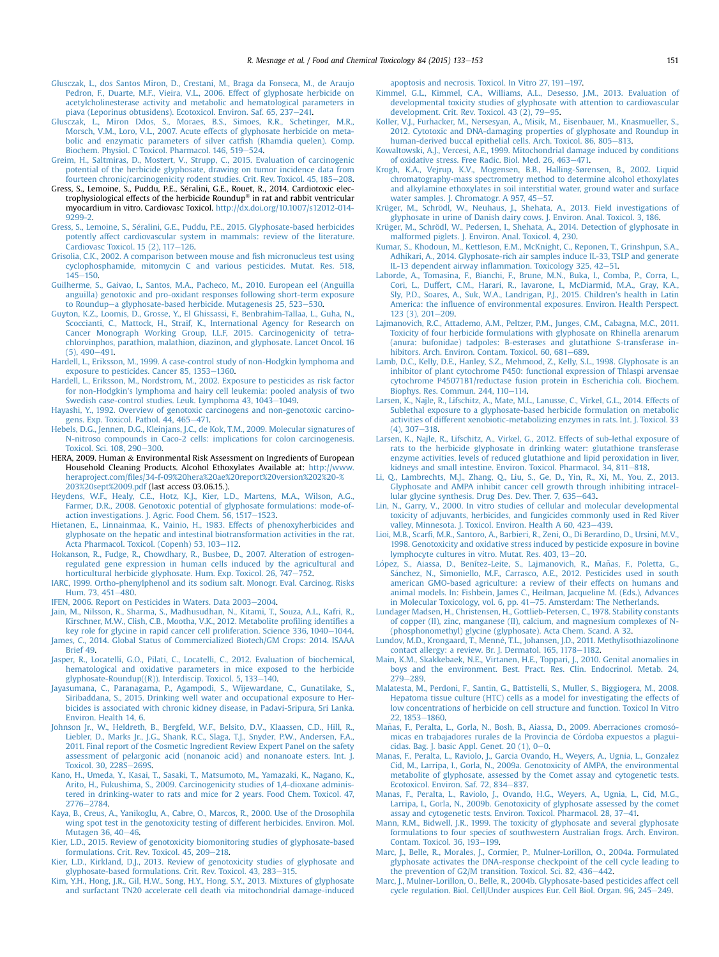- <span id="page-18-0"></span>[Glusczak, L., dos Santos Miron, D., Crestani, M., Braga da Fonseca, M., de Araujo](http://refhub.elsevier.com/S0278-6915(15)30034-X/sref96) [Pedron, F., Duarte, M.F., Vieira, V.L., 2006. Effect of glyphosate herbicide on](http://refhub.elsevier.com/S0278-6915(15)30034-X/sref96) [acetylcholinesterase activity and metabolic and hematological parameters in](http://refhub.elsevier.com/S0278-6915(15)30034-X/sref96) [piava \(Leporinus obtusidens\). Ecotoxicol. Environ. Saf. 65, 237](http://refhub.elsevier.com/S0278-6915(15)30034-X/sref96)-[241.](http://refhub.elsevier.com/S0278-6915(15)30034-X/sref96)<br>Glusczak. L., Miron. Ddos. S., Moraes. B.S., Simoes. R.R., Schetin.
- Miron Ddos, S., Moraes, B.S., Simoes, R.R., Schetinger, M.R., [Morsch, V.M., Loro, V.L., 2007. Acute effects of glyphosate herbicide on meta](http://refhub.elsevier.com/S0278-6915(15)30034-X/sref97)[bolic and enzymatic parameters of silver cat](http://refhub.elsevier.com/S0278-6915(15)30034-X/sref97)fish (Rhamdia quelen). Comp. [Biochem. Physiol. C Toxicol. Pharmacol. 146, 519](http://refhub.elsevier.com/S0278-6915(15)30034-X/sref97)-[524.](http://refhub.elsevier.com/S0278-6915(15)30034-X/sref97)
- [Greim, H., Saltmiras, D., Mostert, V., Strupp, C., 2015. Evaluation of carcinogenic](http://refhub.elsevier.com/S0278-6915(15)30034-X/sref98) [potential of the herbicide glyphosate, drawing on tumor incidence data from](http://refhub.elsevier.com/S0278-6915(15)30034-X/sref98) [fourteen chronic/carcinogenicity rodent studies. Crit. Rev. Toxicol. 45, 185](http://refhub.elsevier.com/S0278-6915(15)30034-X/sref98)-[208](http://refhub.elsevier.com/S0278-6915(15)30034-X/sref98).
- Gress, S., Lemoine, S., Puddu, P.E., Séralini, G.E., Rouet, R., 2014. Cardiotoxic electrophysiological effects of the herbicide Roundup® in rat and rabbit ventricular myocardium in vitro. Cardiovasc Toxicol. [http://dx.doi.org/10.1007/s12012-014-](http://dx.doi.org/10.1007/s12012-014-9299-2) [9299-2](http://dx.doi.org/10.1007/s12012-014-9299-2).
- [Gress, S., Lemoine, S., S](http://refhub.elsevier.com/S0278-6915(15)30034-X/sref100)é[ralini, G.E., Puddu, P.E., 2015. Glyphosate-based herbicides](http://refhub.elsevier.com/S0278-6915(15)30034-X/sref100) [potently affect cardiovascular system in mammals: review of the literature.](http://refhub.elsevier.com/S0278-6915(15)30034-X/sref100) Cardiovasc Toxicol.  $15$  (2),  $117-126$ .
- [Grisolia, C.K., 2002. A comparison between mouse and](http://refhub.elsevier.com/S0278-6915(15)30034-X/sref101) fish micronucleus test using [cyclophosphamide, mitomycin C and various pesticides. Mutat. Res. 518,](http://refhub.elsevier.com/S0278-6915(15)30034-X/sref101)  $145 - 150$  $145 - 150$
- [Guilherme, S., Gaivao, I., Santos, M.A., Pacheco, M., 2010. European eel \(Anguilla](http://refhub.elsevier.com/S0278-6915(15)30034-X/sref102) [anguilla\) genotoxic and pro-oxidant responses following short-term exposure](http://refhub.elsevier.com/S0278-6915(15)30034-X/sref102) [to Roundup](http://refhub.elsevier.com/S0278-6915(15)30034-X/sref102)-[a glyphosate-based herbicide. Mutagenesis 25, 523](http://refhub.elsevier.com/S0278-6915(15)30034-X/sref102)-[530](http://refhub.elsevier.com/S0278-6915(15)30034-X/sref102).
- [Guyton, K.Z., Loomis, D., Grosse, Y., El Ghissassi, F., Benbrahim-Tallaa, L., Guha, N.,](http://refhub.elsevier.com/S0278-6915(15)30034-X/sref103) [Scoccianti, C., Mattock, H., Straif, K., International Agency for Research on](http://refhub.elsevier.com/S0278-6915(15)30034-X/sref103) [Cancer Monograph Working Group, I.L.F, 2015. Carcinogenicity of tetra](http://refhub.elsevier.com/S0278-6915(15)30034-X/sref103)[chlorvinphos, parathion, malathion, diazinon, and glyphosate. Lancet Oncol. 16](http://refhub.elsevier.com/S0278-6915(15)30034-X/sref103)  $(5)$ , 490 $-491$ .
- [Hardell, L., Eriksson, M., 1999. A case-control study of non-Hodgkin lymphoma and](http://refhub.elsevier.com/S0278-6915(15)30034-X/sref104) [exposure to pesticides. Cancer 85, 1353](http://refhub.elsevier.com/S0278-6915(15)30034-X/sref104)-[1360.](http://refhub.elsevier.com/S0278-6915(15)30034-X/sref104)
- [Hardell, L., Eriksson, M., Nordstrom, M., 2002. Exposure to pesticides as risk factor](http://refhub.elsevier.com/S0278-6915(15)30034-X/sref105) [for non-Hodgkin's lymphoma and hairy cell leukemia: pooled analysis of two](http://refhub.elsevier.com/S0278-6915(15)30034-X/sref105) [Swedish case-control studies. Leuk. Lymphoma 43, 1043](http://refhub.elsevier.com/S0278-6915(15)30034-X/sref105)-[1049.](http://refhub.elsevier.com/S0278-6915(15)30034-X/sref105)
- [Hayashi, Y., 1992. Overview of genotoxic carcinogens and non-genotoxic carcino](http://refhub.elsevier.com/S0278-6915(15)30034-X/sref106)[gens. Exp. Toxicol. Pathol. 44, 465](http://refhub.elsevier.com/S0278-6915(15)30034-X/sref106)-[471.](http://refhub.elsevier.com/S0278-6915(15)30034-X/sref106)
- [Hebels, D.G., Jennen, D.G., Kleinjans, J.C., de Kok, T.M., 2009. Molecular signatures of](http://refhub.elsevier.com/S0278-6915(15)30034-X/sref107) [N-nitroso compounds in Caco-2 cells: implications for colon carcinogenesis.](http://refhub.elsevier.com/S0278-6915(15)30034-X/sref107) [Toxicol. Sci. 108, 290](http://refhub.elsevier.com/S0278-6915(15)30034-X/sref107)-[300.](http://refhub.elsevier.com/S0278-6915(15)30034-X/sref107)
- HERA, 2009. Human & Environmental Risk Assessment on Ingredients of European Household Cleaning Products. Alcohol Ethoxylates Available at: [http://www.](http://www.heraproject.com/files/34-f-09%20hera%20ae%20report%20version%202%20-%203%20sept%2009.pdf) heraproject.com/fi[les/34-f-09%20hera%20ae%20report%20version%202%20-%](http://www.heraproject.com/files/34-f-09%20hera%20ae%20report%20version%202%20-%203%20sept%2009.pdf) [203%20sept%2009.pdf](http://www.heraproject.com/files/34-f-09%20hera%20ae%20report%20version%202%20-%203%20sept%2009.pdf) (last access 03.06.15.).
- [Heydens, W.F., Healy, C.E., Hotz, K.J., Kier, L.D., Martens, M.A., Wilson, A.G.,](http://refhub.elsevier.com/S0278-6915(15)30034-X/sref109) [Farmer, D.R., 2008. Genotoxic potential of glyphosate formulations: mode-of](http://refhub.elsevier.com/S0278-6915(15)30034-X/sref109)[action investigations. J. Agric. Food Chem. 56, 1517](http://refhub.elsevier.com/S0278-6915(15)30034-X/sref109)-[1523](http://refhub.elsevier.com/S0278-6915(15)30034-X/sref109).
- [Hietanen, E., Linnainmaa, K., Vainio, H., 1983. Effects of phenoxyherbicides and](http://refhub.elsevier.com/S0278-6915(15)30034-X/sref110) [glyphosate on the hepatic and intestinal biotransformation activities in the rat.](http://refhub.elsevier.com/S0278-6915(15)30034-X/sref110) [Acta Pharmacol. Toxicol. \(Copenh\) 53, 103](http://refhub.elsevier.com/S0278-6915(15)30034-X/sref110)-[112.](http://refhub.elsevier.com/S0278-6915(15)30034-X/sref110)
- [Hokanson, R., Fudge, R., Chowdhary, R., Busbee, D., 2007. Alteration of estrogen](http://refhub.elsevier.com/S0278-6915(15)30034-X/sref111)[regulated gene expression in human cells induced by the agricultural and](http://refhub.elsevier.com/S0278-6915(15)30034-X/sref111) [horticultural herbicide glyphosate. Hum. Exp. Toxicol. 26, 747](http://refhub.elsevier.com/S0278-6915(15)30034-X/sref111)-[752.](http://refhub.elsevier.com/S0278-6915(15)30034-X/sref111)
- [IARC, 1999. Ortho-phenylphenol and its sodium salt. Monogr. Eval. Carcinog. Risks](http://refhub.elsevier.com/S0278-6915(15)30034-X/sref112) [Hum. 73, 451](http://refhub.elsevier.com/S0278-6915(15)30034-X/sref112)-[480](http://refhub.elsevier.com/S0278-6915(15)30034-X/sref112).
- [IFEN, 2006. Report on Pesticides in Waters. Data 2003](http://refhub.elsevier.com/S0278-6915(15)30034-X/sref113)-[2004.](http://refhub.elsevier.com/S0278-6915(15)30034-X/sref113)
- [Jain, M., Nilsson, R., Sharma, S., Madhusudhan, N., Kitami, T., Souza, A.L., Kafri, R.,](http://refhub.elsevier.com/S0278-6915(15)30034-X/sref114) [Kirschner, M.W., Clish, C.B., Mootha, V.K., 2012. Metabolite pro](http://refhub.elsevier.com/S0278-6915(15)30034-X/sref114)filing identifies a [key role for glycine in rapid cancer cell proliferation. Science 336, 1040](http://refhub.elsevier.com/S0278-6915(15)30034-X/sref114)-[1044.](http://refhub.elsevier.com/S0278-6915(15)30034-X/sref114) [James, C., 2014. Global Status of Commercialized Biotech/GM Crops: 2014. ISAAA](http://refhub.elsevier.com/S0278-6915(15)30034-X/sref115)
- [Brief 49.](http://refhub.elsevier.com/S0278-6915(15)30034-X/sref115)
- [Jasper, R., Locatelli, G.O., Pilati, C., Locatelli, C., 2012. Evaluation of biochemical,](http://refhub.elsevier.com/S0278-6915(15)30034-X/sref116) [hematological and oxidative parameters in mice exposed to the herbicide](http://refhub.elsevier.com/S0278-6915(15)30034-X/sref116) glyphosate-Roundup( $(R)$ ). Interdiscip. Toxicol. 5, 133-[140](http://refhub.elsevier.com/S0278-6915(15)30034-X/sref116).
- [Jayasumana, C., Paranagama, P., Agampodi, S., Wijewardane, C., Gunatilake, S.,](http://refhub.elsevier.com/S0278-6915(15)30034-X/sref117) [Siribaddana, S., 2015. Drinking well water and occupational exposure to Her](http://refhub.elsevier.com/S0278-6915(15)30034-X/sref117)[bicides is associated with chronic kidney disease, in Padavi-Sripura, Sri Lanka.](http://refhub.elsevier.com/S0278-6915(15)30034-X/sref117) [Environ. Health 14, 6.](http://refhub.elsevier.com/S0278-6915(15)30034-X/sref117)
- [Johnson Jr., W., Heldreth, B., Bergfeld, W.F., Belsito, D.V., Klaassen, C.D., Hill, R.,](http://refhub.elsevier.com/S0278-6915(15)30034-X/sref118) [Liebler, D., Marks Jr., J.G., Shank, R.C., Slaga, T.J., Snyder, P.W., Andersen, F.A.,](http://refhub.elsevier.com/S0278-6915(15)30034-X/sref118) [2011. Final report of the Cosmetic Ingredient Review Expert Panel on the safety](http://refhub.elsevier.com/S0278-6915(15)30034-X/sref118) [assessment of pelargonic acid \(nonanoic acid\) and nonanoate esters. Int. J.](http://refhub.elsevier.com/S0278-6915(15)30034-X/sref118) [Toxicol. 30, 228S](http://refhub.elsevier.com/S0278-6915(15)30034-X/sref118)-[269S](http://refhub.elsevier.com/S0278-6915(15)30034-X/sref118).
- [Kano, H., Umeda, Y., Kasai, T., Sasaki, T., Matsumoto, M., Yamazaki, K., Nagano, K.,](http://refhub.elsevier.com/S0278-6915(15)30034-X/sref119) [Arito, H., Fukushima, S., 2009. Carcinogenicity studies of 1,4-dioxane adminis](http://refhub.elsevier.com/S0278-6915(15)30034-X/sref119)[tered in drinking-water to rats and mice for 2 years. Food Chem. Toxicol. 47,](http://refhub.elsevier.com/S0278-6915(15)30034-X/sref119) [2776](http://refhub.elsevier.com/S0278-6915(15)30034-X/sref119)-[2784](http://refhub.elsevier.com/S0278-6915(15)30034-X/sref119).
- [Kaya, B., Creus, A., Yanikoglu, A., Cabre, O., Marcos, R., 2000. Use of the Drosophila](http://refhub.elsevier.com/S0278-6915(15)30034-X/sref120) [wing spot test in the genotoxicity testing of different herbicides. Environ. Mol.](http://refhub.elsevier.com/S0278-6915(15)30034-X/sref120) [Mutagen 36, 40](http://refhub.elsevier.com/S0278-6915(15)30034-X/sref120)-[46](http://refhub.elsevier.com/S0278-6915(15)30034-X/sref120).
- [Kier, L.D., 2015. Review of genotoxicity biomonitoring studies of glyphosate-based](http://refhub.elsevier.com/S0278-6915(15)30034-X/sref121) [formulations. Crit. Rev. Toxicol. 45, 209](http://refhub.elsevier.com/S0278-6915(15)30034-X/sref121)-[218](http://refhub.elsevier.com/S0278-6915(15)30034-X/sref121).
- [Kier, L.D., Kirkland, D.J., 2013. Review of genotoxicity studies of glyphosate and](http://refhub.elsevier.com/S0278-6915(15)30034-X/sref122) [glyphosate-based formulations. Crit. Rev. Toxicol. 43, 283](http://refhub.elsevier.com/S0278-6915(15)30034-X/sref122)-[315.](http://refhub.elsevier.com/S0278-6915(15)30034-X/sref122)
- [Kim, Y.H., Hong, J.R., Gil, H.W., Song, H.Y., Hong, S.Y., 2013. Mixtures of glyphosate](http://refhub.elsevier.com/S0278-6915(15)30034-X/sref123) [and surfactant TN20 accelerate cell death via mitochondrial damage-induced](http://refhub.elsevier.com/S0278-6915(15)30034-X/sref123)

apoptosis and necrosis. Toxicol. In Vitro  $27$ ,  $191-197$ .

- [Kimmel, G.L., Kimmel, C.A., Williams, A.L., Desesso, J.M., 2013. Evaluation of](http://refhub.elsevier.com/S0278-6915(15)30034-X/sref124) [developmental toxicity studies of glyphosate with attention to cardiovascular](http://refhub.elsevier.com/S0278-6915(15)30034-X/sref124) development. Crit. Rev. Toxicol.  $43$   $(2)$ ,  $79-95$  $79-95$ .
- [Koller, V.J., Furhacker, M., Nersesyan, A., Misik, M., Eisenbauer, M., Knasmueller, S.,](http://refhub.elsevier.com/S0278-6915(15)30034-X/sref125) [2012. Cytotoxic and DNA-damaging properties of glyphosate and Roundup in](http://refhub.elsevier.com/S0278-6915(15)30034-X/sref125) [human-derived buccal epithelial cells. Arch. Toxicol. 86, 805](http://refhub.elsevier.com/S0278-6915(15)30034-X/sref125)-[813](http://refhub.elsevier.com/S0278-6915(15)30034-X/sref125).
- [Kowaltowski, A.J., Vercesi, A.E., 1999. Mitochondrial damage induced by conditions](http://refhub.elsevier.com/S0278-6915(15)30034-X/sref126) [of oxidative stress. Free Radic. Biol. Med. 26, 463](http://refhub.elsevier.com/S0278-6915(15)30034-X/sref126)-[471.](http://refhub.elsevier.com/S0278-6915(15)30034-X/sref126)
- [Krogh, K.A., Vejrup, K.V., Mogensen, B.B., Halling-Sørensen, B., 2002. Liquid](http://refhub.elsevier.com/S0278-6915(15)30034-X/sref127) [chromatography-mass spectrometry method to determine alcohol ethoxylates](http://refhub.elsevier.com/S0278-6915(15)30034-X/sref127) [and alkylamine ethoxylates in soil interstitial water, ground water and surface](http://refhub.elsevier.com/S0278-6915(15)30034-X/sref127) [water samples. J. Chromatogr. A 957, 45](http://refhub.elsevier.com/S0278-6915(15)30034-X/sref127)–[57.](http://refhub.elsevier.com/S0278-6915(15)30034-X/sref127)
- Krüger, M., Schrödl, W., Neuhaus, J., Shehata, A., 2013. Field investigations of [glyphosate in urine of Danish dairy cows. J. Environ. Anal. Toxicol. 3, 186.](http://refhub.elsevier.com/S0278-6915(15)30034-X/sref128)
- Krüger, M., Schrödl, W., Pedersen, I., Shehata, A., 2014. Detection of glyphosate in [malformed piglets. J. Environ. Anal. Toxicol. 4, 230](http://refhub.elsevier.com/S0278-6915(15)30034-X/sref129).
- [Kumar, S., Khodoun, M., Kettleson, E.M., McKnight, C., Reponen, T., Grinshpun, S.A.,](http://refhub.elsevier.com/S0278-6915(15)30034-X/sref130) [Adhikari, A., 2014. Glyphosate-rich air samples induce IL-33, TSLP and generate](http://refhub.elsevier.com/S0278-6915(15)30034-X/sref130) IL-13 dependent airway infl[ammation. Toxicology 325, 42](http://refhub.elsevier.com/S0278-6915(15)30034-X/sref130)-[51.](http://refhub.elsevier.com/S0278-6915(15)30034-X/sref130)
- [Laborde, A., Tomasina, F., Bianchi, F., Brune, M.N., Buka, I., Comba, P., Corra, L.,](http://refhub.elsevier.com/S0278-6915(15)30034-X/sref131) [Cori, L., Duffert, C.M., Harari, R., Iavarone, I., McDiarmid, M.A., Gray, K.A.,](http://refhub.elsevier.com/S0278-6915(15)30034-X/sref131) [Sly, P.D., Soares, A., Suk, W.A., Landrigan, P.J., 2015. Children's health in Latin](http://refhub.elsevier.com/S0278-6915(15)30034-X/sref131) America: the infl[uence of environmental exposures. Environ. Health Perspect.](http://refhub.elsevier.com/S0278-6915(15)30034-X/sref131)  $123$  (3),  $201 - 209$  $201 - 209$ .
- [Lajmanovich, R.C., Attademo, A.M., Peltzer, P.M., Junges, C.M., Cabagna, M.C., 2011.](http://refhub.elsevier.com/S0278-6915(15)30034-X/sref132) [Toxicity of four herbicide formulations with glyphosate on Rhinella arenarum](http://refhub.elsevier.com/S0278-6915(15)30034-X/sref132) [\(anura: bufonidae\) tadpoles: B-esterases and glutathione S-transferase in](http://refhub.elsevier.com/S0278-6915(15)30034-X/sref132)[hibitors. Arch. Environ. Contam. Toxicol. 60, 681](http://refhub.elsevier.com/S0278-6915(15)30034-X/sref132)-[689.](http://refhub.elsevier.com/S0278-6915(15)30034-X/sref132)
- [Lamb, D.C., Kelly, D.E., Hanley, S.Z., Mehmood, Z., Kelly, S.L., 1998. Glyphosate is an](http://refhub.elsevier.com/S0278-6915(15)30034-X/sref133) [inhibitor of plant cytochrome P450: functional expression of Thlaspi arvensae](http://refhub.elsevier.com/S0278-6915(15)30034-X/sref133) [cytochrome P45071B1/reductase fusion protein in Escherichia coli. Biochem.](http://refhub.elsevier.com/S0278-6915(15)30034-X/sref133) [Biophys. Res. Commun. 244, 110](http://refhub.elsevier.com/S0278-6915(15)30034-X/sref133)-[114](http://refhub.elsevier.com/S0278-6915(15)30034-X/sref133).
- [Larsen, K., Najle, R., Lifschitz, A., Mate, M.L., Lanusse, C., Virkel, G.L., 2014. Effects of](http://refhub.elsevier.com/S0278-6915(15)30034-X/sref134) [Sublethal exposure to a glyphosate-based herbicide formulation on metabolic](http://refhub.elsevier.com/S0278-6915(15)30034-X/sref134) [activities of different xenobiotic-metabolizing enzymes in rats. Int. J. Toxicol. 33](http://refhub.elsevier.com/S0278-6915(15)30034-X/sref134)  $(4)$ , 307 $-318$ .
- [Larsen, K., Najle, R., Lifschitz, A., Virkel, G., 2012. Effects of sub-lethal exposure of](http://refhub.elsevier.com/S0278-6915(15)30034-X/sref135) [rats to the herbicide glyphosate in drinking water: glutathione transferase](http://refhub.elsevier.com/S0278-6915(15)30034-X/sref135) [enzyme activities, levels of reduced glutathione and lipid peroxidation in liver,](http://refhub.elsevier.com/S0278-6915(15)30034-X/sref135) [kidneys and small intestine. Environ. Toxicol. Pharmacol. 34, 811](http://refhub.elsevier.com/S0278-6915(15)30034-X/sref135)-[818.](http://refhub.elsevier.com/S0278-6915(15)30034-X/sref135)
- [Li, Q., Lambrechts, M.J., Zhang, Q., Liu, S., Ge, D., Yin, R., Xi, M., You, Z., 2013.](http://refhub.elsevier.com/S0278-6915(15)30034-X/sref136) [Glyphosate and AMPA inhibit cancer cell growth through inhibiting intracel](http://refhub.elsevier.com/S0278-6915(15)30034-X/sref136)[lular glycine synthesis. Drug Des. Dev. Ther. 7, 635](http://refhub.elsevier.com/S0278-6915(15)30034-X/sref136)-[643.](http://refhub.elsevier.com/S0278-6915(15)30034-X/sref136)
- [Lin, N., Garry, V., 2000. In vitro studies of cellular and molecular developmental](http://refhub.elsevier.com/S0278-6915(15)30034-X/sref137) [toxicity of adjuvants, herbicides, and fungicides commonly used in Red River](http://refhub.elsevier.com/S0278-6915(15)30034-X/sref137) [valley, Minnesota. J. Toxicol. Environ. Health A 60, 423](http://refhub.elsevier.com/S0278-6915(15)30034-X/sref137)-[439](http://refhub.elsevier.com/S0278-6915(15)30034-X/sref137).
- Lioi, M.B., Scarfi[, M.R., Santoro, A., Barbieri, R., Zeni, O., Di Berardino, D., Ursini, M.V.,](http://refhub.elsevier.com/S0278-6915(15)30034-X/sref138) [1998. Genotoxicity and oxidative stress induced by pesticide exposure in bovine](http://refhub.elsevier.com/S0278-6915(15)30034-X/sref138)<br>[lymphocyte cultures in vitro. Mutat. Res. 403, 13](http://refhub.elsevier.com/S0278-6915(15)30034-X/sref138)–[20](http://refhub.elsevier.com/S0278-6915(15)30034-X/sref138).
- López, S., Aiassa, D., Benítez-Leite, S., Lajmanovich, R., Mañas, F., Poletta, G. Sánchez, N., Simoniello, M.F., Carrasco, A.E., 2012. Pesticides used in south [american GMO-based agriculture: a review of their effects on humans and](http://refhub.elsevier.com/S0278-6915(15)30034-X/sref139) [animal models. In: Fishbein, James C., Heilman, Jacqueline M. \(Eds.\), Advances](http://refhub.elsevier.com/S0278-6915(15)30034-X/sref139) [in Molecular Toxicology, vol. 6, pp. 41](http://refhub.elsevier.com/S0278-6915(15)30034-X/sref139)-[75. Amsterdam: The Netherlands.](http://refhub.elsevier.com/S0278-6915(15)30034-X/sref139)
- [Lundager Madsen, H., Christensen, H., Gottlieb-Petersen, C., 1978. Stability constants](http://refhub.elsevier.com/S0278-6915(15)30034-X/sref140) [of copper \(II\), zinc, manganese \(II\), calcium, and magnesium complexes of N-](http://refhub.elsevier.com/S0278-6915(15)30034-X/sref140) [\(phosphonomethyl\) glycine \(glyphosate\). Acta Chem. Scand. A 32.](http://refhub.elsevier.com/S0278-6915(15)30034-X/sref140)
- Lundov, M.D., Krongaard, T., Menné, T.L., Johansen, J.D., 2011. Methylisothiazolinone [contact allergy: a review. Br. J. Dermatol. 165, 1178](http://refhub.elsevier.com/S0278-6915(15)30034-X/sref141)-[1182.](http://refhub.elsevier.com/S0278-6915(15)30034-X/sref141)
- [Main, K.M., Skakkebaek, N.E., Virtanen, H.E., Toppari, J., 2010. Genital anomalies in](http://refhub.elsevier.com/S0278-6915(15)30034-X/sref142) [boys and the environment. Best. Pract. Res. Clin. Endocrinol. Metab. 24,](http://refhub.elsevier.com/S0278-6915(15)30034-X/sref142) [279](http://refhub.elsevier.com/S0278-6915(15)30034-X/sref142)-[289](http://refhub.elsevier.com/S0278-6915(15)30034-X/sref142).
- [Malatesta, M., Perdoni, F., Santin, G., Battistelli, S., Muller, S., Biggiogera, M., 2008.](http://refhub.elsevier.com/S0278-6915(15)30034-X/sref143) [Hepatoma tissue culture \(HTC\) cells as a model for investigating the effects of](http://refhub.elsevier.com/S0278-6915(15)30034-X/sref143) [low concentrations of herbicide on cell structure and function. Toxicol In Vitro](http://refhub.elsevier.com/S0278-6915(15)30034-X/sref143) [22, 1853](http://refhub.elsevier.com/S0278-6915(15)30034-X/sref143)-[1860](http://refhub.elsevier.com/S0278-6915(15)30034-X/sref143).
- Mañas, F., Peralta, L., Gorla, N., Bosh, B., Aiassa, D., 2009. Aberraciones cromosó micas en trabajadores rurales de la Provincia de Córdoba expuestos a plaguicidas. Bag. J. basic Appl. Genet.  $20(1)$ ,  $0-0$ .
- [Manas, F., Peralta, L., Raviolo, J., Garcia Ovando, H., Weyers, A., Ugnia, L., Gonzalez](http://refhub.elsevier.com/S0278-6915(15)30034-X/sref145) [Cid, M., Larripa, I., Gorla, N., 2009a. Genotoxicity of AMPA, the environmental](http://refhub.elsevier.com/S0278-6915(15)30034-X/sref145) [metabolite of glyphosate, assessed by the Comet assay and cytogenetic tests.](http://refhub.elsevier.com/S0278-6915(15)30034-X/sref145) [Ecotoxicol. Environ. Saf. 72, 834](http://refhub.elsevier.com/S0278-6915(15)30034-X/sref145)-[837.](http://refhub.elsevier.com/S0278-6915(15)30034-X/sref145)
- [Manas, F., Peralta, L., Raviolo, J., Ovando, H.G., Weyers, A., Ugnia, L., Cid, M.G.,](http://refhub.elsevier.com/S0278-6915(15)30034-X/sref146) [Larripa, I., Gorla, N., 2009b. Genotoxicity of glyphosate assessed by the comet](http://refhub.elsevier.com/S0278-6915(15)30034-X/sref146) [assay and cytogenetic tests. Environ. Toxicol. Pharmacol. 28, 37](http://refhub.elsevier.com/S0278-6915(15)30034-X/sref146)-[41.](http://refhub.elsevier.com/S0278-6915(15)30034-X/sref146)
- [Mann, R.M., Bidwell, J.R., 1999. The toxicity of glyphosate and several glyphosate](http://refhub.elsevier.com/S0278-6915(15)30034-X/sref147) [formulations to four species of southwestern Australian frogs. Arch. Environ.](http://refhub.elsevier.com/S0278-6915(15)30034-X/sref147) [Contam. Toxicol. 36, 193](http://refhub.elsevier.com/S0278-6915(15)30034-X/sref147)-[199](http://refhub.elsevier.com/S0278-6915(15)30034-X/sref147).
- [Marc, J., Belle, R., Morales, J., Cormier, P., Mulner-Lorillon, O., 2004a. Formulated](http://refhub.elsevier.com/S0278-6915(15)30034-X/sref148) [glyphosate activates the DNA-response checkpoint of the cell cycle leading to](http://refhub.elsevier.com/S0278-6915(15)30034-X/sref148) the prevention of  $G2/M$  transition. Toxicol. Sci. 82, 436–[442.](http://refhub.elsevier.com/S0278-6915(15)30034-X/sref148)
- [Marc, J., Mulner-Lorillon, O., Belle, R., 2004b. Glyphosate-based pesticides affect cell](http://refhub.elsevier.com/S0278-6915(15)30034-X/sref149) [cycle regulation. Biol. Cell/Under auspices Eur. Cell Biol. Organ. 96, 245](http://refhub.elsevier.com/S0278-6915(15)30034-X/sref149)-[249](http://refhub.elsevier.com/S0278-6915(15)30034-X/sref149).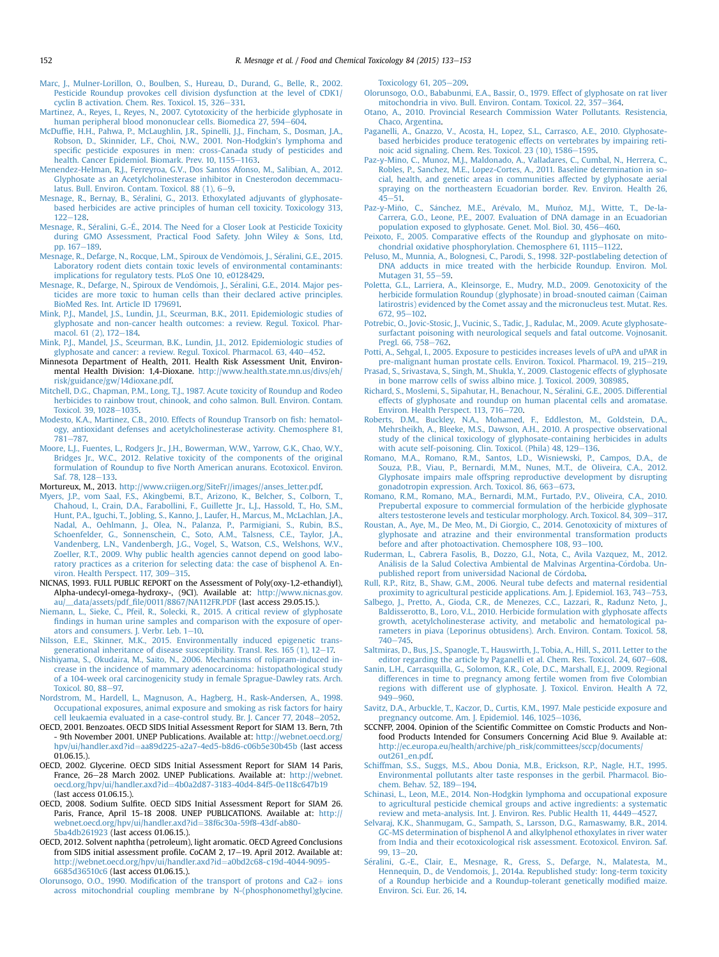- <span id="page-19-0"></span>[Marc, J., Mulner-Lorillon, O., Boulben, S., Hureau, D., Durand, G., Belle, R., 2002.](http://refhub.elsevier.com/S0278-6915(15)30034-X/sref150) [Pesticide Roundup provokes cell division dysfunction at the level of CDK1/](http://refhub.elsevier.com/S0278-6915(15)30034-X/sref150) cyclin B activation. Chem. Res. Toxicol.  $15, 326 - 331$ .
- [Martinez, A., Reyes, I., Reyes, N., 2007. Cytotoxicity of the herbicide glyphosate in](http://refhub.elsevier.com/S0278-6915(15)30034-X/sref151) [human peripheral blood mononuclear cells. Biomedica 27, 594](http://refhub.elsevier.com/S0278-6915(15)30034-X/sref151)-[604.](http://refhub.elsevier.com/S0278-6915(15)30034-X/sref151)
- McDuffi[e, H.H., Pahwa, P., McLaughlin, J.R., Spinelli, J.J., Fincham, S., Dosman, J.A.,](http://refhub.elsevier.com/S0278-6915(15)30034-X/sref152) [Robson, D., Skinnider, L.F., Choi, N.W., 2001. Non-Hodgkin's lymphoma and](http://refhub.elsevier.com/S0278-6915(15)30034-X/sref152) specifi[c pesticide exposures in men: cross-Canada study of pesticides and](http://refhub.elsevier.com/S0278-6915(15)30034-X/sref152) [health. Cancer Epidemiol. Biomark. Prev. 10, 1155](http://refhub.elsevier.com/S0278-6915(15)30034-X/sref152)-[1163](http://refhub.elsevier.com/S0278-6915(15)30034-X/sref152).
- [Menendez-Helman, R.J., Ferreyroa, G.V., Dos Santos Afonso, M., Salibian, A., 2012.](http://refhub.elsevier.com/S0278-6915(15)30034-X/sref153) [Glyphosate as an Acetylcholinesterase inhibitor in Cnesterodon decemmacu](http://refhub.elsevier.com/S0278-6915(15)30034-X/sref153)latus. Bull. Environ. Contam. Toxicol. 88  $(1)$ , 6-[9.](http://refhub.elsevier.com/S0278-6915(15)30034-X/sref153)
- [Mesnage, R., Bernay, B., Seralini, G., 2013. Ethoxylated adjuvants of glyphosate-](http://refhub.elsevier.com/S0278-6915(15)30034-X/sref154) [based herbicides are active principles of human cell toxicity. Toxicology 313,](http://refhub.elsevier.com/S0278-6915(15)30034-X/sref154)  $122 - 128$  $122 - 128$ .
- Mesnage, R., Séralini, G.-É., 2014. The Need for a Closer Look at Pesticide Toxicity [during GMO Assessment, Practical Food Safety. John Wiley](http://refhub.elsevier.com/S0278-6915(15)30034-X/sref155) & [Sons, Ltd,](http://refhub.elsevier.com/S0278-6915(15)30034-X/sref155) pp.  $167 - 189$  $167 - 189$ .
- Mesnage, R., Defarge, N., Rocque, L.M., Spiroux de Vendômois, J., Séralini, G.E., 2015. [Laboratory rodent diets contain toxic levels of environmental contaminants:](http://refhub.elsevier.com/S0278-6915(15)30034-X/sref156) [implications for regulatory tests. PLoS One 10, e0128429](http://refhub.elsevier.com/S0278-6915(15)30034-X/sref156).
- [Mesnage, R., Defarge, N., Spiroux de Vend](http://refhub.elsevier.com/S0278-6915(15)30034-X/sref157)ô[mois, J., S](http://refhub.elsevier.com/S0278-6915(15)30034-X/sref157)é[ralini, G.E., 2014. Major pes](http://refhub.elsevier.com/S0278-6915(15)30034-X/sref157) [ticides are more toxic to human cells than their declared active principles.](http://refhub.elsevier.com/S0278-6915(15)30034-X/sref157) [BioMed Res. Int. Article ID 179691.](http://refhub.elsevier.com/S0278-6915(15)30034-X/sref157)
- [Mink, P.J., Mandel, J.S., Lundin, J.I., Sceurman, B.K., 2011. Epidemiologic studies of](http://refhub.elsevier.com/S0278-6915(15)30034-X/sref158) [glyphosate and non-cancer health outcomes: a review. Regul. Toxicol. Phar](http://refhub.elsevier.com/S0278-6915(15)30034-X/sref158)[macol. 61 \(2\), 172](http://refhub.elsevier.com/S0278-6915(15)30034-X/sref158)-[184](http://refhub.elsevier.com/S0278-6915(15)30034-X/sref158).
- [Mink, P.J., Mandel, J.S., Sceurman, B.K., Lundin, J.I., 2012. Epidemiologic studies of](http://refhub.elsevier.com/S0278-6915(15)30034-X/sref159) [glyphosate and cancer: a review. Regul. Toxicol. Pharmacol. 63, 440](http://refhub.elsevier.com/S0278-6915(15)30034-X/sref159)-[452.](http://refhub.elsevier.com/S0278-6915(15)30034-X/sref159)
- Minnesota Department of Health, 2011. Health Risk Assessment Unit, Environmental Health Division: 1,4-Dioxane. [http://www.health.state.mn.us/divs/eh/](http://www.health.state.mn.us/divs/eh/risk/guidance/gw/14dioxane.pdf) [risk/guidance/gw/14dioxane.pdf](http://www.health.state.mn.us/divs/eh/risk/guidance/gw/14dioxane.pdf).
- [Mitchell, D.G., Chapman, P.M., Long, T.J., 1987. Acute toxicity of Roundup and Rodeo](http://refhub.elsevier.com/S0278-6915(15)30034-X/sref161) [herbicides to rainbow trout, chinook, and coho salmon. Bull. Environ. Contam.](http://refhub.elsevier.com/S0278-6915(15)30034-X/sref161) [Toxicol. 39, 1028](http://refhub.elsevier.com/S0278-6915(15)30034-X/sref161)-[1035](http://refhub.elsevier.com/S0278-6915(15)30034-X/sref161).
- [Modesto, K.A., Martinez, C.B., 2010. Effects of Roundup Transorb on](http://refhub.elsevier.com/S0278-6915(15)30034-X/sref162) fish: hematol[ogy, antioxidant defenses and acetylcholinesterase activity. Chemosphere 81,](http://refhub.elsevier.com/S0278-6915(15)30034-X/sref162) [781](http://refhub.elsevier.com/S0278-6915(15)30034-X/sref162)-787
- [Moore, L.J., Fuentes, L., Rodgers Jr., J.H., Bowerman, W.W., Yarrow, G.K., Chao, W.Y.,](http://refhub.elsevier.com/S0278-6915(15)30034-X/sref163) [Bridges Jr., W.C., 2012. Relative toxicity of the components of the original](http://refhub.elsevier.com/S0278-6915(15)30034-X/sref163) formulation of Roundup to fi[ve North American anurans. Ecotoxicol. Environ.](http://refhub.elsevier.com/S0278-6915(15)30034-X/sref163) [Saf. 78, 128](http://refhub.elsevier.com/S0278-6915(15)30034-X/sref163)-[133](http://refhub.elsevier.com/S0278-6915(15)30034-X/sref163).
- Mortureux, M., 2013. [http://www.criigen.org/SiteFr//images//anses\\_letter.pdf.](http://www.criigen.org/SiteFr//images//anses_letter.pdf)
- [Myers, J.P., vom Saal, F.S., Akingbemi, B.T., Arizono, K., Belcher, S., Colborn, T.,](http://refhub.elsevier.com/S0278-6915(15)30034-X/sref165) [Chahoud, I., Crain, D.A., Farabollini, F., Guillette Jr., L.J., Hassold, T., Ho, S.M.,](http://refhub.elsevier.com/S0278-6915(15)30034-X/sref165) [Hunt, P.A., Iguchi, T., Jobling, S., Kanno, J., Laufer, H., Marcus, M., McLachlan, J.A.,](http://refhub.elsevier.com/S0278-6915(15)30034-X/sref165) [Nadal, A., Oehlmann, J., Olea, N., Palanza, P., Parmigiani, S., Rubin, B.S.,](http://refhub.elsevier.com/S0278-6915(15)30034-X/sref165) [Schoenfelder, G., Sonnenschein, C., Soto, A.M., Talsness, C.E., Taylor, J.A.,](http://refhub.elsevier.com/S0278-6915(15)30034-X/sref165) [Vandenberg, L.N., Vandenbergh, J.G., Vogel, S., Watson, C.S., Welshons, W.V.,](http://refhub.elsevier.com/S0278-6915(15)30034-X/sref165) [Zoeller, R.T., 2009. Why public health agencies cannot depend on good labo](http://refhub.elsevier.com/S0278-6915(15)30034-X/sref165)[ratory practices as a criterion for selecting data: the case of bisphenol A. En](http://refhub.elsevier.com/S0278-6915(15)30034-X/sref165)[viron. Health Perspect. 117, 309](http://refhub.elsevier.com/S0278-6915(15)30034-X/sref165)-[315.](http://refhub.elsevier.com/S0278-6915(15)30034-X/sref165)
- NICNAS, 1993. FULL PUBLIC REPORT on the Assessment of Poly(oxy-1,2-ethandiyl), Alpha-undecyl-omega-hydroxy-, (9CI). Available at: [http://www.nicnas.gov.](http://www.nicnas.gov.au/__data/assets/pdf_file/0011/8867/NA112FR.PDF) au/\_\_data/assets/pdf\_fi[le/0011/8867/NA112FR.PDF](http://www.nicnas.gov.au/__data/assets/pdf_file/0011/8867/NA112FR.PDF) (last access 29.05.15.).
- [Niemann, L., Sieke, C., Pfeil, R., Solecki, R., 2015. A critical review of glyphosate](http://refhub.elsevier.com/S0278-6915(15)30034-X/sref167) fi[ndings in human urine samples and comparison with the exposure of oper](http://refhub.elsevier.com/S0278-6915(15)30034-X/sref167)ators and consumers. J. Verbr. Leb.  $1-10$  $1-10$ .
- [Nilsson, E.E., Skinner, M.K., 2015. Environmentally induced epigenetic trans](http://refhub.elsevier.com/S0278-6915(15)30034-X/sref168)generational inheritance of disease susceptibility. Transl. Res.  $165$  (1), 12-[17.](http://refhub.elsevier.com/S0278-6915(15)30034-X/sref168)
- [Nishiyama, S., Okudaira, M., Saito, N., 2006. Mechanisms of rolipram-induced in](http://refhub.elsevier.com/S0278-6915(15)30034-X/sref169)[crease in the incidence of mammary adenocarcinoma: histopathological study](http://refhub.elsevier.com/S0278-6915(15)30034-X/sref169) [of a 104-week oral carcinogenicity study in female Sprague-Dawley rats. Arch.](http://refhub.elsevier.com/S0278-6915(15)30034-X/sref169) [Toxicol. 80, 88](http://refhub.elsevier.com/S0278-6915(15)30034-X/sref169)-[97.](http://refhub.elsevier.com/S0278-6915(15)30034-X/sref169)
- [Nordstrom, M., Hardell, L., Magnuson, A., Hagberg, H., Rask-Andersen, A., 1998.](http://refhub.elsevier.com/S0278-6915(15)30034-X/sref170) [Occupational exposures, animal exposure and smoking as risk factors for hairy](http://refhub.elsevier.com/S0278-6915(15)30034-X/sref170) [cell leukaemia evaluated in a case-control study. Br. J. Cancer 77, 2048](http://refhub.elsevier.com/S0278-6915(15)30034-X/sref170)-[2052](http://refhub.elsevier.com/S0278-6915(15)30034-X/sref170).
- OECD, 2001. Benzoates. OECD SIDS Initial Assessment Report for SIAM 13. Bern, 7th - 9th November 2001. UNEP Publications. Available at: [http://webnet.oecd.org/](http://webnet.oecd.org/hpv/ui/handler.axd?id=aa89d225-a2a7-4ed5-b8d6-c06b5e30b45b) [hpv/ui/handler.axd?id](http://webnet.oecd.org/hpv/ui/handler.axd?id=aa89d225-a2a7-4ed5-b8d6-c06b5e30b45b)=[aa89d225-a2a7-4ed5-b8d6-c06b5e30b45b](http://webnet.oecd.org/hpv/ui/handler.axd?id=aa89d225-a2a7-4ed5-b8d6-c06b5e30b45b) (last access 01.06.15.).
- OECD, 2002. Glycerine. OECD SIDS Initial Assessment Report for SIAM 14 Paris, France, 26-28 March 2002. UNEP Publications. Available at: [http://webnet.](http://webnet.oecd.org/hpv/ui/handler.axd?id=4b0a2d87-3183-40d4-84f5-0e118c647b19) [oecd.org/hpv/ui/handler.axd?id](http://webnet.oecd.org/hpv/ui/handler.axd?id=4b0a2d87-3183-40d4-84f5-0e118c647b19)¼[4b0a2d87-3183-40d4-84f5-0e118c647b19](http://webnet.oecd.org/hpv/ui/handler.axd?id=4b0a2d87-3183-40d4-84f5-0e118c647b19) (last access 01.06.15.).
- OECD, 2008. Sodium Sulfite. OECD SIDS Initial Assessment Report for SIAM 26. Paris, France, April 15-18 2008. UNEP PUBLICATIONS. Available at: [http://](http://webnet.oecd.org/hpv/ui/handler.axd?id=38f6c30a-59f8-43df-ab80-5ba4db261923) [webnet.oecd.org/hpv/ui/handler.axd?id](http://webnet.oecd.org/hpv/ui/handler.axd?id=38f6c30a-59f8-43df-ab80-5ba4db261923)=[38f6c30a-59f8-43df-ab80-](http://webnet.oecd.org/hpv/ui/handler.axd?id=38f6c30a-59f8-43df-ab80-5ba4db261923) [5ba4db261923](http://webnet.oecd.org/hpv/ui/handler.axd?id=38f6c30a-59f8-43df-ab80-5ba4db261923) (last access 01.06.15.).
- OECD, 2012. Solvent naphtha (petroleum), light aromatic. OECD Agreed Conclusions from SIDS initial assessment profile. CoCAM 2, 17-19. April 2012. Available at: [http://webnet.oecd.org/hpv/ui/handler.axd?id](http://webnet.oecd.org/hpv/ui/handler.axd?id=a0bd2c68-c19d-4044-9095-6685d36510c6)=[a0bd2c68-c19d-4044-9095-](http://webnet.oecd.org/hpv/ui/handler.axd?id=a0bd2c68-c19d-4044-9095-6685d36510c6) [6685d36510c6](http://webnet.oecd.org/hpv/ui/handler.axd?id=a0bd2c68-c19d-4044-9095-6685d36510c6) (last access 01.06.15.).
- Olorunsogo, O.O., 1990. Modification of the transport of protons and  $Ca2+$  [ions](http://refhub.elsevier.com/S0278-6915(15)30034-X/sref175) [across mitochondrial coupling membrane by N-\(phosphonomethyl\)glycine.](http://refhub.elsevier.com/S0278-6915(15)30034-X/sref175)

Toxicology  $61, 205-209.$  $61, 205-209.$  $61, 205-209.$ 

- [Olorunsogo, O.O., Bababunmi, E.A., Bassir, O., 1979. Effect of glyphosate on rat liver](http://refhub.elsevier.com/S0278-6915(15)30034-X/sref176) [mitochondria in vivo. Bull. Environ. Contam. Toxicol. 22, 357](http://refhub.elsevier.com/S0278-6915(15)30034-X/sref176)-[364](http://refhub.elsevier.com/S0278-6915(15)30034-X/sref176).
- [Otano, A., 2010. Provincial Research Commission Water Pollutants. Resistencia,](http://refhub.elsevier.com/S0278-6915(15)30034-X/sref177) [Chaco, Argentina](http://refhub.elsevier.com/S0278-6915(15)30034-X/sref177).
- [Paganelli, A., Gnazzo, V., Acosta, H., Lopez, S.L., Carrasco, A.E., 2010. Glyphosate](http://refhub.elsevier.com/S0278-6915(15)30034-X/sref178)[based herbicides produce teratogenic effects on vertebrates by impairing reti](http://refhub.elsevier.com/S0278-6915(15)30034-X/sref178)noic acid signaling. Chem. Res. Toxicol.  $23$  (10),  $1586-1595$ .
- [Paz-y-Mino, C., Munoz, M.J., Maldonado, A., Valladares, C., Cumbal, N., Herrera, C.,](http://refhub.elsevier.com/S0278-6915(15)30034-X/sref179) [Robles, P., Sanchez, M.E., Lopez-Cortes, A., 2011. Baseline determination in so](http://refhub.elsevier.com/S0278-6915(15)30034-X/sref179)[cial, health, and genetic areas in communities affected by glyphosate aerial](http://refhub.elsevier.com/S0278-6915(15)30034-X/sref179) [spraying on the northeastern Ecuadorian border. Rev. Environ. Health 26,](http://refhub.elsevier.com/S0278-6915(15)30034-X/sref179)  $45 - 51$  $45 - 51$ .
- Paz-y-Miño, C., Sá[nchez, M.E., Ar](http://refhub.elsevier.com/S0278-6915(15)30034-X/sref180)évalo, M., Muñoz, M.J., Witte, T., De-la-<br>[Carrera, G.O., Leone, P.E., 2007. Evaluation of DNA damage in an Ecuadorian](http://refhub.elsevier.com/S0278-6915(15)30034-X/sref180) [population exposed to glyphosate. Genet. Mol. Biol. 30, 456](http://refhub.elsevier.com/S0278-6915(15)30034-X/sref180)-[460](http://refhub.elsevier.com/S0278-6915(15)30034-X/sref180).
- [Peixoto, F., 2005. Comparative effects of the Roundup and glyphosate on mito](http://refhub.elsevier.com/S0278-6915(15)30034-X/sref181)[chondrial oxidative phosphorylation. Chemosphere 61, 1115](http://refhub.elsevier.com/S0278-6915(15)30034-X/sref181)-[1122](http://refhub.elsevier.com/S0278-6915(15)30034-X/sref181).
- [Peluso, M., Munnia, A., Bolognesi, C., Parodi, S., 1998. 32P-postlabeling detection of](http://refhub.elsevier.com/S0278-6915(15)30034-X/sref182) [DNA adducts in mice treated with the herbicide Roundup. Environ. Mol.](http://refhub.elsevier.com/S0278-6915(15)30034-X/sref182) [Mutagen 31, 55](http://refhub.elsevier.com/S0278-6915(15)30034-X/sref182)-[59](http://refhub.elsevier.com/S0278-6915(15)30034-X/sref182).
- [Poletta, G.L., Larriera, A., Kleinsorge, E., Mudry, M.D., 2009. Genotoxicity of the](http://refhub.elsevier.com/S0278-6915(15)30034-X/sref183) [herbicide formulation Roundup \(glyphosate\) in broad-snouted caiman \(Caiman](http://refhub.elsevier.com/S0278-6915(15)30034-X/sref183) [latirostris\) evidenced by the Comet assay and the micronucleus test. Mutat. Res.](http://refhub.elsevier.com/S0278-6915(15)30034-X/sref183) [672, 95](http://refhub.elsevier.com/S0278-6915(15)30034-X/sref183)-[102.](http://refhub.elsevier.com/S0278-6915(15)30034-X/sref183)
- [Potrebic, O., Jovic-Stosic, J., Vucinic, S., Tadic, J., Radulac, M., 2009. Acute glyphosate](http://refhub.elsevier.com/S0278-6915(15)30034-X/sref184)[surfactant poisoning with neurological sequels and fatal outcome. Vojnosanit.](http://refhub.elsevier.com/S0278-6915(15)30034-X/sref184) [Pregl. 66, 758](http://refhub.elsevier.com/S0278-6915(15)30034-X/sref184)-[762.](http://refhub.elsevier.com/S0278-6915(15)30034-X/sref184)
- [Potti, A., Sehgal, I., 2005. Exposure to pesticides increases levels of uPA and uPAR in](http://refhub.elsevier.com/S0278-6915(15)30034-X/sref185) [pre-malignant human prostate cells. Environ. Toxicol. Pharmacol. 19, 215](http://refhub.elsevier.com/S0278-6915(15)30034-X/sref185)-[219](http://refhub.elsevier.com/S0278-6915(15)30034-X/sref185).
- [Prasad, S., Srivastava, S., Singh, M., Shukla, Y., 2009. Clastogenic effects of glyphosate](http://refhub.elsevier.com/S0278-6915(15)30034-X/sref186) [in bone marrow cells of swiss albino mice. J. Toxicol. 2009, 308985](http://refhub.elsevier.com/S0278-6915(15)30034-X/sref186).
- [Richard, S., Moslemi, S., Sipahutar, H., Benachour, N., S](http://refhub.elsevier.com/S0278-6915(15)30034-X/sref187)é[ralini, G.E., 2005. Differential](http://refhub.elsevier.com/S0278-6915(15)30034-X/sref187) [effects of glyphosate and roundup on human placental cells and aromatase.](http://refhub.elsevier.com/S0278-6915(15)30034-X/sref187) [Environ. Health Perspect. 113, 716](http://refhub.elsevier.com/S0278-6915(15)30034-X/sref187)-[720](http://refhub.elsevier.com/S0278-6915(15)30034-X/sref187).
- [Roberts, D.M., Buckley, N.A., Mohamed, F., Eddleston, M., Goldstein, D.A.,](http://refhub.elsevier.com/S0278-6915(15)30034-X/sref188) [Mehrsheikh, A., Bleeke, M.S., Dawson, A.H., 2010. A prospective observational](http://refhub.elsevier.com/S0278-6915(15)30034-X/sref188) [study of the clinical toxicology of glyphosate-containing herbicides in adults](http://refhub.elsevier.com/S0278-6915(15)30034-X/sref188) [with acute self-poisoning. Clin. Toxicol. \(Phila\) 48, 129](http://refhub.elsevier.com/S0278-6915(15)30034-X/sref188)-[136](http://refhub.elsevier.com/S0278-6915(15)30034-X/sref188).
- [Romano, M.A., Romano, R.M., Santos, L.D., Wisniewski, P., Campos, D.A., de](http://refhub.elsevier.com/S0278-6915(15)30034-X/sref189) [Souza, P.B., Viau, P., Bernardi, M.M., Nunes, M.T., de Oliveira, C.A., 2012.](http://refhub.elsevier.com/S0278-6915(15)30034-X/sref189) [Glyphosate impairs male offspring reproductive development by disrupting](http://refhub.elsevier.com/S0278-6915(15)30034-X/sref189) [gonadotropin expression. Arch. Toxicol. 86, 663](http://refhub.elsevier.com/S0278-6915(15)30034-X/sref189)-[673.](http://refhub.elsevier.com/S0278-6915(15)30034-X/sref189)
- [Romano, R.M., Romano, M.A., Bernardi, M.M., Furtado, P.V., Oliveira, C.A., 2010.](http://refhub.elsevier.com/S0278-6915(15)30034-X/sref190) [Prepubertal exposure to commercial formulation of the herbicide glyphosate](http://refhub.elsevier.com/S0278-6915(15)30034-X/sref190) [alters testosterone levels and testicular morphology. Arch. Toxicol. 84, 309](http://refhub.elsevier.com/S0278-6915(15)30034-X/sref190)-[317.](http://refhub.elsevier.com/S0278-6915(15)30034-X/sref190)
- [Roustan, A., Aye, M., De Meo, M., Di Giorgio, C., 2014. Genotoxicity of mixtures of](http://refhub.elsevier.com/S0278-6915(15)30034-X/sref191) [glyphosate and atrazine and their environmental transformation products](http://refhub.elsevier.com/S0278-6915(15)30034-X/sref191) [before and after photoactivation. Chemosphere 108, 93](http://refhub.elsevier.com/S0278-6915(15)30034-X/sref191)-[100.](http://refhub.elsevier.com/S0278-6915(15)30034-X/sref191)
- [Ruderman, L., Cabrera Fasolis, B., Dozzo, G.l., Nota, C., Avila Vazquez, M., 2012.](http://refhub.elsevier.com/S0278-6915(15)30034-X/sref192) [An](http://refhub.elsevier.com/S0278-6915(15)30034-X/sref192)álisis de la Salud Colectiva Ambiental de Malvinas Argentina-Córdoba. Unpublished report from universidad Nacional de Córdoba.
- [Rull, R.P., Ritz, B., Shaw, G.M., 2006. Neural tube defects and maternal residential](http://refhub.elsevier.com/S0278-6915(15)30034-X/sref193) [proximity to agricultural pesticide applications. Am. J. Epidemiol. 163, 743](http://refhub.elsevier.com/S0278-6915(15)30034-X/sref193)-[753](http://refhub.elsevier.com/S0278-6915(15)30034-X/sref193).
- [Salbego, J., Pretto, A., Gioda, C.R., de Menezes, C.C., Lazzari, R., Radunz Neto, J.,](http://refhub.elsevier.com/S0278-6915(15)30034-X/sref194) [Baldisserotto, B., Loro, V.L., 2010. Herbicide formulation with glyphosate affects](http://refhub.elsevier.com/S0278-6915(15)30034-X/sref194) [growth, acetylcholinesterase activity, and metabolic and hematological pa](http://refhub.elsevier.com/S0278-6915(15)30034-X/sref194)[rameters in piava \(Leporinus obtusidens\). Arch. Environ. Contam. Toxicol. 58,](http://refhub.elsevier.com/S0278-6915(15)30034-X/sref194)  $740 - 745.$  $740 - 745.$  $740 - 745.$  $740 - 745.$
- [Saltmiras, D., Bus, J.S., Spanogle, T., Hauswirth, J., Tobia, A., Hill, S., 2011. Letter to the](http://refhub.elsevier.com/S0278-6915(15)30034-X/sref195) [editor regarding the article by Paganelli et al. Chem. Res. Toxicol. 24, 607](http://refhub.elsevier.com/S0278-6915(15)30034-X/sref195)-[608](http://refhub.elsevier.com/S0278-6915(15)30034-X/sref195).
- [Sanin, L.H., Carrasquilla, G., Solomon, K.R., Cole, D.C., Marshall, E.J., 2009. Regional](http://refhub.elsevier.com/S0278-6915(15)30034-X/sref196) [differences in time to pregnancy among fertile women from](http://refhub.elsevier.com/S0278-6915(15)30034-X/sref196) five Colombian [regions with different use of glyphosate. J. Toxicol. Environ. Health A 72,](http://refhub.elsevier.com/S0278-6915(15)30034-X/sref196) [949](http://refhub.elsevier.com/S0278-6915(15)30034-X/sref196)-[960.](http://refhub.elsevier.com/S0278-6915(15)30034-X/sref196)
- [Savitz, D.A., Arbuckle, T., Kaczor, D., Curtis, K.M., 1997. Male pesticide exposure and](http://refhub.elsevier.com/S0278-6915(15)30034-X/sref197) [pregnancy outcome. Am. J. Epidemiol. 146, 1025](http://refhub.elsevier.com/S0278-6915(15)30034-X/sref197)-[1036.](http://refhub.elsevier.com/S0278-6915(15)30034-X/sref197)
- SCCNFP, 2004. Opinion of the Scientific Committee on Comstic Products and Nonfood Products Intended for Consumers Concerning Acid Blue 9. Available at: [http://ec.europa.eu/health/archive/ph\\_risk/committees/sccp/documents/](http://ec.europa.eu/health/archive/ph_risk/committees/sccp/documents/out261_en.pdf) [out261\\_en.pdf](http://ec.europa.eu/health/archive/ph_risk/committees/sccp/documents/out261_en.pdf).
- [Schiffman, S.S., Suggs, M.S., Abou Donia, M.B., Erickson, R.P., Nagle, H.T., 1995.](http://refhub.elsevier.com/S0278-6915(15)30034-X/sref199) [Environmental pollutants alter taste responses in the gerbil. Pharmacol. Bio](http://refhub.elsevier.com/S0278-6915(15)30034-X/sref199)chem. Behav.  $52, 189 - 194.$  $52, 189 - 194.$  $52, 189 - 194.$
- [Schinasi, L., Leon, M.E., 2014. Non-Hodgkin lymphoma and occupational exposure](http://refhub.elsevier.com/S0278-6915(15)30034-X/sref200) [to agricultural pesticide chemical groups and active ingredients: a systematic](http://refhub.elsevier.com/S0278-6915(15)30034-X/sref200) [review and meta-analysis. Int. J. Environ. Res. Public Health 11, 4449](http://refhub.elsevier.com/S0278-6915(15)30034-X/sref200)-[4527.](http://refhub.elsevier.com/S0278-6915(15)30034-X/sref200)
- [Selvaraj, K.K., Shanmugam, G., Sampath, S., Larsson, D.G., Ramaswamy, B.R., 2014.](http://refhub.elsevier.com/S0278-6915(15)30034-X/sref201) [GC-MS determination of bisphenol A and alkylphenol ethoxylates in river water](http://refhub.elsevier.com/S0278-6915(15)30034-X/sref201) [from India and their ecotoxicological risk assessment. Ecotoxicol. Environ. Saf.](http://refhub.elsevier.com/S0278-6915(15)30034-X/sref201)  $99.13 - 20.$  $99.13 - 20.$  $99.13 - 20.$
- [S](http://refhub.elsevier.com/S0278-6915(15)30034-X/sref202)é[ralini, G.-E., Clair, E., Mesnage, R., Gress, S., Defarge, N., Malatesta, M.,](http://refhub.elsevier.com/S0278-6915(15)30034-X/sref202) [Hennequin, D., de Vendomois, J., 2014a. Republished study: long-term toxicity](http://refhub.elsevier.com/S0278-6915(15)30034-X/sref202) [of a Roundup herbicide and a Roundup-tolerant genetically modi](http://refhub.elsevier.com/S0278-6915(15)30034-X/sref202)fied maize. [Environ. Sci. Eur. 26, 14](http://refhub.elsevier.com/S0278-6915(15)30034-X/sref202).